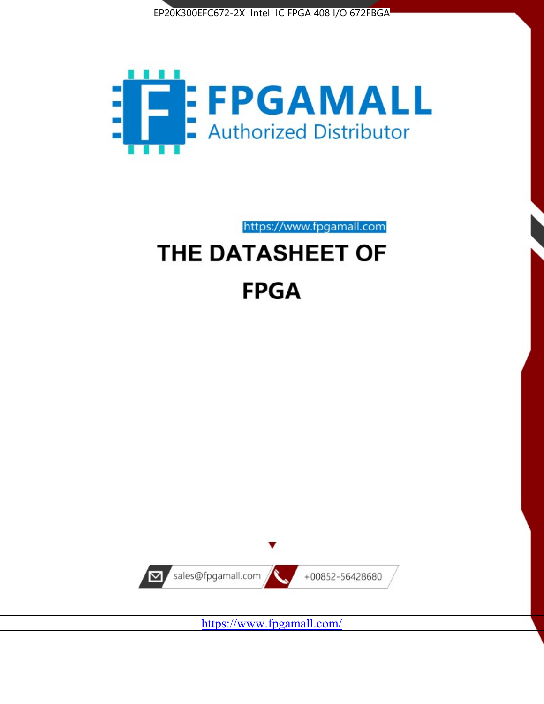



https://www.fpgamall.com

# THE DATASHEET OF **FPGA**



<https://www.fpgamall.com/>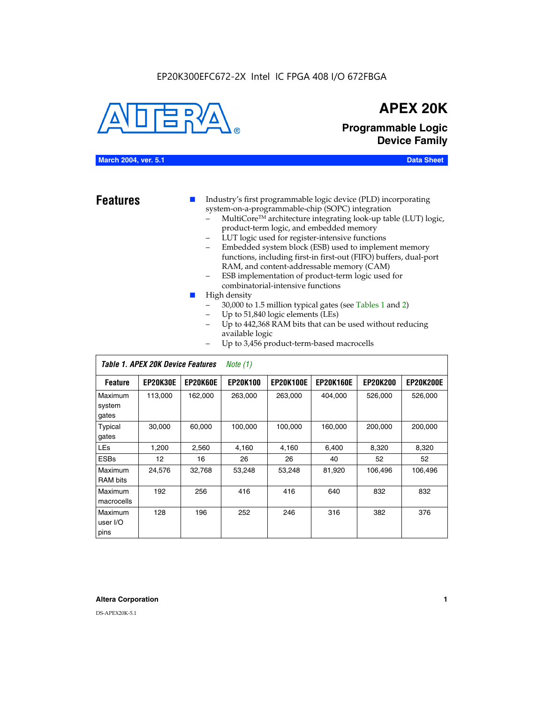#### EP20K300EFC672-2X Intel IC FPGA 408 I/O 672FBGA



## **APEX 20K**

**Programmable Logic Device Family**

#### **March 2004, ver. 5.1 Data Sheet**

- **Features ■** Industry's first programmable logic device (PLD) incorporating system-on-a-programmable-chip (SOPC) integration
	- MultiCore™ architecture integrating look-up table (LUT) logic, product-term logic, and embedded memory
	- LUT logic used for register-intensive functions
	- Embedded system block (ESB) used to implement memory functions, including first-in first-out (FIFO) buffers, dual-port RAM, and content-addressable memory (CAM)
	- ESB implementation of product-term logic used for combinatorial-intensive functions
	- High density
		- 30,000 to 1.5 million typical gates (see Tables 1 and 2)
		- Up to 51,840 logic elements (LEs)
		- Up to 442,368 RAM bits that can be used without reducing available logic
		- Up to 3,456 product-term-based macrocells

|                             | Table 1. APEX 20K Device Features<br>Note $(1)$ |                 |                 |                  |                  |                 |                  |  |  |
|-----------------------------|-------------------------------------------------|-----------------|-----------------|------------------|------------------|-----------------|------------------|--|--|
| <b>Feature</b>              | <b>EP20K30E</b>                                 | <b>EP20K60E</b> | <b>EP20K100</b> | <b>EP20K100E</b> | <b>EP20K160E</b> | <b>EP20K200</b> | <b>EP20K200E</b> |  |  |
| Maximum<br>system<br>gates  | 113,000                                         | 162,000         | 263.000         | 263,000          | 404.000          | 526,000         | 526,000          |  |  |
| Typical<br>gates            | 30,000                                          | 60,000          | 100,000         | 100,000          | 160,000          | 200,000         | 200,000          |  |  |
| <b>LEs</b>                  | 1,200                                           | 2,560           | 4,160           | 4,160            | 6.400            | 8,320           | 8,320            |  |  |
| <b>ESBs</b>                 | $12 \overline{ }$                               | 16              | 26              | 26               | 40               | 52              | 52               |  |  |
| Maximum<br><b>RAM</b> bits  | 24,576                                          | 32,768          | 53,248          | 53,248           | 81,920           | 106,496         | 106,496          |  |  |
| Maximum<br>macrocells       | 192                                             | 256             | 416             | 416              | 640              | 832             | 832              |  |  |
| Maximum<br>user I/O<br>pins | 128                                             | 196             | 252             | 246              | 316              | 382             | 376              |  |  |

#### **Altera Corporation 1**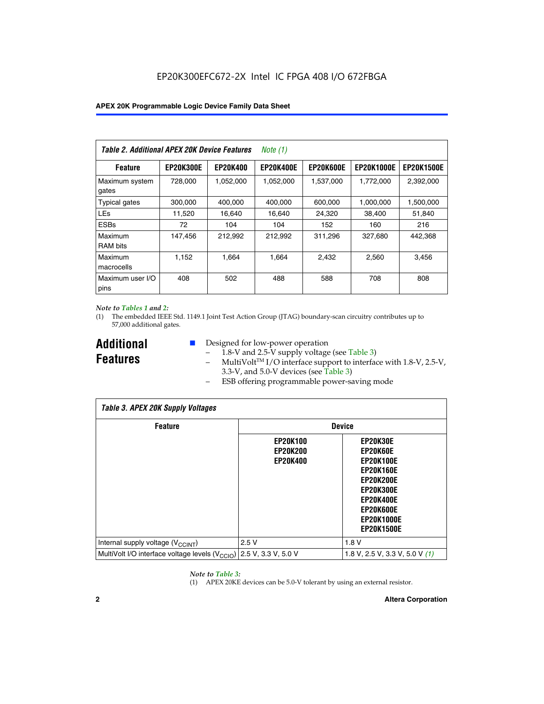| Table 2. Additional APEX 20K Device Features |                  |                 | Note $(1)$       |                  |                   |                   |
|----------------------------------------------|------------------|-----------------|------------------|------------------|-------------------|-------------------|
| <b>Feature</b>                               | <b>EP20K300E</b> | <b>EP20K400</b> | <b>EP20K400E</b> | <b>EP20K600E</b> | <b>EP20K1000E</b> | <b>EP20K1500E</b> |
| Maximum system<br>gates                      | 728,000          | 1,052,000       | 1,052,000        | 1,537,000        | 1,772,000         | 2,392,000         |
| <b>Typical gates</b>                         | 300,000          | 400,000         | 400,000          | 600,000          | 1,000,000         | 1,500,000         |
| <b>LEs</b>                                   | 11,520           | 16.640          | 16.640           | 24,320           | 38,400            | 51,840            |
| <b>ESBs</b>                                  | 72               | 104             | 104              | 152              | 160               | 216               |
| Maximum<br><b>RAM bits</b>                   | 147,456          | 212,992         | 212,992          | 311,296          | 327,680           | 442.368           |
| Maximum<br>macrocells                        | 1,152            | 1,664           | 1,664            | 2.432            | 2,560             | 3,456             |
| Maximum user I/O<br>pins                     | 408              | 502             | 488              | 588              | 708               | 808               |

#### *Note to Tables 1 and 2:*

(1) The embedded IEEE Std. 1149.1 Joint Test Action Group (JTAG) boundary-scan circuitry contributes up to 57,000 additional gates.

**Additional Features**

- Designed for low-power operation
	- 1.8-V and 2.5-V supply voltage (see Table 3)
	- $-$  MultiVolt<sup>TM</sup> I/O interface support to interface with 1.8-V, 2.5-V, 3.3-V, and 5.0-V devices (see Table 3)
	- ESB offering programmable power-saving mode

| <b>Table 3. APEX 20K Supply Voltages</b>                                       |                                                       |                                                                                                                                                                          |  |  |  |  |  |  |
|--------------------------------------------------------------------------------|-------------------------------------------------------|--------------------------------------------------------------------------------------------------------------------------------------------------------------------------|--|--|--|--|--|--|
| <b>Feature</b>                                                                 | <b>Device</b>                                         |                                                                                                                                                                          |  |  |  |  |  |  |
|                                                                                | <b>EP20K100</b><br><b>EP20K200</b><br><b>EP20K400</b> | EP20K30E<br>EP20K60E<br><b>EP20K100E</b><br><b>EP20K160E</b><br>EP20K200E<br><b>EP20K300E</b><br><b>EP20K400E</b><br>EP20K600E<br><b>EP20K1000E</b><br><b>EP20K1500E</b> |  |  |  |  |  |  |
| Internal supply voltage (V <sub>CCINT</sub> )                                  | 2.5V                                                  | 1.8V                                                                                                                                                                     |  |  |  |  |  |  |
| MultiVolt I/O interface voltage levels $(V_{\text{CCIO}})$ 2.5 V, 3.3 V, 5.0 V |                                                       | 1.8 V, 2.5 V, 3.3 V, 5.0 V $(1)$                                                                                                                                         |  |  |  |  |  |  |

#### *Note to Table 3:*

(1) APEX 20KE devices can be 5.0-V tolerant by using an external resistor.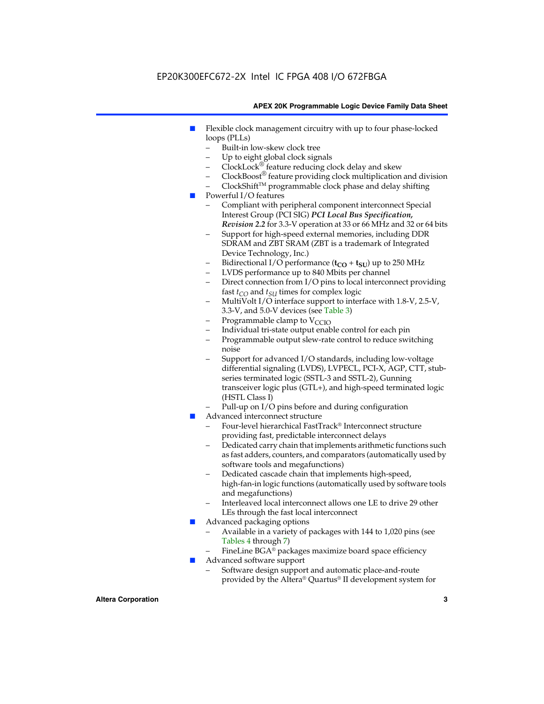### EP20K300EFC672-2X Intel IC FPGA 408 I/O 672FBGA

#### **APEX 20K Programmable Logic Device Family Data Sheet**

- Flexible clock management circuitry with up to four phase-locked loops (PLLs)
	- Built-in low-skew clock tree
	- Up to eight global clock signals
	- $ClockLock^{\circledR}$  feature reducing clock delay and skew
	- $ClockBoost^{\circledR}$  feature providing clock multiplication and division
	- ClockShiftTM programmable clock phase and delay shifting
- Powerful I/O features
	- Compliant with peripheral component interconnect Special Interest Group (PCI SIG) *PCI Local Bus Specification, Revision 2.2* for 3.3-V operation at 33 or 66 MHz and 32 or 64 bits
	- Support for high-speed external memories, including DDR SDRAM and ZBT SRAM (ZBT is a trademark of Integrated Device Technology, Inc.)
	- Bidirectional I/O performance  $(t_{CO} + t_{SU})$  up to 250 MHz
	- LVDS performance up to 840 Mbits per channel
	- Direct connection from I/O pins to local interconnect providing fast  $t_{CO}$  and  $t_{SU}$  times for complex logic
	- MultiVolt I/O interface support to interface with 1.8-V, 2.5-V, 3.3-V, and 5.0-V devices (see Table 3)
	- Programmable clamp to  $V_{\text{C}CD}$
	- Individual tri-state output enable control for each pin
	- Programmable output slew-rate control to reduce switching noise
	- Support for advanced I/O standards, including low-voltage differential signaling (LVDS), LVPECL, PCI-X, AGP, CTT, stubseries terminated logic (SSTL-3 and SSTL-2), Gunning transceiver logic plus (GTL+), and high-speed terminated logic (HSTL Class I)
	- Pull-up on I/O pins before and during configuration
- Advanced interconnect structure
	- Four-level hierarchical FastTrack® Interconnect structure providing fast, predictable interconnect delays
	- Dedicated carry chain that implements arithmetic functions such as fast adders, counters, and comparators (automatically used by software tools and megafunctions)
	- Dedicated cascade chain that implements high-speed, high-fan-in logic functions (automatically used by software tools and megafunctions)
	- Interleaved local interconnect allows one LE to drive 29 other LEs through the fast local interconnect
- Advanced packaging options
	- Available in a variety of packages with 144 to 1,020 pins (see Tables 4 through 7)
	- FineLine BGA® packages maximize board space efficiency
- Advanced software support
	- Software design support and automatic place-and-route provided by the Altera® Quartus® II development system for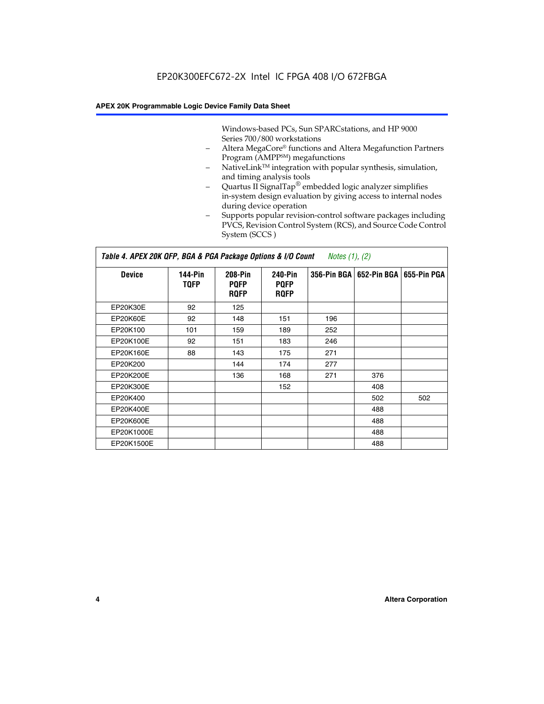Windows-based PCs, Sun SPARCstations, and HP 9000 Series 700/800 workstations

- Altera MegaCore® functions and Altera Megafunction Partners Program (AMPP<sup>SM</sup>) megafunctions
- NativeLink™ integration with popular synthesis, simulation, and timing analysis tools
- Quartus II SignalTap® embedded logic analyzer simplifies in-system design evaluation by giving access to internal nodes during device operation
- Supports popular revision-control software packages including PVCS, Revision Control System (RCS), and Source Code Control System (SCCS )

#### *Table 4. APEX 20K QFP, BGA & PGA Package Options & I/O Count Notes (1), (2)*

| <b>Device</b>   | 144-Pin<br><b>TQFP</b> | 208-Pin<br><b>PQFP</b><br><b>ROFP</b> | 240-Pin<br><b>PQFP</b><br><b>ROFP</b> |     | 356-Pin BGA   652-Pin BGA | 655-Pin PGA |
|-----------------|------------------------|---------------------------------------|---------------------------------------|-----|---------------------------|-------------|
| EP20K30E        | 92                     | 125                                   |                                       |     |                           |             |
| <b>EP20K60E</b> | 92                     | 148                                   | 151                                   | 196 |                           |             |
| EP20K100        | 101                    | 159                                   | 189                                   | 252 |                           |             |
| EP20K100E       | 92                     | 151                                   | 183                                   | 246 |                           |             |
| EP20K160E       | 88                     | 143                                   | 175                                   | 271 |                           |             |
| EP20K200        |                        | 144                                   | 174                                   | 277 |                           |             |
| EP20K200E       |                        | 136                                   | 168                                   | 271 | 376                       |             |
| EP20K300E       |                        |                                       | 152                                   |     | 408                       |             |
| EP20K400        |                        |                                       |                                       |     | 502                       | 502         |
| EP20K400E       |                        |                                       |                                       |     | 488                       |             |
| EP20K600E       |                        |                                       |                                       |     | 488                       |             |
| EP20K1000E      |                        |                                       |                                       |     | 488                       |             |
| EP20K1500E      |                        |                                       |                                       |     | 488                       |             |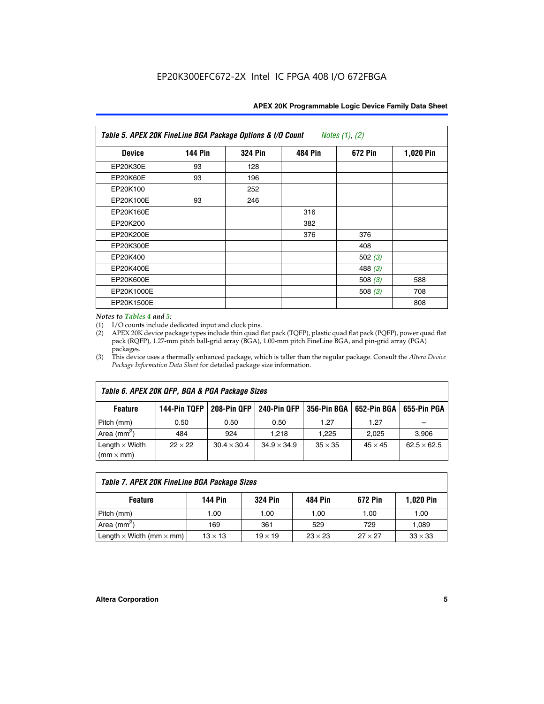| Table 5. APEX 20K FineLine BGA Package Options & I/O Count<br>Notes $(1)$ , $(2)$ |                |                |                |           |           |  |  |  |
|-----------------------------------------------------------------------------------|----------------|----------------|----------------|-----------|-----------|--|--|--|
| <b>Device</b>                                                                     | <b>144 Pin</b> | <b>324 Pin</b> | <b>484 Pin</b> | 672 Pin   | 1,020 Pin |  |  |  |
| EP20K30E                                                                          | 93             | 128            |                |           |           |  |  |  |
| <b>EP20K60E</b>                                                                   | 93             | 196            |                |           |           |  |  |  |
| EP20K100                                                                          |                | 252            |                |           |           |  |  |  |
| EP20K100E                                                                         | 93             | 246            |                |           |           |  |  |  |
| EP20K160E                                                                         |                |                | 316            |           |           |  |  |  |
| EP20K200                                                                          |                |                | 382            |           |           |  |  |  |
| EP20K200E                                                                         |                |                | 376            | 376       |           |  |  |  |
| EP20K300E                                                                         |                |                |                | 408       |           |  |  |  |
| EP20K400                                                                          |                |                |                | 502(3)    |           |  |  |  |
| EP20K400E                                                                         |                |                |                | 488 $(3)$ |           |  |  |  |
| EP20K600E                                                                         |                |                |                | 508 $(3)$ | 588       |  |  |  |
| EP20K1000E                                                                        |                |                |                | 508 $(3)$ | 708       |  |  |  |
| EP20K1500E                                                                        |                |                |                |           | 808       |  |  |  |

#### *Notes to Tables 4 and 5:*

 $\Gamma$ 

(1) I/O counts include dedicated input and clock pins.

(2) APEX 20K device package types include thin quad flat pack (TQFP), plastic quad flat pack (PQFP), power quad flat pack (RQFP), 1.27-mm pitch ball-grid array (BGA), 1.00-mm pitch FineLine BGA, and pin-grid array (PGA) packages.

(3) This device uses a thermally enhanced package, which is taller than the regular package. Consult the *Altera Device Package Information Data Sheet* for detailed package size information.

| Table 6. APEX 20K QFP, BGA & PGA Package Sizes                                                           |                |                    |                    |                |                |                    |  |  |  |
|----------------------------------------------------------------------------------------------------------|----------------|--------------------|--------------------|----------------|----------------|--------------------|--|--|--|
| 144-Pin TQFP<br>240-Pin QFP<br>356-Pin BGA   652-Pin BGA<br>208-Pin QFP<br>655-Pin PGA<br><b>Feature</b> |                |                    |                    |                |                |                    |  |  |  |
| Pitch (mm)                                                                                               | 0.50           | 0.50               | 0.50               | 1.27           | 1.27           |                    |  |  |  |
| Area $(mm^2)$                                                                                            | 484            | 924                | 1.218              | 1.225          | 2.025          | 3,906              |  |  |  |
| Length $\times$ Width<br>$(mm \times mm)$                                                                | $22 \times 22$ | $30.4 \times 30.4$ | $34.9 \times 34.9$ | $35 \times 35$ | $45 \times 45$ | $62.5 \times 62.5$ |  |  |  |

| Table 7. APEX 20K FineLine BGA Package Sizes                                                                                     |      |      |      |      |       |  |  |  |
|----------------------------------------------------------------------------------------------------------------------------------|------|------|------|------|-------|--|--|--|
| <b>324 Pin</b><br><b>1,020 Pin</b><br>144 Pin<br>672 Pin<br>484 Pin<br><b>Feature</b>                                            |      |      |      |      |       |  |  |  |
| Pitch (mm)                                                                                                                       | 1.00 | 1.00 | 1.00 | 1.00 | 1.00  |  |  |  |
| Area ( $mm2$ )                                                                                                                   | 169  | 361  | 529  | 729  | 1,089 |  |  |  |
| $33 \times 33$<br>Length $\times$ Width (mm $\times$ mm)<br>$27 \times 27$<br>$13 \times 13$<br>$23 \times 23$<br>$19 \times 19$ |      |      |      |      |       |  |  |  |

٦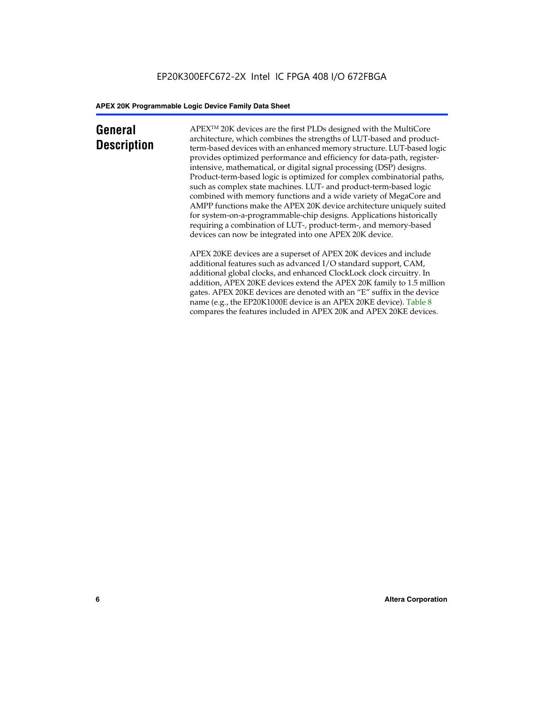## **General Description**

APEXTM 20K devices are the first PLDs designed with the MultiCore architecture, which combines the strengths of LUT-based and productterm-based devices with an enhanced memory structure. LUT-based logic provides optimized performance and efficiency for data-path, registerintensive, mathematical, or digital signal processing (DSP) designs. Product-term-based logic is optimized for complex combinatorial paths, such as complex state machines. LUT- and product-term-based logic combined with memory functions and a wide variety of MegaCore and AMPP functions make the APEX 20K device architecture uniquely suited for system-on-a-programmable-chip designs. Applications historically requiring a combination of LUT-, product-term-, and memory-based devices can now be integrated into one APEX 20K device.

APEX 20KE devices are a superset of APEX 20K devices and include additional features such as advanced I/O standard support, CAM, additional global clocks, and enhanced ClockLock clock circuitry. In addition, APEX 20KE devices extend the APEX 20K family to 1.5 million gates. APEX 20KE devices are denoted with an "E" suffix in the device name (e.g., the EP20K1000E device is an APEX 20KE device). Table 8 compares the features included in APEX 20K and APEX 20KE devices.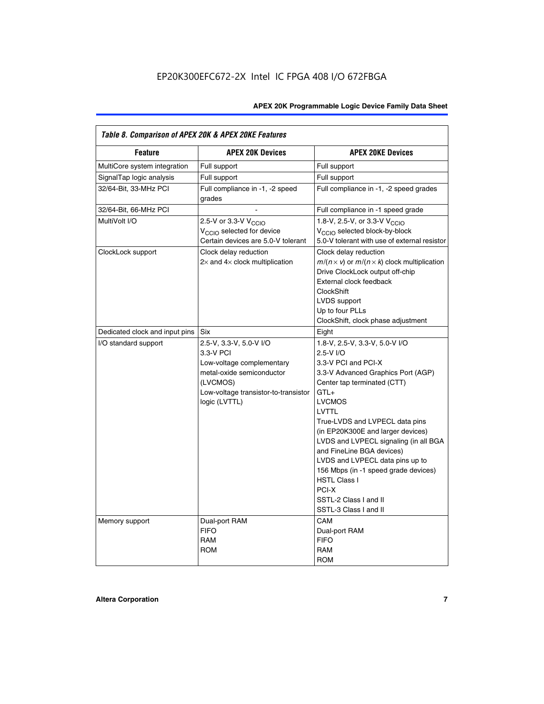| Table 8. Comparison of APEX 20K & APEX 20KE Features |                                                                                                                                                                     |                                                                                                                                                                                                                                                                                                                                                                                                                                                                                              |  |  |  |  |  |
|------------------------------------------------------|---------------------------------------------------------------------------------------------------------------------------------------------------------------------|----------------------------------------------------------------------------------------------------------------------------------------------------------------------------------------------------------------------------------------------------------------------------------------------------------------------------------------------------------------------------------------------------------------------------------------------------------------------------------------------|--|--|--|--|--|
| <b>Feature</b>                                       | <b>APEX 20K Devices</b>                                                                                                                                             | <b>APEX 20KE Devices</b>                                                                                                                                                                                                                                                                                                                                                                                                                                                                     |  |  |  |  |  |
| MultiCore system integration                         | Full support                                                                                                                                                        | Full support                                                                                                                                                                                                                                                                                                                                                                                                                                                                                 |  |  |  |  |  |
| SignalTap logic analysis                             | Full support                                                                                                                                                        | Full support                                                                                                                                                                                                                                                                                                                                                                                                                                                                                 |  |  |  |  |  |
| 32/64-Bit, 33-MHz PCI                                | Full compliance in -1, -2 speed<br>grades                                                                                                                           | Full compliance in -1, -2 speed grades                                                                                                                                                                                                                                                                                                                                                                                                                                                       |  |  |  |  |  |
| 32/64-Bit, 66-MHz PCI                                |                                                                                                                                                                     | Full compliance in -1 speed grade                                                                                                                                                                                                                                                                                                                                                                                                                                                            |  |  |  |  |  |
| MultiVolt I/O                                        | 2.5-V or 3.3-V V <sub>CCIO</sub><br>V <sub>CCIO</sub> selected for device<br>Certain devices are 5.0-V tolerant                                                     | 1.8-V, 2.5-V, or 3.3-V V <sub>CCIO</sub><br>V <sub>CCIO</sub> selected block-by-block<br>5.0-V tolerant with use of external resistor                                                                                                                                                                                                                                                                                                                                                        |  |  |  |  |  |
| ClockLock support                                    | Clock delay reduction<br>$2\times$ and $4\times$ clock multiplication                                                                                               | Clock delay reduction<br>$m/(n \times v)$ or $m/(n \times k)$ clock multiplication<br>Drive ClockLock output off-chip<br>External clock feedback<br><b>ClockShift</b><br>LVDS support<br>Up to four PLLs<br>ClockShift, clock phase adjustment                                                                                                                                                                                                                                               |  |  |  |  |  |
| Dedicated clock and input pins                       | Six                                                                                                                                                                 | Eight                                                                                                                                                                                                                                                                                                                                                                                                                                                                                        |  |  |  |  |  |
| I/O standard support                                 | 2.5-V, 3.3-V, 5.0-V I/O<br>3.3-V PCI<br>Low-voltage complementary<br>metal-oxide semiconductor<br>(LVCMOS)<br>Low-voltage transistor-to-transistor<br>logic (LVTTL) | 1.8-V, 2.5-V, 3.3-V, 5.0-V I/O<br>2.5-V I/O<br>3.3-V PCI and PCI-X<br>3.3-V Advanced Graphics Port (AGP)<br>Center tap terminated (CTT)<br>$GTL+$<br><b>LVCMOS</b><br><b>LVTTL</b><br>True-LVDS and LVPECL data pins<br>(in EP20K300E and larger devices)<br>LVDS and LVPECL signaling (in all BGA<br>and FineLine BGA devices)<br>LVDS and LVPECL data pins up to<br>156 Mbps (in -1 speed grade devices)<br><b>HSTL Class I</b><br>PCI-X<br>SSTL-2 Class I and II<br>SSTL-3 Class I and II |  |  |  |  |  |
| Memory support                                       | Dual-port RAM<br><b>FIFO</b><br><b>RAM</b><br><b>ROM</b>                                                                                                            | CAM<br>Dual-port RAM<br><b>FIFO</b><br>RAM<br><b>ROM</b>                                                                                                                                                                                                                                                                                                                                                                                                                                     |  |  |  |  |  |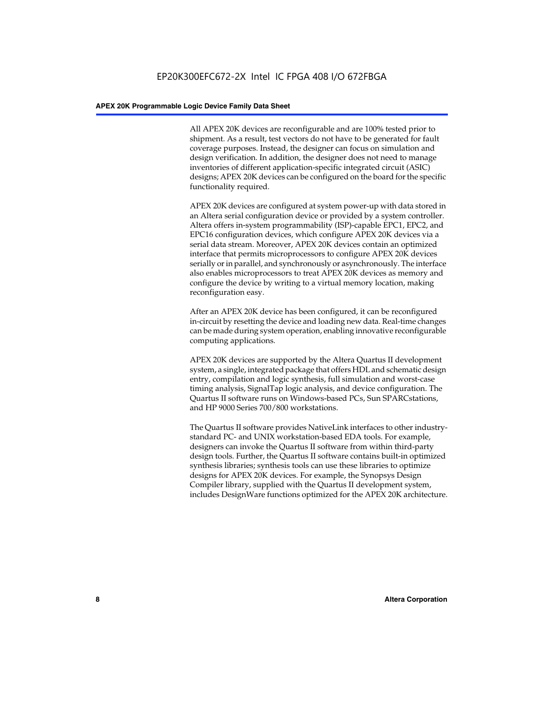All APEX 20K devices are reconfigurable and are 100% tested prior to shipment. As a result, test vectors do not have to be generated for fault coverage purposes. Instead, the designer can focus on simulation and design verification. In addition, the designer does not need to manage inventories of different application-specific integrated circuit (ASIC) designs; APEX 20K devices can be configured on the board for the specific functionality required.

APEX 20K devices are configured at system power-up with data stored in an Altera serial configuration device or provided by a system controller. Altera offers in-system programmability (ISP)-capable EPC1, EPC2, and EPC16 configuration devices, which configure APEX 20K devices via a serial data stream. Moreover, APEX 20K devices contain an optimized interface that permits microprocessors to configure APEX 20K devices serially or in parallel, and synchronously or asynchronously. The interface also enables microprocessors to treat APEX 20K devices as memory and configure the device by writing to a virtual memory location, making reconfiguration easy.

After an APEX 20K device has been configured, it can be reconfigured in-circuit by resetting the device and loading new data. Real-time changes can be made during system operation, enabling innovative reconfigurable computing applications.

APEX 20K devices are supported by the Altera Quartus II development system, a single, integrated package that offers HDL and schematic design entry, compilation and logic synthesis, full simulation and worst-case timing analysis, SignalTap logic analysis, and device configuration. The Quartus II software runs on Windows-based PCs, Sun SPARCstations, and HP 9000 Series 700/800 workstations.

The Quartus II software provides NativeLink interfaces to other industrystandard PC- and UNIX workstation-based EDA tools. For example, designers can invoke the Quartus II software from within third-party design tools. Further, the Quartus II software contains built-in optimized synthesis libraries; synthesis tools can use these libraries to optimize designs for APEX 20K devices. For example, the Synopsys Design Compiler library, supplied with the Quartus II development system, includes DesignWare functions optimized for the APEX 20K architecture.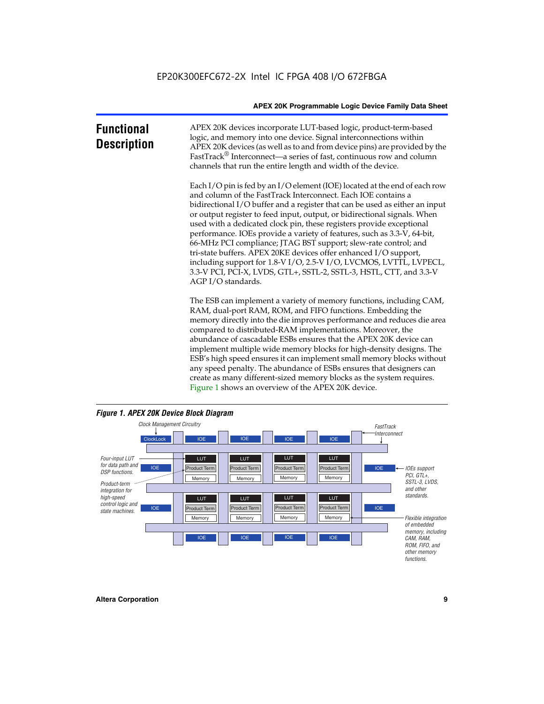| <b>Functional</b><br><b>Description</b> | APEX 20K devices incorporate LUT-based logic, product-term-based<br>logic, and memory into one device. Signal interconnections within<br>APEX 20K devices (as well as to and from device pins) are provided by the<br>FastTrack <sup>®</sup> Interconnect—a series of fast, continuous row and column<br>channels that run the entire length and width of the device.                                                                                                                                                                                                                                                                                                                                                                                              |
|-----------------------------------------|--------------------------------------------------------------------------------------------------------------------------------------------------------------------------------------------------------------------------------------------------------------------------------------------------------------------------------------------------------------------------------------------------------------------------------------------------------------------------------------------------------------------------------------------------------------------------------------------------------------------------------------------------------------------------------------------------------------------------------------------------------------------|
|                                         | Each I/O pin is fed by an I/O element (IOE) located at the end of each row<br>and column of the FastTrack Interconnect. Each IOE contains a<br>bidirectional I/O buffer and a register that can be used as either an input<br>or output register to feed input, output, or bidirectional signals. When<br>used with a dedicated clock pin, these registers provide exceptional<br>performance. IOEs provide a variety of features, such as 3.3-V, 64-bit,<br>66-MHz PCI compliance; JTAG BST support; slew-rate control; and<br>tri-state buffers. APEX 20KE devices offer enhanced I/O support,<br>including support for 1.8-V I/O, 2.5-V I/O, LVCMOS, LVTTL, LVPECL,<br>3.3-V PCI, PCI-X, LVDS, GTL+, SSTL-2, SSTL-3, HSTL, CTT, and 3.3-V<br>AGP I/O standards. |
|                                         | The ESB can implement a variety of memory functions, including CAM,<br>RAM, dual-port RAM, ROM, and FIFO functions. Embedding the<br>memory directly into the die improves performance and reduces die area<br>compared to distributed-RAM implementations. Moreover, the<br>abundance of cascadable ESBs ensures that the APEX 20K device can<br>implement multiple wide memory blocks for high-density designs. The<br>ESB's high speed ensures it can implement small memory blocks without<br>any speed penalty. The abundance of ESBs ensures that designers can                                                                                                                                                                                              |



create as many different-sized memory blocks as the system requires.

Figure 1 shows an overview of the APEX 20K device.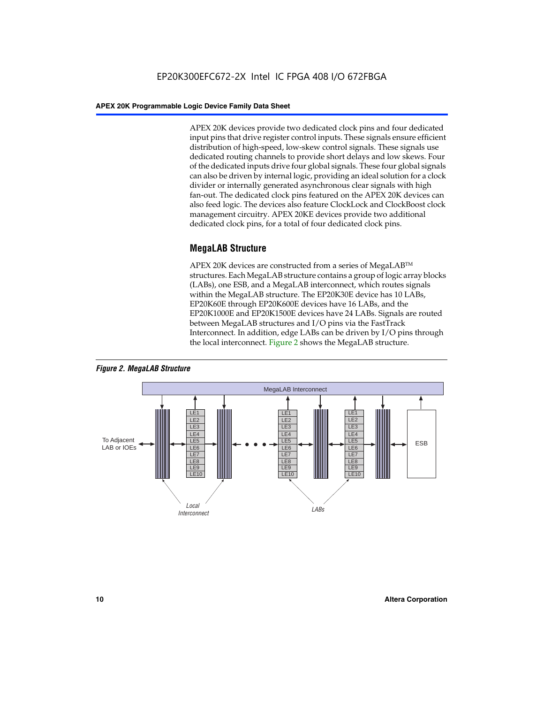APEX 20K devices provide two dedicated clock pins and four dedicated input pins that drive register control inputs. These signals ensure efficient distribution of high-speed, low-skew control signals. These signals use dedicated routing channels to provide short delays and low skews. Four of the dedicated inputs drive four global signals. These four global signals can also be driven by internal logic, providing an ideal solution for a clock divider or internally generated asynchronous clear signals with high fan-out. The dedicated clock pins featured on the APEX 20K devices can also feed logic. The devices also feature ClockLock and ClockBoost clock management circuitry. APEX 20KE devices provide two additional dedicated clock pins, for a total of four dedicated clock pins.

#### **MegaLAB Structure**

APEX 20K devices are constructed from a series of MegaLAB<sup>™</sup> structures. Each MegaLAB structure contains a group of logic array blocks (LABs), one ESB, and a MegaLAB interconnect, which routes signals within the MegaLAB structure. The EP20K30E device has 10 LABs, EP20K60E through EP20K600E devices have 16 LABs, and the EP20K1000E and EP20K1500E devices have 24 LABs. Signals are routed between MegaLAB structures and I/O pins via the FastTrack Interconnect. In addition, edge LABs can be driven by I/O pins through the local interconnect. Figure 2 shows the MegaLAB structure.



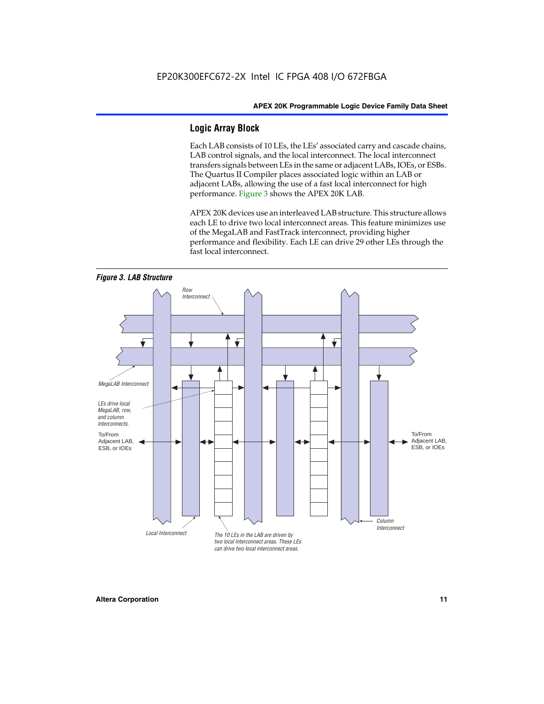#### **Logic Array Block**

Each LAB consists of 10 LEs, the LEs' associated carry and cascade chains, LAB control signals, and the local interconnect. The local interconnect transfers signals between LEs in the same or adjacent LABs, IOEs, or ESBs. The Quartus II Compiler places associated logic within an LAB or adjacent LABs, allowing the use of a fast local interconnect for high performance. Figure 3 shows the APEX 20K LAB.

APEX 20K devices use an interleaved LAB structure. This structure allows each LE to drive two local interconnect areas. This feature minimizes use of the MegaLAB and FastTrack interconnect, providing higher performance and flexibility. Each LE can drive 29 other LEs through the fast local interconnect.

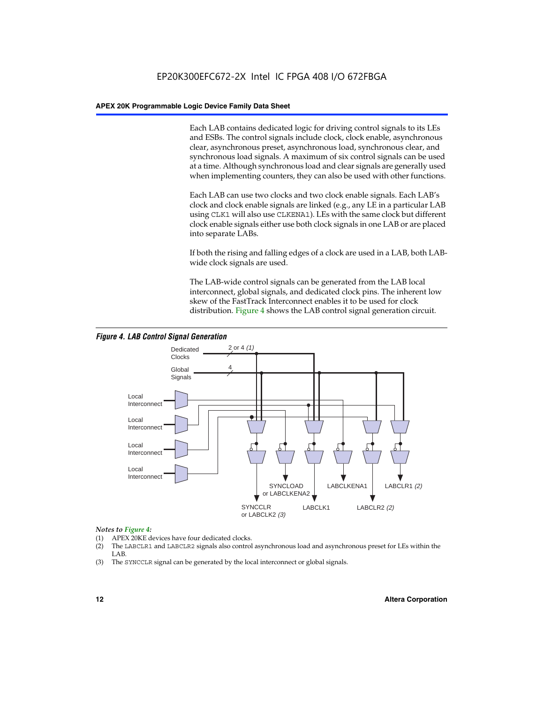Each LAB contains dedicated logic for driving control signals to its LEs and ESBs. The control signals include clock, clock enable, asynchronous clear, asynchronous preset, asynchronous load, synchronous clear, and synchronous load signals. A maximum of six control signals can be used at a time. Although synchronous load and clear signals are generally used when implementing counters, they can also be used with other functions.

Each LAB can use two clocks and two clock enable signals. Each LAB's clock and clock enable signals are linked (e.g., any LE in a particular LAB using CLK1 will also use CLKENA1). LEs with the same clock but different clock enable signals either use both clock signals in one LAB or are placed into separate LABs.

If both the rising and falling edges of a clock are used in a LAB, both LABwide clock signals are used.

The LAB-wide control signals can be generated from the LAB local interconnect, global signals, and dedicated clock pins. The inherent low skew of the FastTrack Interconnect enables it to be used for clock distribution. Figure 4 shows the LAB control signal generation circuit.



#### *Figure 4. LAB Control Signal Generation*

#### *Notes to Figure 4:*

- (1) APEX 20KE devices have four dedicated clocks.
- (2) The LABCLR1 and LABCLR2 signals also control asynchronous load and asynchronous preset for LEs within the LAB.
- (3) The SYNCCLR signal can be generated by the local interconnect or global signals.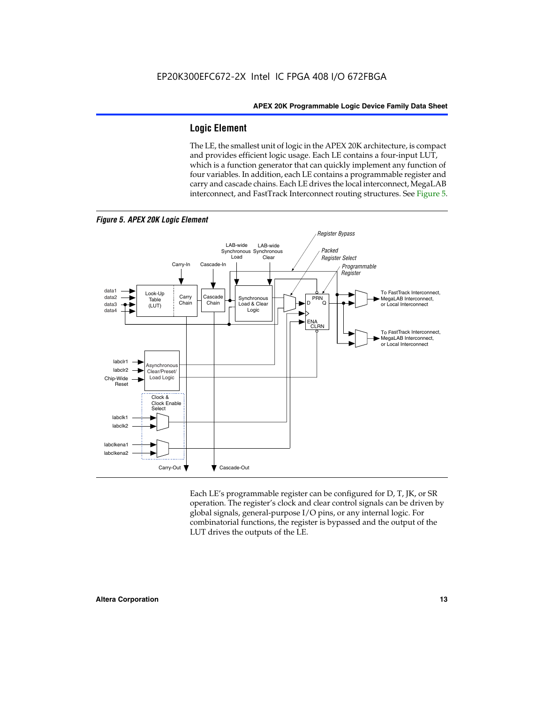#### **Logic Element**

The LE, the smallest unit of logic in the APEX 20K architecture, is compact and provides efficient logic usage. Each LE contains a four-input LUT, which is a function generator that can quickly implement any function of four variables. In addition, each LE contains a programmable register and carry and cascade chains. Each LE drives the local interconnect, MegaLAB interconnect, and FastTrack Interconnect routing structures. See Figure 5.



*Figure 5. APEX 20K Logic Element*

Each LE's programmable register can be configured for D, T, JK, or SR operation. The register's clock and clear control signals can be driven by global signals, general-purpose I/O pins, or any internal logic. For combinatorial functions, the register is bypassed and the output of the LUT drives the outputs of the LE.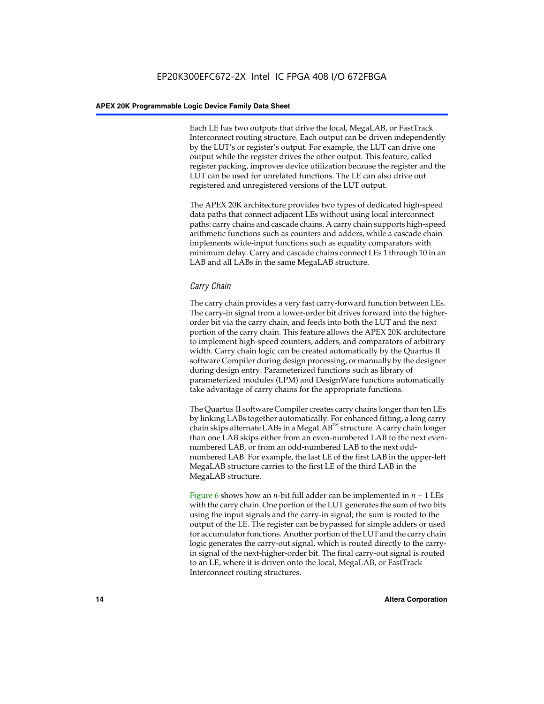Each LE has two outputs that drive the local, MegaLAB, or FastTrack Interconnect routing structure. Each output can be driven independently by the LUT's or register's output. For example, the LUT can drive one output while the register drives the other output. This feature, called register packing, improves device utilization because the register and the LUT can be used for unrelated functions. The LE can also drive out registered and unregistered versions of the LUT output.

The APEX 20K architecture provides two types of dedicated high-speed data paths that connect adjacent LEs without using local interconnect paths: carry chains and cascade chains. A carry chain supports high-speed arithmetic functions such as counters and adders, while a cascade chain implements wide-input functions such as equality comparators with minimum delay. Carry and cascade chains connect LEs 1 through 10 in an LAB and all LABs in the same MegaLAB structure.

#### *Carry Chain*

The carry chain provides a very fast carry-forward function between LEs. The carry-in signal from a lower-order bit drives forward into the higherorder bit via the carry chain, and feeds into both the LUT and the next portion of the carry chain. This feature allows the APEX 20K architecture to implement high-speed counters, adders, and comparators of arbitrary width. Carry chain logic can be created automatically by the Quartus II software Compiler during design processing, or manually by the designer during design entry. Parameterized functions such as library of parameterized modules (LPM) and DesignWare functions automatically take advantage of carry chains for the appropriate functions.

The Quartus II software Compiler creates carry chains longer than ten LEs by linking LABs together automatically. For enhanced fitting, a long carry chain skips alternate LABs in a MegaLAB<sup>™</sup> structure. A carry chain longer than one LAB skips either from an even-numbered LAB to the next evennumbered LAB, or from an odd-numbered LAB to the next oddnumbered LAB. For example, the last LE of the first LAB in the upper-left MegaLAB structure carries to the first LE of the third LAB in the MegaLAB structure.

Figure 6 shows how an *n*-bit full adder can be implemented in *n* + 1 LEs with the carry chain. One portion of the LUT generates the sum of two bits using the input signals and the carry-in signal; the sum is routed to the output of the LE. The register can be bypassed for simple adders or used for accumulator functions. Another portion of the LUT and the carry chain logic generates the carry-out signal, which is routed directly to the carryin signal of the next-higher-order bit. The final carry-out signal is routed to an LE, where it is driven onto the local, MegaLAB, or FastTrack Interconnect routing structures.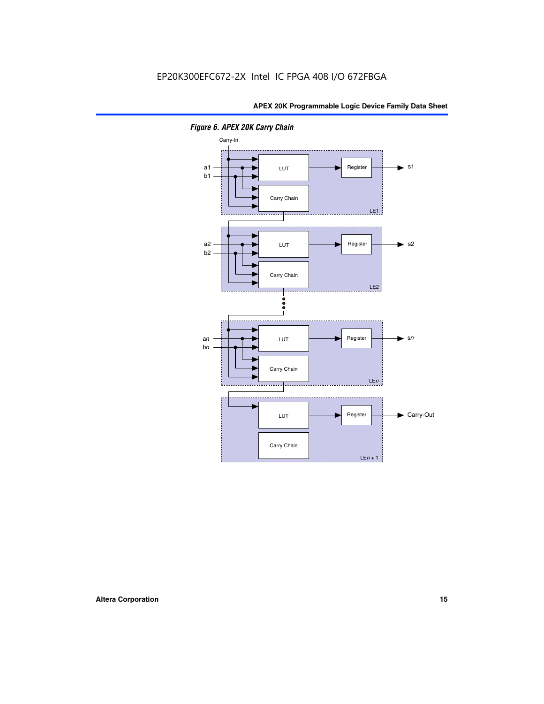

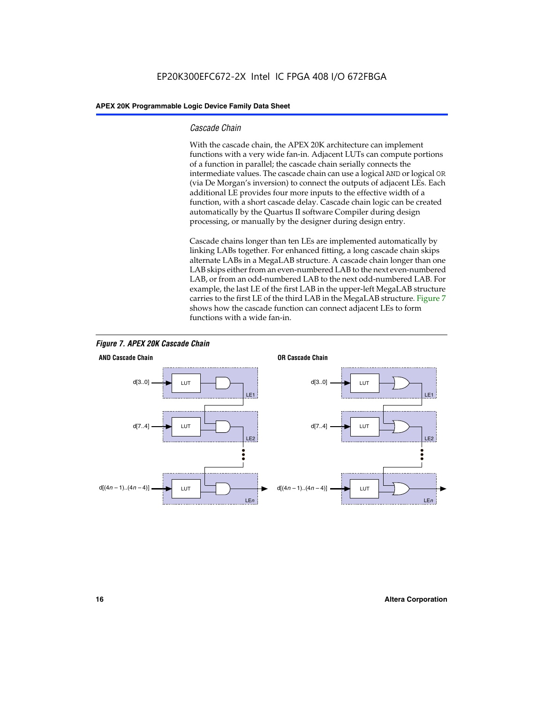#### *Cascade Chain*

With the cascade chain, the APEX 20K architecture can implement functions with a very wide fan-in. Adjacent LUTs can compute portions of a function in parallel; the cascade chain serially connects the intermediate values. The cascade chain can use a logical AND or logical OR (via De Morgan's inversion) to connect the outputs of adjacent LEs. Each additional LE provides four more inputs to the effective width of a function, with a short cascade delay. Cascade chain logic can be created automatically by the Quartus II software Compiler during design processing, or manually by the designer during design entry.

Cascade chains longer than ten LEs are implemented automatically by linking LABs together. For enhanced fitting, a long cascade chain skips alternate LABs in a MegaLAB structure. A cascade chain longer than one LAB skips either from an even-numbered LAB to the next even-numbered LAB, or from an odd-numbered LAB to the next odd-numbered LAB. For example, the last LE of the first LAB in the upper-left MegaLAB structure carries to the first LE of the third LAB in the MegaLAB structure. Figure 7 shows how the cascade function can connect adjacent LEs to form functions with a wide fan-in.



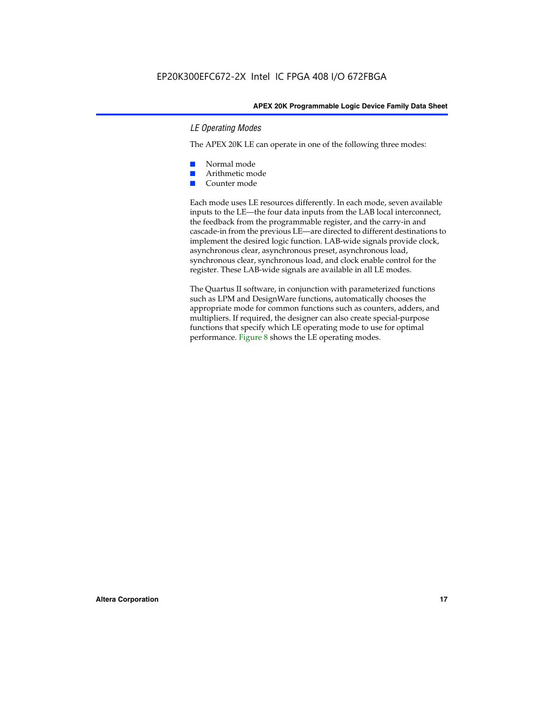#### *LE Operating Modes*

The APEX 20K LE can operate in one of the following three modes:

- Normal mode
- Arithmetic mode
- Counter mode

Each mode uses LE resources differently. In each mode, seven available inputs to the LE—the four data inputs from the LAB local interconnect, the feedback from the programmable register, and the carry-in and cascade-in from the previous LE—are directed to different destinations to implement the desired logic function. LAB-wide signals provide clock, asynchronous clear, asynchronous preset, asynchronous load, synchronous clear, synchronous load, and clock enable control for the register. These LAB-wide signals are available in all LE modes.

The Quartus II software, in conjunction with parameterized functions such as LPM and DesignWare functions, automatically chooses the appropriate mode for common functions such as counters, adders, and multipliers. If required, the designer can also create special-purpose functions that specify which LE operating mode to use for optimal performance. Figure 8 shows the LE operating modes.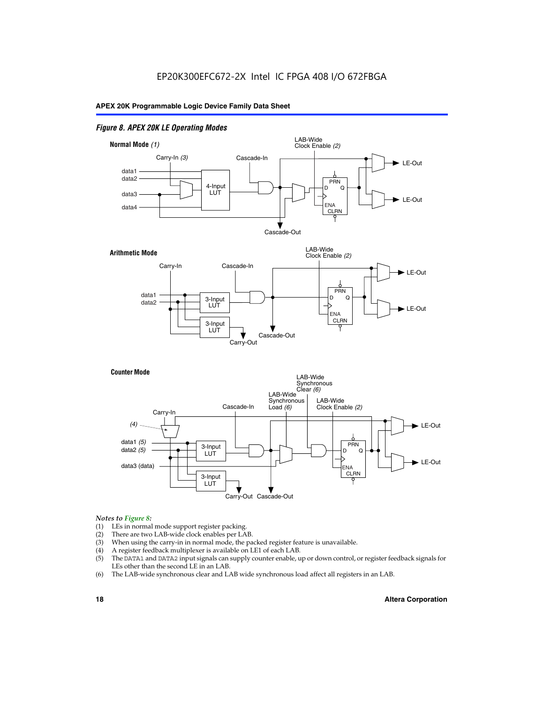#### *Figure 8. APEX 20K LE Operating Modes*



#### *Notes to Figure 8:*

- (1) LEs in normal mode support register packing.
- (2) There are two LAB-wide clock enables per LAB.
- (3) When using the carry-in in normal mode, the packed register feature is unavailable.
- (4) A register feedback multiplexer is available on LE1 of each LAB.
- (5) The DATA1 and DATA2 input signals can supply counter enable, up or down control, or register feedback signals for LEs other than the second LE in an LAB.
- (6) The LAB-wide synchronous clear and LAB wide synchronous load affect all registers in an LAB.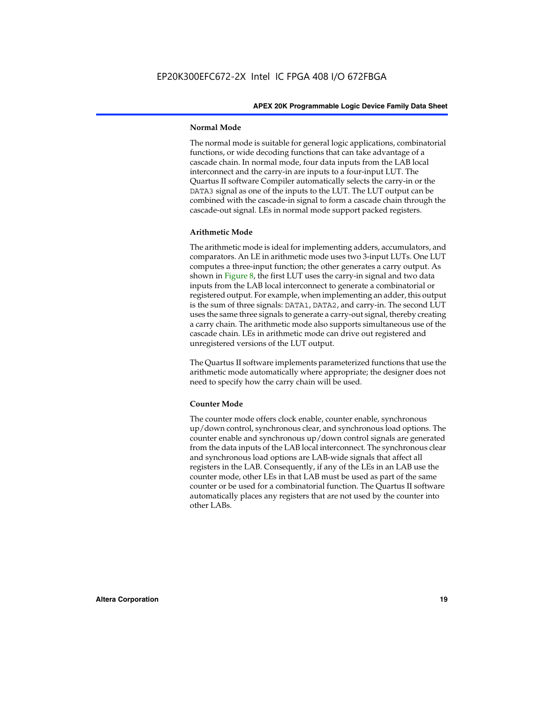#### **Normal Mode**

The normal mode is suitable for general logic applications, combinatorial functions, or wide decoding functions that can take advantage of a cascade chain. In normal mode, four data inputs from the LAB local interconnect and the carry-in are inputs to a four-input LUT. The Quartus II software Compiler automatically selects the carry-in or the DATA3 signal as one of the inputs to the LUT. The LUT output can be combined with the cascade-in signal to form a cascade chain through the cascade-out signal. LEs in normal mode support packed registers.

#### **Arithmetic Mode**

The arithmetic mode is ideal for implementing adders, accumulators, and comparators. An LE in arithmetic mode uses two 3-input LUTs. One LUT computes a three-input function; the other generates a carry output. As shown in Figure 8, the first LUT uses the carry-in signal and two data inputs from the LAB local interconnect to generate a combinatorial or registered output. For example, when implementing an adder, this output is the sum of three signals: DATA1, DATA2, and carry-in. The second LUT uses the same three signals to generate a carry-out signal, thereby creating a carry chain. The arithmetic mode also supports simultaneous use of the cascade chain. LEs in arithmetic mode can drive out registered and unregistered versions of the LUT output.

The Quartus II software implements parameterized functions that use the arithmetic mode automatically where appropriate; the designer does not need to specify how the carry chain will be used.

#### **Counter Mode**

The counter mode offers clock enable, counter enable, synchronous up/down control, synchronous clear, and synchronous load options. The counter enable and synchronous up/down control signals are generated from the data inputs of the LAB local interconnect. The synchronous clear and synchronous load options are LAB-wide signals that affect all registers in the LAB. Consequently, if any of the LEs in an LAB use the counter mode, other LEs in that LAB must be used as part of the same counter or be used for a combinatorial function. The Quartus II software automatically places any registers that are not used by the counter into other LABs.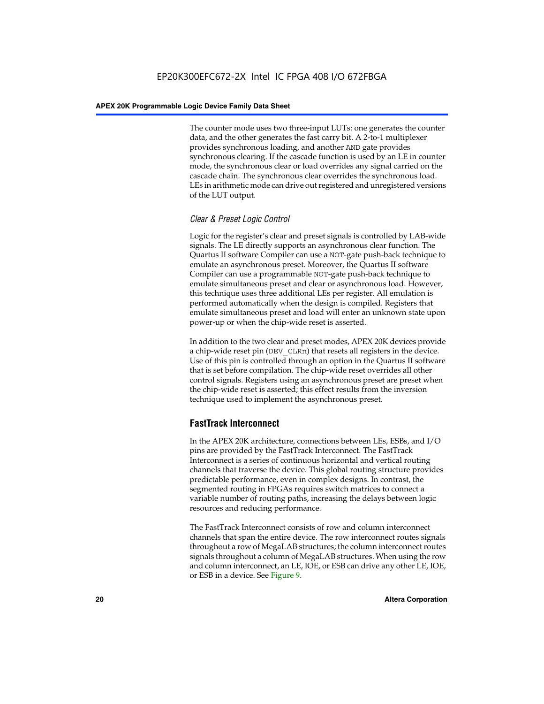The counter mode uses two three-input LUTs: one generates the counter data, and the other generates the fast carry bit. A 2-to-1 multiplexer provides synchronous loading, and another AND gate provides synchronous clearing. If the cascade function is used by an LE in counter mode, the synchronous clear or load overrides any signal carried on the cascade chain. The synchronous clear overrides the synchronous load. LEs in arithmetic mode can drive out registered and unregistered versions of the LUT output.

#### *Clear & Preset Logic Control*

Logic for the register's clear and preset signals is controlled by LAB-wide signals. The LE directly supports an asynchronous clear function. The Quartus II software Compiler can use a NOT-gate push-back technique to emulate an asynchronous preset. Moreover, the Quartus II software Compiler can use a programmable NOT-gate push-back technique to emulate simultaneous preset and clear or asynchronous load. However, this technique uses three additional LEs per register. All emulation is performed automatically when the design is compiled. Registers that emulate simultaneous preset and load will enter an unknown state upon power-up or when the chip-wide reset is asserted.

In addition to the two clear and preset modes, APEX 20K devices provide a chip-wide reset pin (DEV\_CLRn) that resets all registers in the device. Use of this pin is controlled through an option in the Quartus II software that is set before compilation. The chip-wide reset overrides all other control signals. Registers using an asynchronous preset are preset when the chip-wide reset is asserted; this effect results from the inversion technique used to implement the asynchronous preset.

#### **FastTrack Interconnect**

In the APEX 20K architecture, connections between LEs, ESBs, and I/O pins are provided by the FastTrack Interconnect. The FastTrack Interconnect is a series of continuous horizontal and vertical routing channels that traverse the device. This global routing structure provides predictable performance, even in complex designs. In contrast, the segmented routing in FPGAs requires switch matrices to connect a variable number of routing paths, increasing the delays between logic resources and reducing performance.

The FastTrack Interconnect consists of row and column interconnect channels that span the entire device. The row interconnect routes signals throughout a row of MegaLAB structures; the column interconnect routes signals throughout a column of MegaLAB structures. When using the row and column interconnect, an LE, IOE, or ESB can drive any other LE, IOE, or ESB in a device. See Figure 9.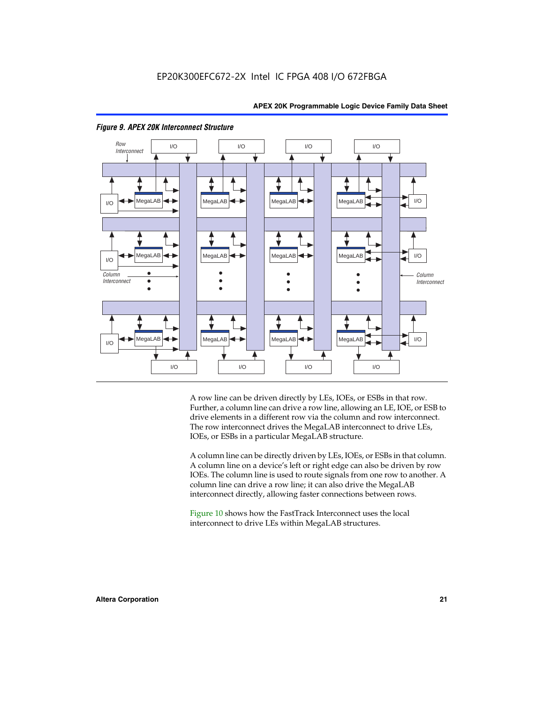

#### *Figure 9. APEX 20K Interconnect Structure*

A row line can be driven directly by LEs, IOEs, or ESBs in that row. Further, a column line can drive a row line, allowing an LE, IOE, or ESB to drive elements in a different row via the column and row interconnect. The row interconnect drives the MegaLAB interconnect to drive LEs, IOEs, or ESBs in a particular MegaLAB structure.

A column line can be directly driven by LEs, IOEs, or ESBs in that column. A column line on a device's left or right edge can also be driven by row IOEs. The column line is used to route signals from one row to another. A column line can drive a row line; it can also drive the MegaLAB interconnect directly, allowing faster connections between rows.

Figure 10 shows how the FastTrack Interconnect uses the local interconnect to drive LEs within MegaLAB structures.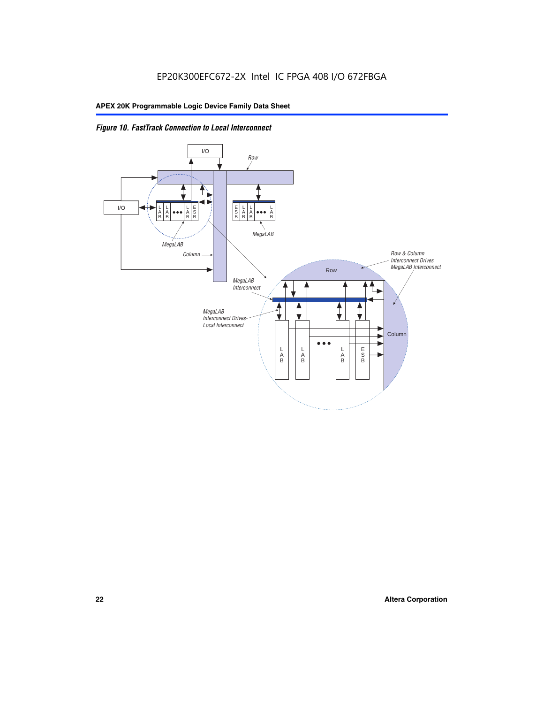

*Figure 10. FastTrack Connection to Local Interconnect*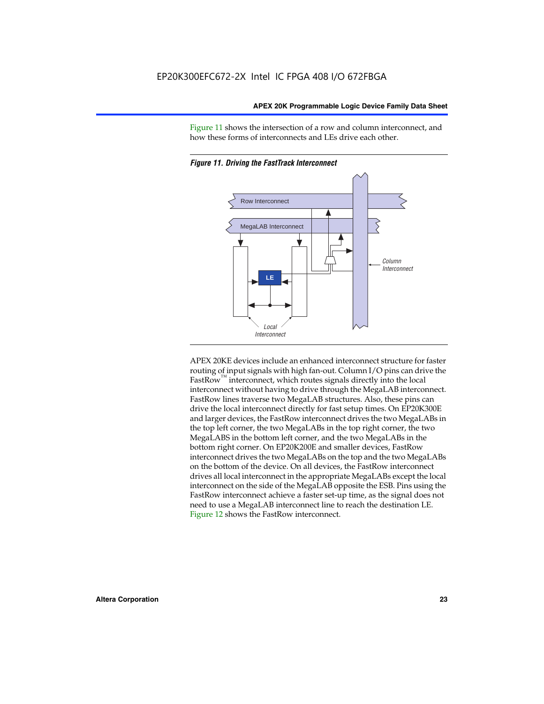Figure 11 shows the intersection of a row and column interconnect, and how these forms of interconnects and LEs drive each other.





APEX 20KE devices include an enhanced interconnect structure for faster routing of input signals with high fan-out. Column I/O pins can drive the FastRow<sup>™</sup> interconnect, which routes signals directly into the local interconnect without having to drive through the MegaLAB interconnect. FastRow lines traverse two MegaLAB structures. Also, these pins can drive the local interconnect directly for fast setup times. On EP20K300E and larger devices, the FastRow interconnect drives the two MegaLABs in the top left corner, the two MegaLABs in the top right corner, the two MegaLABS in the bottom left corner, and the two MegaLABs in the bottom right corner. On EP20K200E and smaller devices, FastRow interconnect drives the two MegaLABs on the top and the two MegaLABs on the bottom of the device. On all devices, the FastRow interconnect drives all local interconnect in the appropriate MegaLABs except the local interconnect on the side of the MegaLAB opposite the ESB. Pins using the FastRow interconnect achieve a faster set-up time, as the signal does not need to use a MegaLAB interconnect line to reach the destination LE. Figure 12 shows the FastRow interconnect.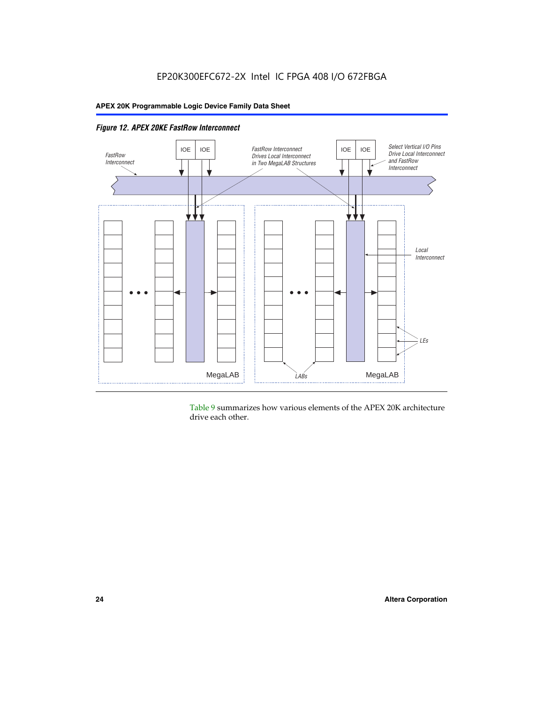

Table 9 summarizes how various elements of the APEX 20K architecture drive each other.

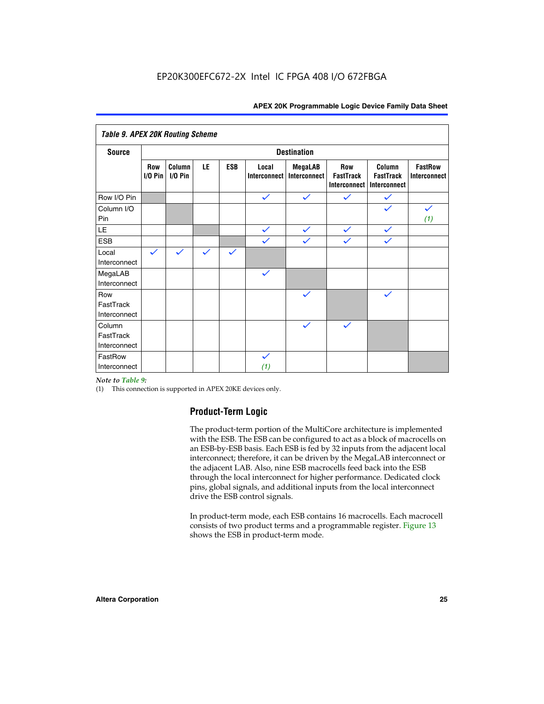| <b>Table 9. APEX 20K Routing Scheme</b> |                    |                      |              |              |                       |                                |                                                       |                                            |                                |
|-----------------------------------------|--------------------|----------------------|--------------|--------------|-----------------------|--------------------------------|-------------------------------------------------------|--------------------------------------------|--------------------------------|
| <b>Source</b>                           | <b>Destination</b> |                      |              |              |                       |                                |                                                       |                                            |                                |
|                                         | Row<br>$I/O P$ in  | Column<br>$I/O P$ in | LE           | <b>ESB</b>   | Local<br>Interconnect | <b>MegaLAB</b><br>Interconnect | <b>Row</b><br><b>FastTrack</b><br><b>Interconnect</b> | Column<br><b>FastTrack</b><br>Interconnect | <b>FastRow</b><br>Interconnect |
| Row I/O Pin                             |                    |                      |              |              | $\checkmark$          | $\checkmark$                   | $\checkmark$                                          | $\checkmark$                               |                                |
| Column I/O<br>Pin                       |                    |                      |              |              |                       |                                |                                                       |                                            | $\checkmark$<br>(1)            |
| LE                                      |                    |                      |              |              | $\checkmark$          | $\checkmark$                   | $\checkmark$                                          | $\checkmark$                               |                                |
| <b>ESB</b>                              |                    |                      |              |              | $\checkmark$          | $\checkmark$                   | $\checkmark$                                          | $\checkmark$                               |                                |
| Local<br>Interconnect                   | $\checkmark$       | $\checkmark$         | $\checkmark$ | $\checkmark$ |                       |                                |                                                       |                                            |                                |
| MegaLAB<br>Interconnect                 |                    |                      |              |              | $\checkmark$          |                                |                                                       |                                            |                                |
| Row<br>FastTrack<br>Interconnect        |                    |                      |              |              |                       | $\checkmark$                   |                                                       | $\checkmark$                               |                                |
| Column<br>FastTrack<br>Interconnect     |                    |                      |              |              |                       | $\checkmark$                   | $\checkmark$                                          |                                            |                                |
| FastRow<br>Interconnect                 |                    |                      |              |              | $\checkmark$<br>(1)   |                                |                                                       |                                            |                                |

#### *Note to Table 9:*

(1) This connection is supported in APEX 20KE devices only.

#### **Product-Term Logic**

The product-term portion of the MultiCore architecture is implemented with the ESB. The ESB can be configured to act as a block of macrocells on an ESB-by-ESB basis. Each ESB is fed by 32 inputs from the adjacent local interconnect; therefore, it can be driven by the MegaLAB interconnect or the adjacent LAB. Also, nine ESB macrocells feed back into the ESB through the local interconnect for higher performance. Dedicated clock pins, global signals, and additional inputs from the local interconnect drive the ESB control signals.

In product-term mode, each ESB contains 16 macrocells. Each macrocell consists of two product terms and a programmable register. Figure 13 shows the ESB in product-term mode.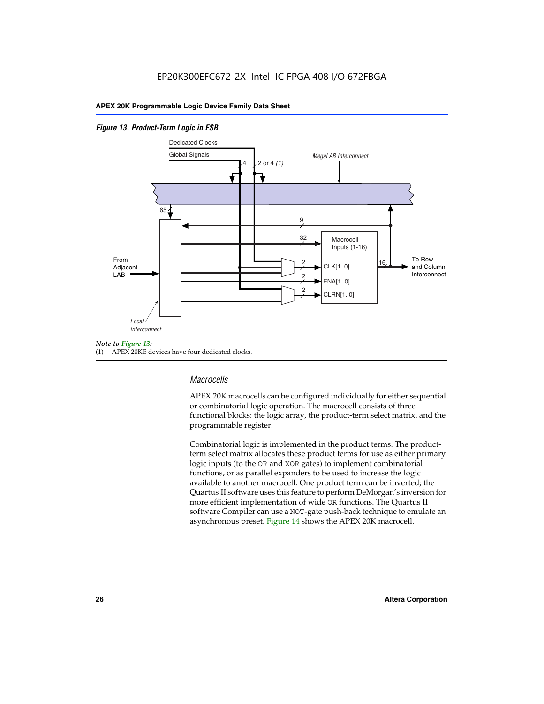#### *Figure 13. Product-Term Logic in ESB*



(1) APEX 20KE devices have four dedicated clocks.

#### *Macrocells*

APEX 20K macrocells can be configured individually for either sequential or combinatorial logic operation. The macrocell consists of three functional blocks: the logic array, the product-term select matrix, and the programmable register.

Combinatorial logic is implemented in the product terms. The productterm select matrix allocates these product terms for use as either primary logic inputs (to the OR and XOR gates) to implement combinatorial functions, or as parallel expanders to be used to increase the logic available to another macrocell. One product term can be inverted; the Quartus II software uses this feature to perform DeMorgan's inversion for more efficient implementation of wide OR functions. The Quartus II software Compiler can use a NOT-gate push-back technique to emulate an asynchronous preset. Figure 14 shows the APEX 20K macrocell.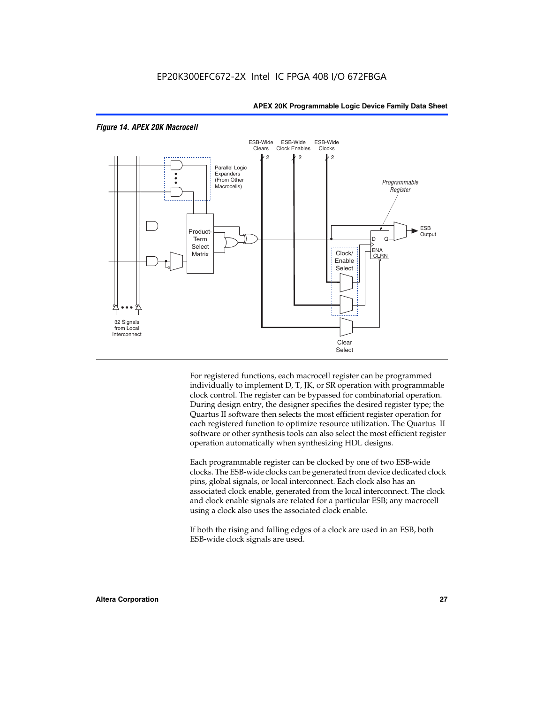

#### *Figure 14. APEX 20K Macrocell*

For registered functions, each macrocell register can be programmed individually to implement D, T, JK, or SR operation with programmable clock control. The register can be bypassed for combinatorial operation. During design entry, the designer specifies the desired register type; the Quartus II software then selects the most efficient register operation for each registered function to optimize resource utilization. The Quartus II software or other synthesis tools can also select the most efficient register operation automatically when synthesizing HDL designs.

Each programmable register can be clocked by one of two ESB-wide clocks. The ESB-wide clocks can be generated from device dedicated clock pins, global signals, or local interconnect. Each clock also has an associated clock enable, generated from the local interconnect. The clock and clock enable signals are related for a particular ESB; any macrocell using a clock also uses the associated clock enable.

If both the rising and falling edges of a clock are used in an ESB, both ESB-wide clock signals are used.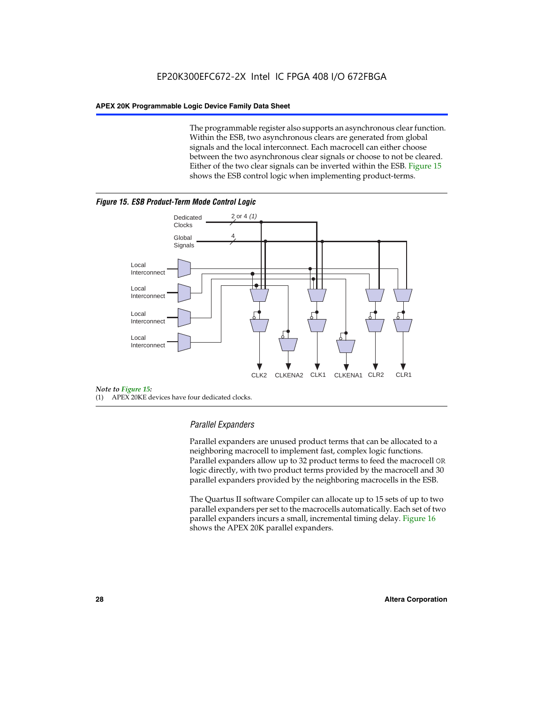The programmable register also supports an asynchronous clear function. Within the ESB, two asynchronous clears are generated from global signals and the local interconnect. Each macrocell can either choose between the two asynchronous clear signals or choose to not be cleared. Either of the two clear signals can be inverted within the ESB. Figure 15 shows the ESB control logic when implementing product-terms.





(1) APEX 20KE devices have four dedicated clocks.

#### *Parallel Expanders*

Parallel expanders are unused product terms that can be allocated to a neighboring macrocell to implement fast, complex logic functions. Parallel expanders allow up to 32 product terms to feed the macrocell OR logic directly, with two product terms provided by the macrocell and 30 parallel expanders provided by the neighboring macrocells in the ESB.

The Quartus II software Compiler can allocate up to 15 sets of up to two parallel expanders per set to the macrocells automatically. Each set of two parallel expanders incurs a small, incremental timing delay. Figure 16 shows the APEX 20K parallel expanders.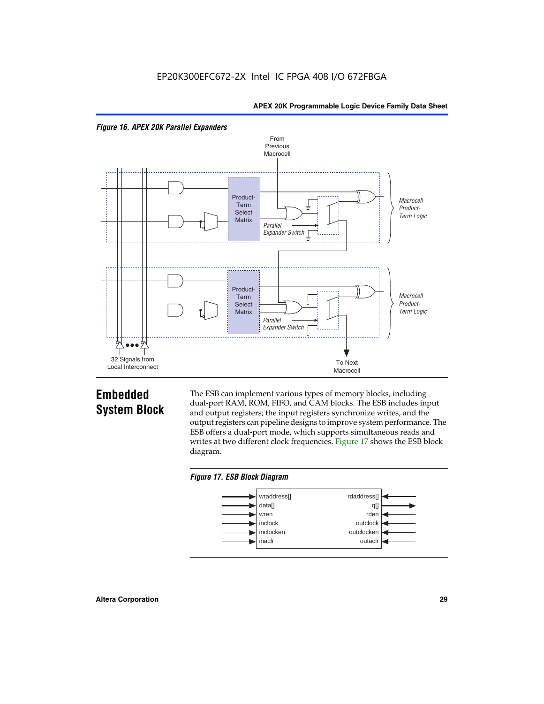



## **Embedded System Block**

The ESB can implement various types of memory blocks, including dual-port RAM, ROM, FIFO, and CAM blocks. The ESB includes input and output registers; the input registers synchronize writes, and the output registers can pipeline designs to improve system performance. The ESB offers a dual-port mode, which supports simultaneous reads and writes at two different clock frequencies. Figure 17 shows the ESB block diagram.



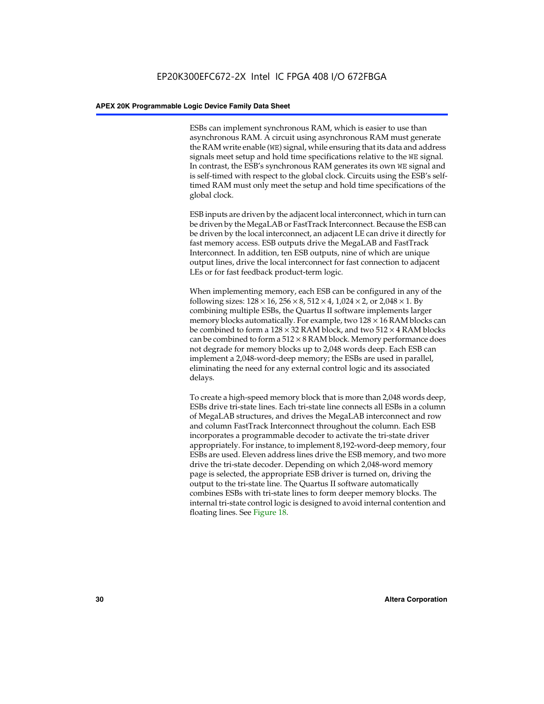ESBs can implement synchronous RAM, which is easier to use than asynchronous RAM. A circuit using asynchronous RAM must generate the RAM write enable (WE) signal, while ensuring that its data and address signals meet setup and hold time specifications relative to the WE signal. In contrast, the ESB's synchronous RAM generates its own WE signal and is self-timed with respect to the global clock. Circuits using the ESB's selftimed RAM must only meet the setup and hold time specifications of the global clock.

ESB inputs are driven by the adjacent local interconnect, which in turn can be driven by the MegaLAB or FastTrack Interconnect. Because the ESB can be driven by the local interconnect, an adjacent LE can drive it directly for fast memory access. ESB outputs drive the MegaLAB and FastTrack Interconnect. In addition, ten ESB outputs, nine of which are unique output lines, drive the local interconnect for fast connection to adjacent LEs or for fast feedback product-term logic.

When implementing memory, each ESB can be configured in any of the following sizes:  $128 \times 16$ ,  $256 \times 8$ ,  $512 \times 4$ ,  $1,024 \times 2$ , or  $2,048 \times 1$ . By combining multiple ESBs, the Quartus II software implements larger memory blocks automatically. For example, two  $128 \times 16$  RAM blocks can be combined to form a  $128 \times 32$  RAM block, and two  $512 \times 4$  RAM blocks can be combined to form a  $512 \times 8$  RAM block. Memory performance does not degrade for memory blocks up to 2,048 words deep. Each ESB can implement a 2,048-word-deep memory; the ESBs are used in parallel, eliminating the need for any external control logic and its associated delays.

To create a high-speed memory block that is more than 2,048 words deep, ESBs drive tri-state lines. Each tri-state line connects all ESBs in a column of MegaLAB structures, and drives the MegaLAB interconnect and row and column FastTrack Interconnect throughout the column. Each ESB incorporates a programmable decoder to activate the tri-state driver appropriately. For instance, to implement 8,192-word-deep memory, four ESBs are used. Eleven address lines drive the ESB memory, and two more drive the tri-state decoder. Depending on which 2,048-word memory page is selected, the appropriate ESB driver is turned on, driving the output to the tri-state line. The Quartus II software automatically combines ESBs with tri-state lines to form deeper memory blocks. The internal tri-state control logic is designed to avoid internal contention and floating lines. See Figure 18.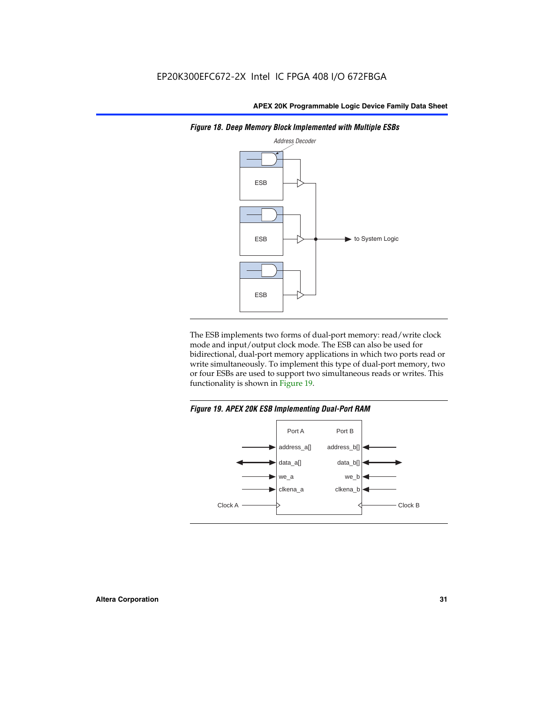

*Figure 18. Deep Memory Block Implemented with Multiple ESBs*

The ESB implements two forms of dual-port memory: read/write clock mode and input/output clock mode. The ESB can also be used for bidirectional, dual-port memory applications in which two ports read or write simultaneously. To implement this type of dual-port memory, two or four ESBs are used to support two simultaneous reads or writes. This functionality is shown in Figure 19.

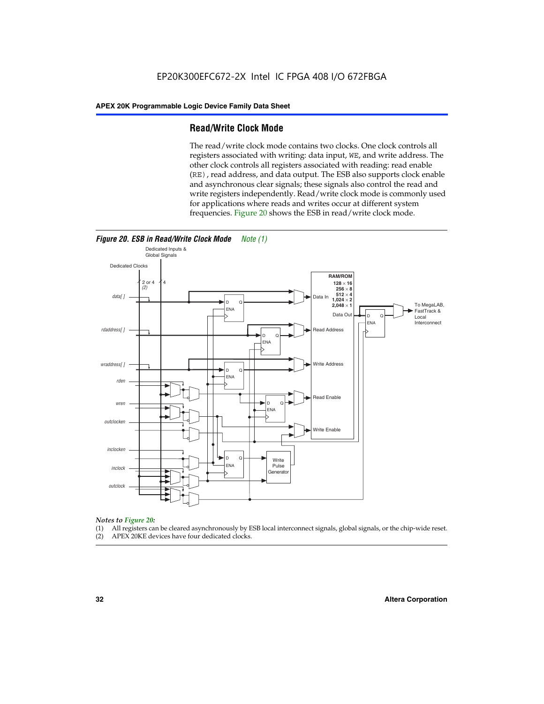#### **Read/Write Clock Mode**

The read/write clock mode contains two clocks. One clock controls all registers associated with writing: data input, WE, and write address. The other clock controls all registers associated with reading: read enable (RE), read address, and data output. The ESB also supports clock enable and asynchronous clear signals; these signals also control the read and write registers independently. Read/write clock mode is commonly used for applications where reads and writes occur at different system frequencies. Figure 20 shows the ESB in read/write clock mode.



## *Notes to Figure 20:*

- (1) All registers can be cleared asynchronously by ESB local interconnect signals, global signals, or the chip-wide reset.
- (2) APEX 20KE devices have four dedicated clocks.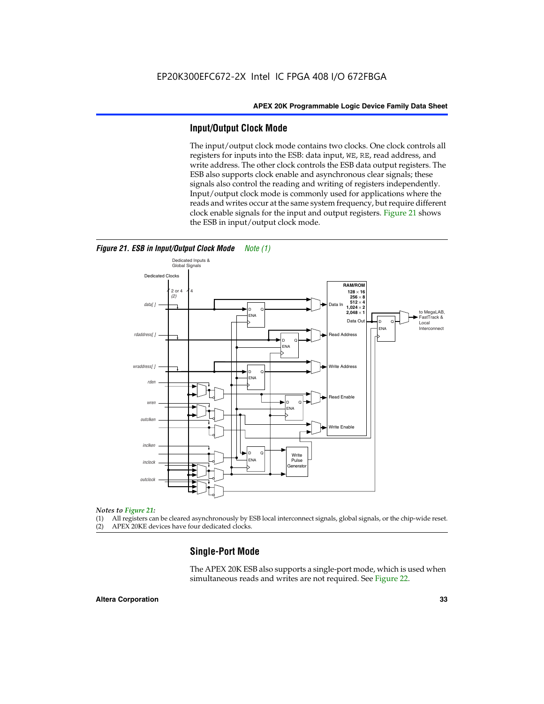#### **Input/Output Clock Mode**

The input/output clock mode contains two clocks. One clock controls all registers for inputs into the ESB: data input, WE, RE, read address, and write address. The other clock controls the ESB data output registers. The ESB also supports clock enable and asynchronous clear signals; these signals also control the reading and writing of registers independently. Input/output clock mode is commonly used for applications where the reads and writes occur at the same system frequency, but require different clock enable signals for the input and output registers. Figure 21 shows the ESB in input/output clock mode.



#### *Figure 21. ESB in Input/Output Clock Mode Note (1)*

#### *Notes to Figure 21:*

(1) All registers can be cleared asynchronously by ESB local interconnect signals, global signals, or the chip-wide reset. (2) APEX 20KE devices have four dedicated clocks.

## **Single-Port Mode**

The APEX 20K ESB also supports a single-port mode, which is used when simultaneous reads and writes are not required. See Figure 22.

#### **Altera Corporation 33**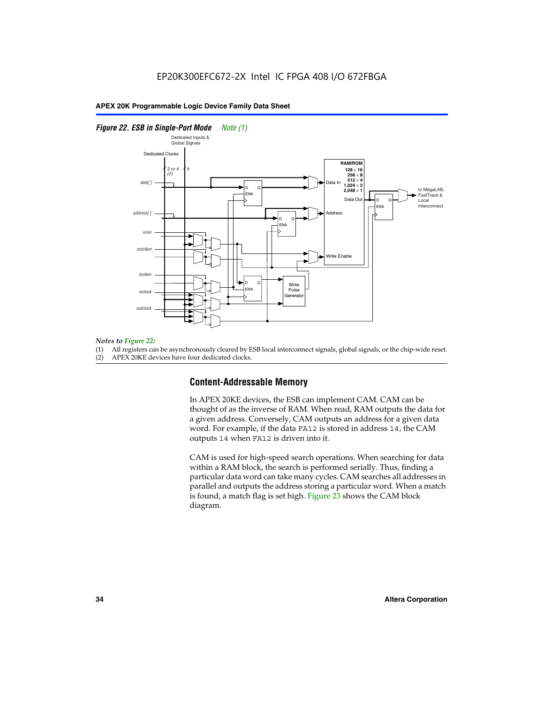#### *Figure 22. ESB in Single-Port Mode Note (1)*



#### *Notes to Figure 22:*

(1) All registers can be asynchronously cleared by ESB local interconnect signals, global signals, or the chip-wide reset.

(2) APEX 20KE devices have four dedicated clocks.

#### **Content-Addressable Memory**

In APEX 20KE devices, the ESB can implement CAM. CAM can be thought of as the inverse of RAM. When read, RAM outputs the data for a given address. Conversely, CAM outputs an address for a given data word. For example, if the data FA12 is stored in address 14, the CAM outputs 14 when FA12 is driven into it.

CAM is used for high-speed search operations. When searching for data within a RAM block, the search is performed serially. Thus, finding a particular data word can take many cycles. CAM searches all addresses in parallel and outputs the address storing a particular word. When a match is found, a match flag is set high. Figure 23 shows the CAM block diagram.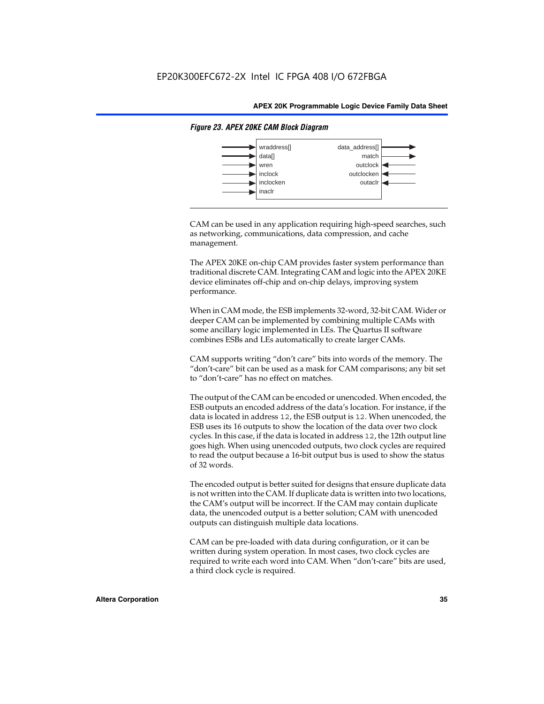

#### *Figure 23. APEX 20KE CAM Block Diagram*

CAM can be used in any application requiring high-speed searches, such as networking, communications, data compression, and cache management.

The APEX 20KE on-chip CAM provides faster system performance than traditional discrete CAM. Integrating CAM and logic into the APEX 20KE device eliminates off-chip and on-chip delays, improving system performance.

When in CAM mode, the ESB implements 32-word, 32-bit CAM. Wider or deeper CAM can be implemented by combining multiple CAMs with some ancillary logic implemented in LEs. The Quartus II software combines ESBs and LEs automatically to create larger CAMs.

CAM supports writing "don't care" bits into words of the memory. The "don't-care" bit can be used as a mask for CAM comparisons; any bit set to "don't-care" has no effect on matches.

The output of the CAM can be encoded or unencoded. When encoded, the ESB outputs an encoded address of the data's location. For instance, if the data is located in address 12, the ESB output is 12. When unencoded, the ESB uses its 16 outputs to show the location of the data over two clock cycles. In this case, if the data is located in address 12, the 12th output line goes high. When using unencoded outputs, two clock cycles are required to read the output because a 16-bit output bus is used to show the status of 32 words.

The encoded output is better suited for designs that ensure duplicate data is not written into the CAM. If duplicate data is written into two locations, the CAM's output will be incorrect. If the CAM may contain duplicate data, the unencoded output is a better solution; CAM with unencoded outputs can distinguish multiple data locations.

CAM can be pre-loaded with data during configuration, or it can be written during system operation. In most cases, two clock cycles are required to write each word into CAM. When "don't-care" bits are used, a third clock cycle is required.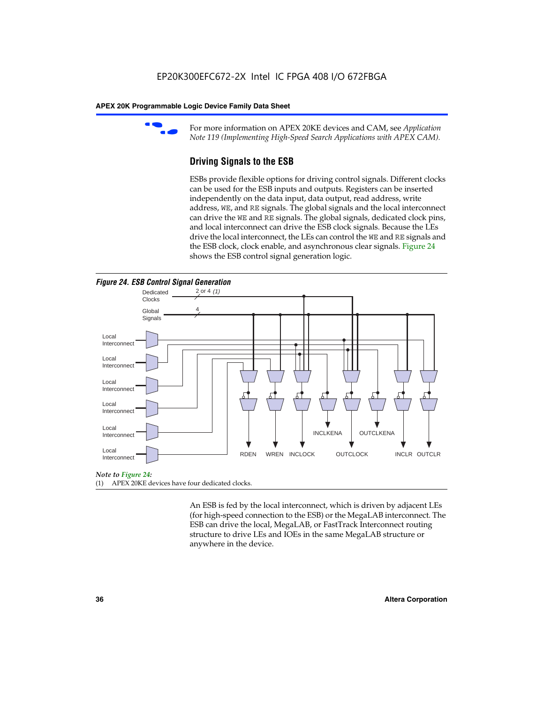

For more information on APEX 20KE devices and CAM, see *Application Note 119 (Implementing High-Speed Search Applications with APEX CAM).*

# **Driving Signals to the ESB**

ESBs provide flexible options for driving control signals. Different clocks can be used for the ESB inputs and outputs. Registers can be inserted independently on the data input, data output, read address, write address, WE, and RE signals. The global signals and the local interconnect can drive the WE and RE signals. The global signals, dedicated clock pins, and local interconnect can drive the ESB clock signals. Because the LEs drive the local interconnect, the LEs can control the WE and RE signals and the ESB clock, clock enable, and asynchronous clear signals. Figure 24 shows the ESB control signal generation logic.





#### *Note to Figure 24:*

(1) APEX 20KE devices have four dedicated clocks.

An ESB is fed by the local interconnect, which is driven by adjacent LEs (for high-speed connection to the ESB) or the MegaLAB interconnect. The ESB can drive the local, MegaLAB, or FastTrack Interconnect routing structure to drive LEs and IOEs in the same MegaLAB structure or anywhere in the device.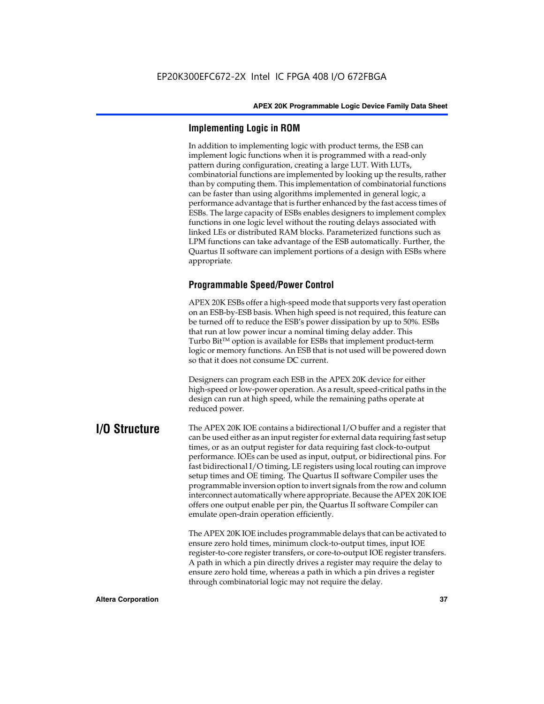# **Implementing Logic in ROM**

In addition to implementing logic with product terms, the ESB can implement logic functions when it is programmed with a read-only pattern during configuration, creating a large LUT. With LUTs, combinatorial functions are implemented by looking up the results, rather than by computing them. This implementation of combinatorial functions can be faster than using algorithms implemented in general logic, a performance advantage that is further enhanced by the fast access times of ESBs. The large capacity of ESBs enables designers to implement complex functions in one logic level without the routing delays associated with linked LEs or distributed RAM blocks. Parameterized functions such as LPM functions can take advantage of the ESB automatically. Further, the Quartus II software can implement portions of a design with ESBs where appropriate.

# **Programmable Speed/Power Control**

APEX 20K ESBs offer a high-speed mode that supports very fast operation on an ESB-by-ESB basis. When high speed is not required, this feature can be turned off to reduce the ESB's power dissipation by up to 50%. ESBs that run at low power incur a nominal timing delay adder. This Turbo  $Bit^{TM}$  option is available for ESBs that implement product-term logic or memory functions. An ESB that is not used will be powered down so that it does not consume DC current.

Designers can program each ESB in the APEX 20K device for either high-speed or low-power operation. As a result, speed-critical paths in the design can run at high speed, while the remaining paths operate at reduced power.

**I/O Structure** The APEX 20K IOE contains a bidirectional I/O buffer and a register that can be used either as an input register for external data requiring fast setup times, or as an output register for data requiring fast clock-to-output performance. IOEs can be used as input, output, or bidirectional pins. For fast bidirectional I/O timing, LE registers using local routing can improve setup times and OE timing. The Quartus II software Compiler uses the programmable inversion option to invert signals from the row and column interconnect automatically where appropriate. Because the APEX 20K IOE offers one output enable per pin, the Quartus II software Compiler can emulate open-drain operation efficiently.

> The APEX 20K IOE includes programmable delays that can be activated to ensure zero hold times, minimum clock-to-output times, input IOE register-to-core register transfers, or core-to-output IOE register transfers. A path in which a pin directly drives a register may require the delay to ensure zero hold time, whereas a path in which a pin drives a register through combinatorial logic may not require the delay.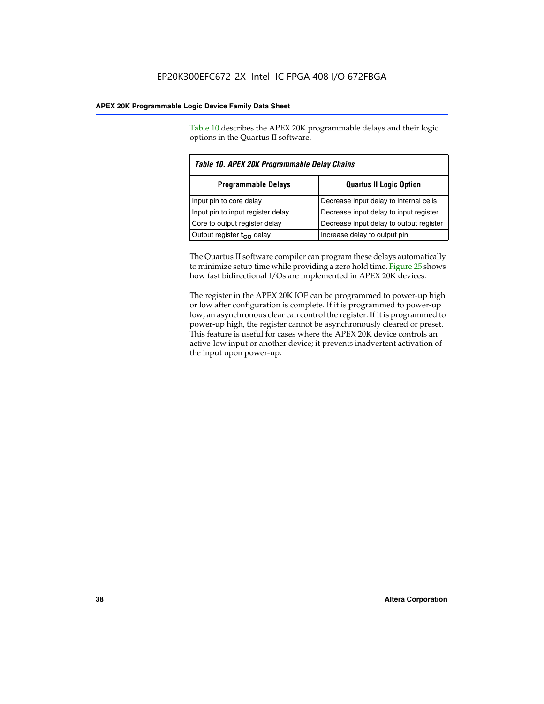Table 10 describes the APEX 20K programmable delays and their logic options in the Quartus II software.

| Table 10. APEX 20K Programmable Delay Chains |                                         |  |  |
|----------------------------------------------|-----------------------------------------|--|--|
| <b>Programmable Delays</b>                   | <b>Quartus II Logic Option</b>          |  |  |
| Input pin to core delay                      | Decrease input delay to internal cells  |  |  |
| Input pin to input register delay            | Decrease input delay to input register  |  |  |
| Core to output register delay                | Decrease input delay to output register |  |  |
| Output register $t_{\rm CO}$ delay           | Increase delay to output pin            |  |  |

The Quartus II software compiler can program these delays automatically to minimize setup time while providing a zero hold time. Figure 25 shows how fast bidirectional I/Os are implemented in APEX 20K devices.

The register in the APEX 20K IOE can be programmed to power-up high or low after configuration is complete. If it is programmed to power-up low, an asynchronous clear can control the register. If it is programmed to power-up high, the register cannot be asynchronously cleared or preset. This feature is useful for cases where the APEX 20K device controls an active-low input or another device; it prevents inadvertent activation of the input upon power-up.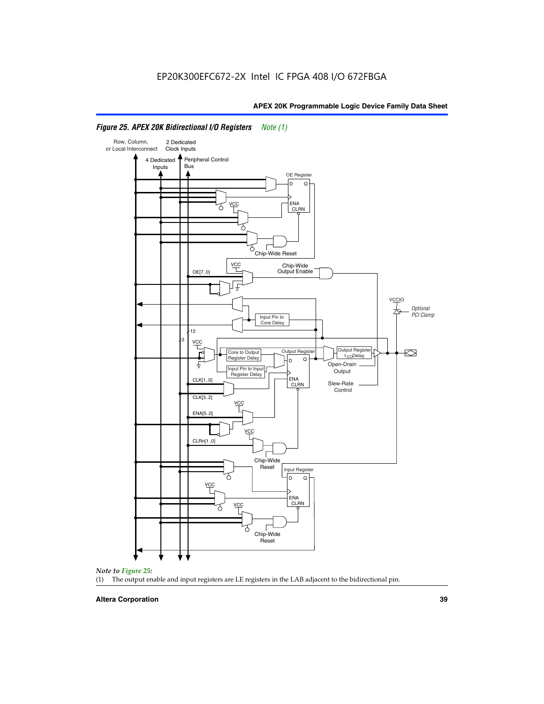

# *Figure 25. APEX 20K Bidirectional I/O Registers Note (1)*



#### **Altera Corporation 39**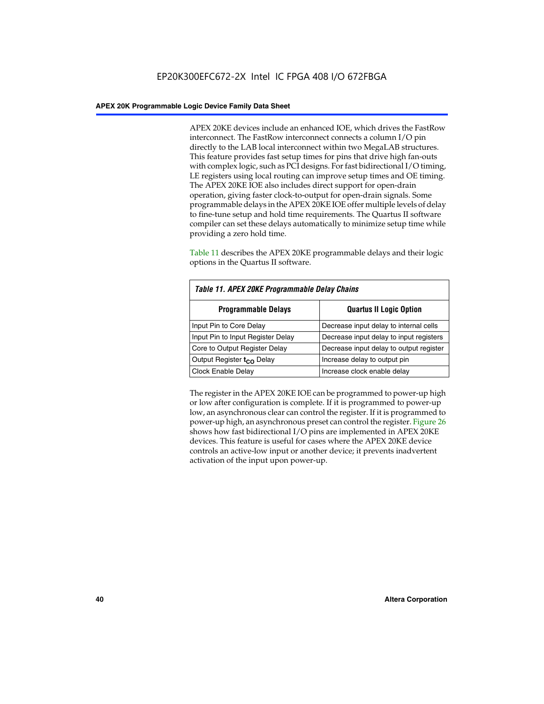APEX 20KE devices include an enhanced IOE, which drives the FastRow interconnect. The FastRow interconnect connects a column I/O pin directly to the LAB local interconnect within two MegaLAB structures. This feature provides fast setup times for pins that drive high fan-outs with complex logic, such as PCI designs. For fast bidirectional I/O timing, LE registers using local routing can improve setup times and OE timing. The APEX 20KE IOE also includes direct support for open-drain operation, giving faster clock-to-output for open-drain signals. Some programmable delays in the APEX 20KE IOE offer multiple levels of delay to fine-tune setup and hold time requirements. The Quartus II software compiler can set these delays automatically to minimize setup time while providing a zero hold time.

Table 11 describes the APEX 20KE programmable delays and their logic options in the Quartus II software.

| Table 11. APEX 20KE Programmable Delay Chains |                                         |  |  |  |
|-----------------------------------------------|-----------------------------------------|--|--|--|
| <b>Programmable Delays</b>                    | <b>Quartus II Logic Option</b>          |  |  |  |
| Input Pin to Core Delay                       | Decrease input delay to internal cells  |  |  |  |
| Input Pin to Input Register Delay             | Decrease input delay to input registers |  |  |  |
| Core to Output Register Delay                 | Decrease input delay to output register |  |  |  |
| Output Register t <sub>CO</sub> Delay         | Increase delay to output pin            |  |  |  |
| <b>Clock Enable Delay</b>                     | Increase clock enable delay             |  |  |  |

The register in the APEX 20KE IOE can be programmed to power-up high or low after configuration is complete. If it is programmed to power-up low, an asynchronous clear can control the register. If it is programmed to power-up high, an asynchronous preset can control the register. Figure 26 shows how fast bidirectional I/O pins are implemented in APEX 20KE devices. This feature is useful for cases where the APEX 20KE device controls an active-low input or another device; it prevents inadvertent activation of the input upon power-up.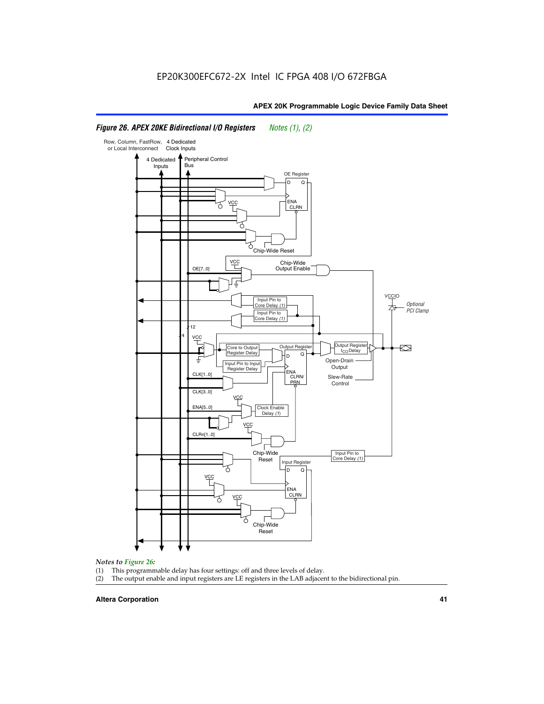#### Row, Column, FastRow, 4 Dedicated or Local Interconnect Clock Inputs Peripheral Control 4 Dedicated **Bus** Inputs OE Register D Q ENA VCC CLRN 7 Chip-Wide Reset vcc Chip-Wide Output Enable OE[7..0] VC Input Pin to **Optional** Core Delay (1) PCI Clamp Input Pin to Core Delay (1) 12 4 **VCC** Output Register **Output Registe**  $\approx$ Core to Output | Output Hegister | Durbut Tropieding | Contput Tropieding | Durbut Tropieding | Output Tropied<br>Register Delay | Durbut Tropieding | Contput Tropieding | Contput Tropieding | O t<sub>CO</sub>Delay  $D$  Q ŧ Open-Drain Input Pin to Input **Output** Register Delay ENA CLK[1..0] CLRN/ Slew-Rate PR<sub>N</sub> Control CLK[3..0] VCC ENA[5..0] Clock Enable Delay (1) VCC CLRn[1..0] Chip-Wide Input Pin to Core Delay (1) Reset Input Register D Q <u>vcc</u> .<br>ENA CLRN **VCC** Chip-Wide Reset

# *Figure 26. APEX 20KE Bidirectional I/O Registers Notes (1), (2)*

#### *Notes to Figure 26:*

- (1) This programmable delay has four settings: off and three levels of delay.<br>(2) The output enable and input registers are LE registers in the LAB adjacer
- The output enable and input registers are LE registers in the LAB adjacent to the bidirectional pin.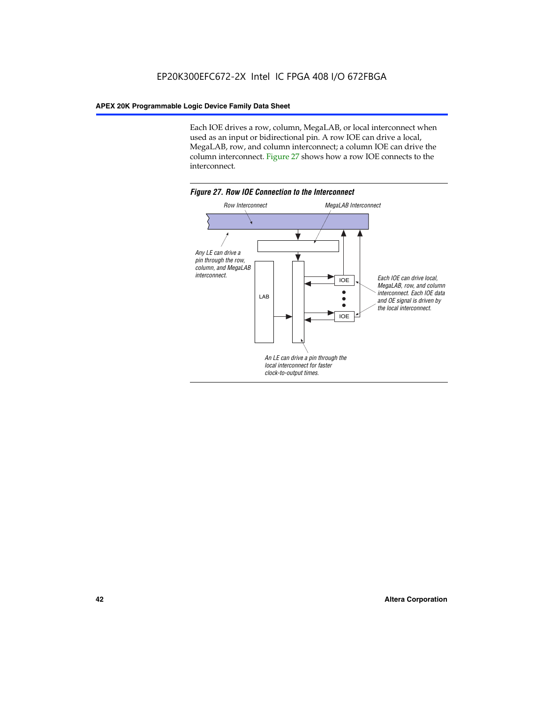Each IOE drives a row, column, MegaLAB, or local interconnect when used as an input or bidirectional pin. A row IOE can drive a local, MegaLAB, row, and column interconnect; a column IOE can drive the column interconnect. Figure 27 shows how a row IOE connects to the interconnect.

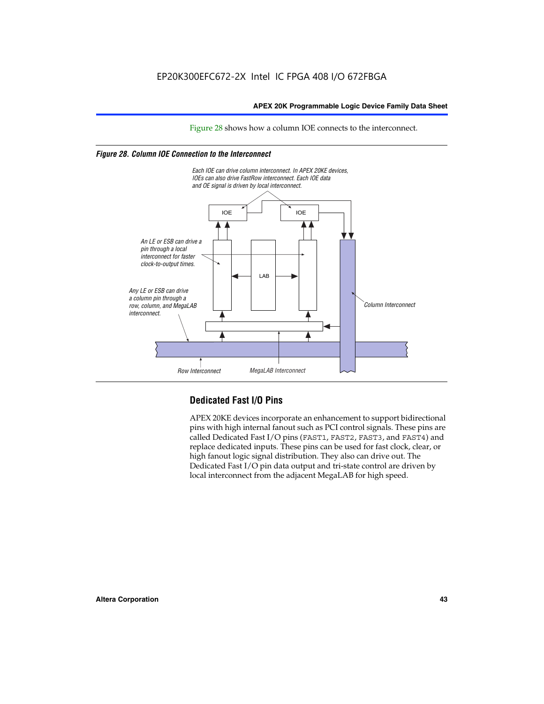Figure 28 shows how a column IOE connects to the interconnect.

# *Figure 28. Column IOE Connection to the Interconnect*



# **Dedicated Fast I/O Pins**

APEX 20KE devices incorporate an enhancement to support bidirectional pins with high internal fanout such as PCI control signals. These pins are called Dedicated Fast I/O pins (FAST1, FAST2, FAST3, and FAST4) and replace dedicated inputs. These pins can be used for fast clock, clear, or high fanout logic signal distribution. They also can drive out. The Dedicated Fast I/O pin data output and tri-state control are driven by local interconnect from the adjacent MegaLAB for high speed.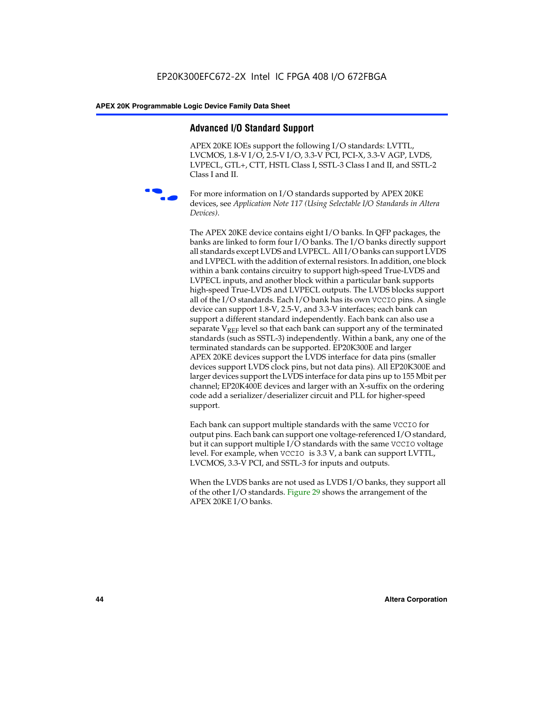# **Advanced I/O Standard Support**

APEX 20KE IOEs support the following I/O standards: LVTTL, LVCMOS, 1.8-V I/O, 2.5-V I/O, 3.3-V PCI, PCI-X, 3.3-V AGP, LVDS, LVPECL, GTL+, CTT, HSTL Class I, SSTL-3 Class I and II, and SSTL-2 Class I and II.



For more information on I/O standards supported by APEX 20KE devices, see *Application Note 117 (Using Selectable I/O Standards in Altera Devices)*.

The APEX 20KE device contains eight I/O banks. In QFP packages, the banks are linked to form four I/O banks. The I/O banks directly support all standards except LVDS and LVPECL. All I/O banks can support LVDS and LVPECL with the addition of external resistors. In addition, one block within a bank contains circuitry to support high-speed True-LVDS and LVPECL inputs, and another block within a particular bank supports high-speed True-LVDS and LVPECL outputs. The LVDS blocks support all of the I/O standards. Each I/O bank has its own VCCIO pins. A single device can support 1.8-V, 2.5-V, and 3.3-V interfaces; each bank can support a different standard independently. Each bank can also use a separate  $V_{\text{REF}}$  level so that each bank can support any of the terminated standards (such as SSTL-3) independently. Within a bank, any one of the terminated standards can be supported. EP20K300E and larger APEX 20KE devices support the LVDS interface for data pins (smaller devices support LVDS clock pins, but not data pins). All EP20K300E and larger devices support the LVDS interface for data pins up to 155 Mbit per channel; EP20K400E devices and larger with an X-suffix on the ordering code add a serializer/deserializer circuit and PLL for higher-speed support.

Each bank can support multiple standards with the same VCCIO for output pins. Each bank can support one voltage-referenced I/O standard, but it can support multiple I/O standards with the same VCCIO voltage level. For example, when VCCIO is 3.3 V, a bank can support LVTTL, LVCMOS, 3.3-V PCI, and SSTL-3 for inputs and outputs.

When the LVDS banks are not used as LVDS I/O banks, they support all of the other I/O standards. Figure 29 shows the arrangement of the APEX 20KE I/O banks.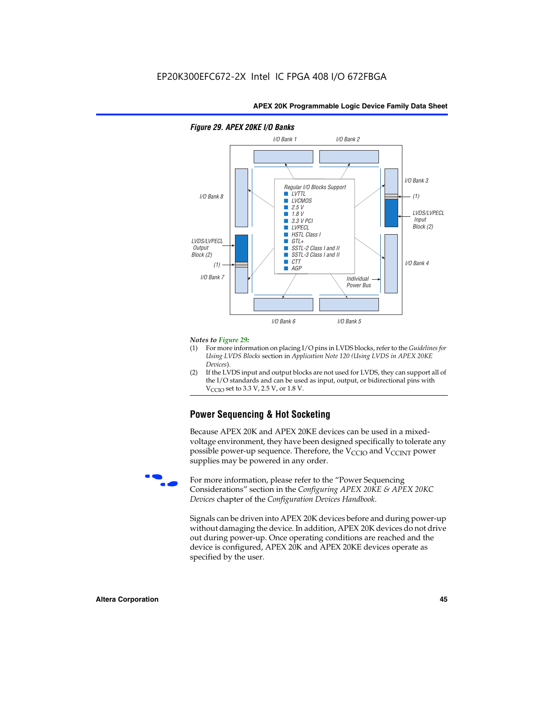

# *Figure 29. APEX 20KE I/O Banks*

#### *Notes to Figure 29:*

- (1) For more information on placing I/O pins in LVDS blocks, refer to the *Guidelines for Using LVDS Blocks* section in *Application Note 120 (Using LVDS in APEX 20KE Devices*).
- (2) If the LVDS input and output blocks are not used for LVDS, they can support all of the I/O standards and can be used as input, output, or bidirectional pins with  $V_{\text{C} \cap \text{O}}$  set to 3.3 V, 2.5 V, or 1.8 V.

# **Power Sequencing & Hot Socketing**

Because APEX 20K and APEX 20KE devices can be used in a mixedvoltage environment, they have been designed specifically to tolerate any possible power-up sequence. Therefore, the  $V_{\text{CCIO}}$  and  $V_{\text{CCINT}}$  power supplies may be powered in any order.

For more information, please refer to the "Power Sequencing Considerations" section in the *Configuring APEX 20KE & APEX 20KC Devices* chapter of the *Configuration Devices Handbook*.

Signals can be driven into APEX 20K devices before and during power-up without damaging the device. In addition, APEX 20K devices do not drive out during power-up. Once operating conditions are reached and the device is configured, APEX 20K and APEX 20KE devices operate as specified by the user.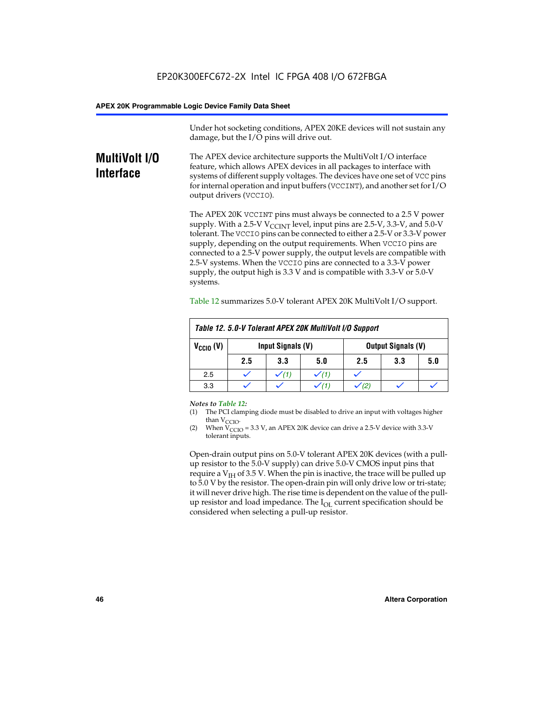Under hot socketing conditions, APEX 20KE devices will not sustain any damage, but the I/O pins will drive out.

# **MultiVolt I/O Interface**

The APEX device architecture supports the MultiVolt I/O interface feature, which allows APEX devices in all packages to interface with systems of different supply voltages. The devices have one set of VCC pins for internal operation and input buffers (VCCINT), and another set for I/O output drivers (VCCIO).

The APEX 20K VCCINT pins must always be connected to a 2.5 V power supply. With a 2.5-V  $V_{\text{CCMT}}$  level, input pins are 2.5-V, 3.3-V, and 5.0-V tolerant. The VCCIO pins can be connected to either a 2.5-V or 3.3-V power supply, depending on the output requirements. When VCCIO pins are connected to a 2.5-V power supply, the output levels are compatible with 2.5-V systems. When the VCCIO pins are connected to a 3.3-V power supply, the output high is 3.3 V and is compatible with 3.3-V or 5.0-V systems.

| Table 12. 5.0-V Tolerant APEX 20K MultiVolt I/O Support |                                                |                  |     |     |     |     |
|---------------------------------------------------------|------------------------------------------------|------------------|-----|-----|-----|-----|
| $V_{\text{CCIO}}(V)$                                    | Input Signals (V)<br><b>Output Signals (V)</b> |                  |     |     |     |     |
|                                                         | 2.5                                            | 3.3              | 5.0 | 2.5 | 3.3 | 5.0 |
| 2.5                                                     |                                                | $\checkmark$ (1) |     |     |     |     |
| 3.3                                                     |                                                |                  |     |     |     |     |

Table 12 summarizes 5.0-V tolerant APEX 20K MultiVolt I/O support.

#### *Notes to Table 12:*

- (1) The PCI clamping diode must be disabled to drive an input with voltages higher than  $V_{CCIO}$ .
- (2) When  $V_{CCIO} = 3.3 V$ , an APEX 20K device can drive a 2.5-V device with 3.3-V tolerant inputs.

Open-drain output pins on 5.0-V tolerant APEX 20K devices (with a pullup resistor to the 5.0-V supply) can drive 5.0-V CMOS input pins that require a  $V_{IH}$  of 3.5 V. When the pin is inactive, the trace will be pulled up to 5.0 V by the resistor. The open-drain pin will only drive low or tri-state; it will never drive high. The rise time is dependent on the value of the pullup resistor and load impedance. The  $I_{OI}$  current specification should be considered when selecting a pull-up resistor.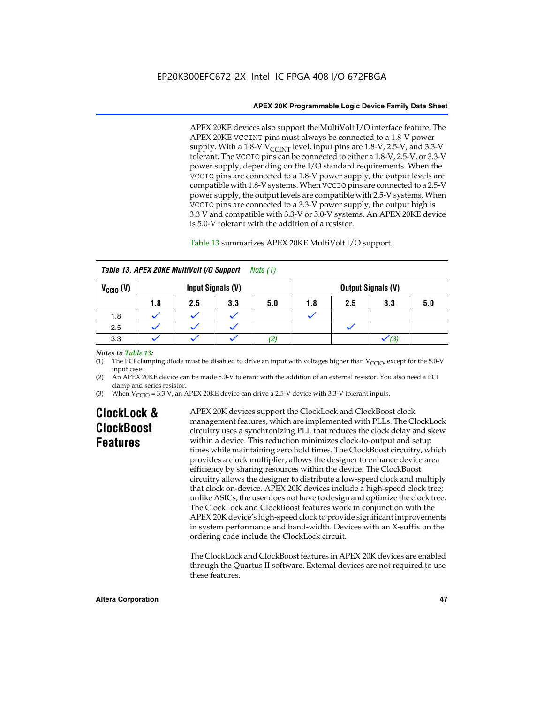APEX 20KE devices also support the MultiVolt I/O interface feature. The APEX 20KE VCCINT pins must always be connected to a 1.8-V power supply. With a 1.8-V  $V_{\text{CCINT}}$  level, input pins are 1.8-V, 2.5-V, and 3.3-V tolerant. The VCCIO pins can be connected to either a 1.8-V, 2.5-V, or 3.3-V power supply, depending on the I/O standard requirements. When the VCCIO pins are connected to a 1.8-V power supply, the output levels are compatible with 1.8-V systems. When VCCIO pins are connected to a 2.5-V power supply, the output levels are compatible with 2.5-V systems. When VCCIO pins are connected to a 3.3-V power supply, the output high is 3.3 V and compatible with 3.3-V or 5.0-V systems. An APEX 20KE device is 5.0-V tolerant with the addition of a resistor.

# Table 13 summarizes APEX 20KE MultiVolt I/O support.

|                                                  | Table 13. APEX 20KE MultiVolt I/O Support<br><i>Note</i> $(1)$ |     |     |     |     |                           |     |     |
|--------------------------------------------------|----------------------------------------------------------------|-----|-----|-----|-----|---------------------------|-----|-----|
| $V_{\text{CCIO}}(V)$<br><b>Input Signals (V)</b> |                                                                |     |     |     |     | <b>Output Signals (V)</b> |     |     |
|                                                  | 1.8                                                            | 2.5 | 3.3 | 5.0 | 1.8 | 2.5                       | 3.3 | 5.0 |
| 1.8                                              |                                                                |     |     |     |     |                           |     |     |
| 2.5                                              |                                                                |     |     |     |     |                           |     |     |
| 3.3                                              |                                                                |     |     | (2, |     |                           | (3) |     |

## *Notes to Table 13:*

(1) The PCI clamping diode must be disabled to drive an input with voltages higher than  $V_{CCIO}$ , except for the 5.0-V input case.

(2) An APEX 20KE device can be made 5.0-V tolerant with the addition of an external resistor. You also need a PCI clamp and series resistor.

(3) When  $V_{\text{CCIO}} = 3.3$  V, an APEX 20KE device can drive a 2.5-V device with 3.3-V tolerant inputs.

# **ClockLock & ClockBoost Features**

APEX 20K devices support the ClockLock and ClockBoost clock management features, which are implemented with PLLs. The ClockLock circuitry uses a synchronizing PLL that reduces the clock delay and skew within a device. This reduction minimizes clock-to-output and setup times while maintaining zero hold times. The ClockBoost circuitry, which provides a clock multiplier, allows the designer to enhance device area efficiency by sharing resources within the device. The ClockBoost circuitry allows the designer to distribute a low-speed clock and multiply that clock on-device. APEX 20K devices include a high-speed clock tree; unlike ASICs, the user does not have to design and optimize the clock tree. The ClockLock and ClockBoost features work in conjunction with the APEX 20K device's high-speed clock to provide significant improvements in system performance and band-width. Devices with an X-suffix on the ordering code include the ClockLock circuit.

The ClockLock and ClockBoost features in APEX 20K devices are enabled through the Quartus II software. External devices are not required to use these features.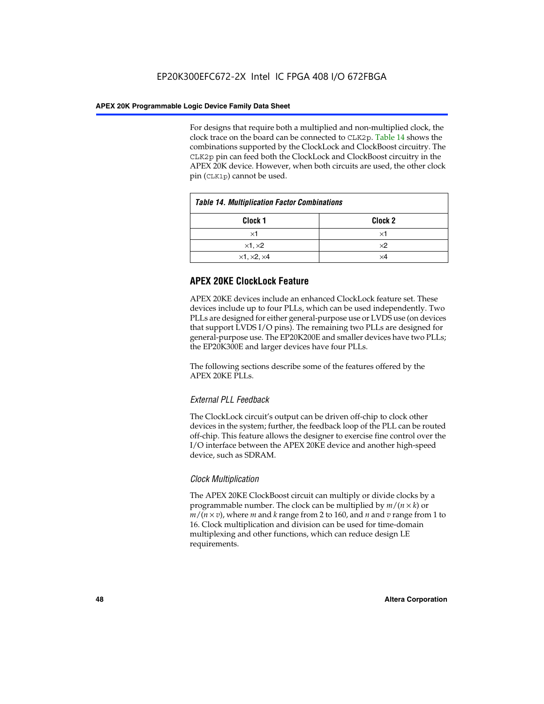For designs that require both a multiplied and non-multiplied clock, the clock trace on the board can be connected to CLK2p. Table 14 shows the combinations supported by the ClockLock and ClockBoost circuitry. The CLK2p pin can feed both the ClockLock and ClockBoost circuitry in the APEX 20K device. However, when both circuits are used, the other clock pin (CLK1p) cannot be used.

| <b>Table 14. Multiplication Factor Combinations</b> |                    |  |
|-----------------------------------------------------|--------------------|--|
| Clock 1                                             | Clock <sub>2</sub> |  |
| $\times$ 1                                          | ×1                 |  |
| $\times$ 1, $\times$ 2                              | $\times 2$         |  |
| $\times$ 1, $\times$ 2, $\times$ 4                  | ×4                 |  |

# **APEX 20KE ClockLock Feature**

APEX 20KE devices include an enhanced ClockLock feature set. These devices include up to four PLLs, which can be used independently. Two PLLs are designed for either general-purpose use or LVDS use (on devices that support LVDS I/O pins). The remaining two PLLs are designed for general-purpose use. The EP20K200E and smaller devices have two PLLs; the EP20K300E and larger devices have four PLLs.

The following sections describe some of the features offered by the APEX 20KE PLLs.

# *External PLL Feedback*

The ClockLock circuit's output can be driven off-chip to clock other devices in the system; further, the feedback loop of the PLL can be routed off-chip. This feature allows the designer to exercise fine control over the I/O interface between the APEX 20KE device and another high-speed device, such as SDRAM.

# *Clock Multiplication*

The APEX 20KE ClockBoost circuit can multiply or divide clocks by a programmable number. The clock can be multiplied by *m*/(*n* × *k*) or  $m/(n \times v)$ , where *m* and *k* range from 2 to 160, and *n* and *v* range from 1 to 16. Clock multiplication and division can be used for time-domain multiplexing and other functions, which can reduce design LE requirements.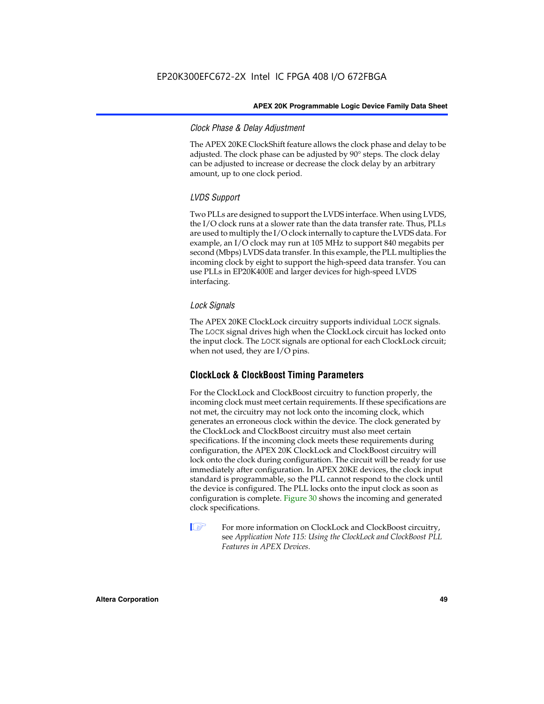# *Clock Phase & Delay Adjustment*

The APEX 20KE ClockShift feature allows the clock phase and delay to be adjusted. The clock phase can be adjusted by 90° steps. The clock delay can be adjusted to increase or decrease the clock delay by an arbitrary amount, up to one clock period.

# *LVDS Support*

Two PLLs are designed to support the LVDS interface. When using LVDS, the I/O clock runs at a slower rate than the data transfer rate. Thus, PLLs are used to multiply the I/O clock internally to capture the LVDS data. For example, an I/O clock may run at 105 MHz to support 840 megabits per second (Mbps) LVDS data transfer. In this example, the PLL multiplies the incoming clock by eight to support the high-speed data transfer. You can use PLLs in EP20K400E and larger devices for high-speed LVDS interfacing.

# *Lock Signals*

The APEX 20KE ClockLock circuitry supports individual LOCK signals. The LOCK signal drives high when the ClockLock circuit has locked onto the input clock. The LOCK signals are optional for each ClockLock circuit; when not used, they are I/O pins.

# **ClockLock & ClockBoost Timing Parameters**

For the ClockLock and ClockBoost circuitry to function properly, the incoming clock must meet certain requirements. If these specifications are not met, the circuitry may not lock onto the incoming clock, which generates an erroneous clock within the device. The clock generated by the ClockLock and ClockBoost circuitry must also meet certain specifications. If the incoming clock meets these requirements during configuration, the APEX 20K ClockLock and ClockBoost circuitry will lock onto the clock during configuration. The circuit will be ready for use immediately after configuration. In APEX 20KE devices, the clock input standard is programmable, so the PLL cannot respond to the clock until the device is configured. The PLL locks onto the input clock as soon as configuration is complete. Figure 30 shows the incoming and generated clock specifications.

 $\mathbb{I} \mathcal{F}$  For more information on ClockLock and ClockBoost circuitry, see *Application Note 115: Using the ClockLock and ClockBoost PLL Features in APEX Devices*.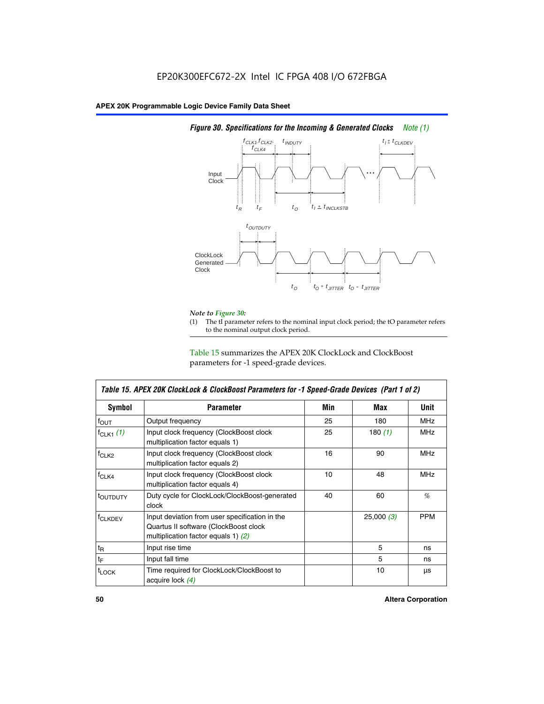

# *Figure 30. Specifications for the Incoming & Generated Clocks Note (1)*

# *Note to Figure 30:*

The tI parameter refers to the nominal input clock period; the tO parameter refers to the nominal output clock period.

Table 15 summarizes the APEX 20K ClockLock and ClockBoost parameters for -1 speed-grade devices.

| Symbol                    | Table 15. APEX 20K ClockLock & ClockBoost Parameters for -1 Speed-Grade Devices (Part 1 of 2)<br><b>Parameter</b>                | Min | Max       | <b>Unit</b> |
|---------------------------|----------------------------------------------------------------------------------------------------------------------------------|-----|-----------|-------------|
| $f_{OUT}$                 | Output frequency                                                                                                                 | 25  | 180       | MHz         |
| $f_{CLK1}$ $(1)$          | Input clock frequency (ClockBoost clock<br>multiplication factor equals 1)                                                       | 25  | 180 $(1)$ | <b>MHz</b>  |
| $f_{CLK2}$                | Input clock frequency (ClockBoost clock<br>multiplication factor equals 2)                                                       | 16  | 90        | <b>MHz</b>  |
| $f_{CLK4}$                | Input clock frequency (ClockBoost clock<br>multiplication factor equals 4)                                                       | 10  | 48        | <b>MHz</b>  |
| toutputy                  | Duty cycle for ClockLock/ClockBoost-generated<br>clock                                                                           | 40  | 60        | %           |
| <b>f<sub>CLKDEV</sub></b> | Input deviation from user specification in the<br>Quartus II software (ClockBoost clock<br>multiplication factor equals 1) $(2)$ |     | 25,000(3) | <b>PPM</b>  |
| $t_{\mathsf{R}}$          | Input rise time                                                                                                                  |     | 5         | ns          |
| $t_{\text{F}}$            | Input fall time                                                                                                                  |     | 5         | ns          |
| <sup>t</sup> LOCK         | Time required for ClockLock/ClockBoost to<br>acquire lock (4)                                                                    |     | 10        | μs          |

 $\mathsf I$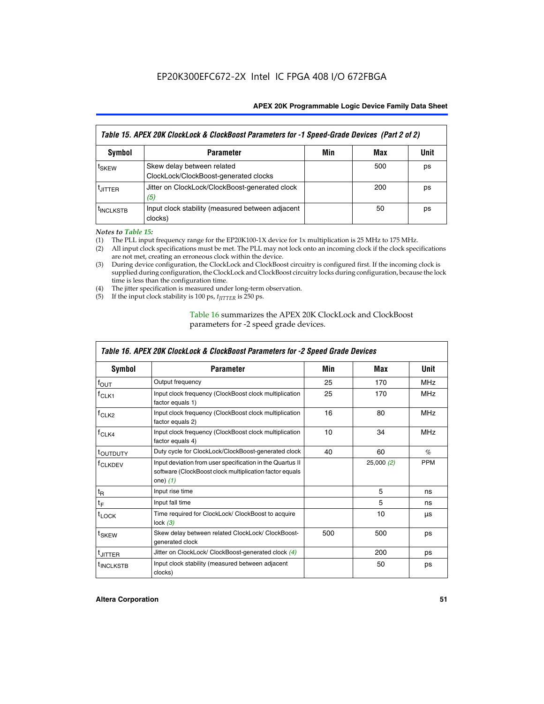| Table 15. APEX 20K ClockLock & ClockBoost Parameters for -1 Speed-Grade Devices (Part 2 of 2) |                                                                     |     |     |      |
|-----------------------------------------------------------------------------------------------|---------------------------------------------------------------------|-----|-----|------|
| <b>Symbol</b>                                                                                 | <b>Parameter</b>                                                    | Min | Max | Unit |
| t <sub>SKEW</sub>                                                                             | Skew delay between related<br>ClockLock/ClockBoost-generated clocks |     | 500 | ps   |
| <b>UITTER</b>                                                                                 | Jitter on ClockLock/ClockBoost-generated clock<br>(5)               |     | 200 | ps   |
| <b>INCLKSTB</b>                                                                               | Input clock stability (measured between adjacent<br>clocks)         |     | 50  | ps   |

*Notes to Table 15:*

- (1) The PLL input frequency range for the EP20K100-1X device for 1x multiplication is 25 MHz to 175 MHz.
- (2) All input clock specifications must be met. The PLL may not lock onto an incoming clock if the clock specifications are not met, creating an erroneous clock within the device.
- (3) During device configuration, the ClockLock and ClockBoost circuitry is configured first. If the incoming clock is supplied during configuration, the ClockLock and ClockBoost circuitry locks during configuration, because the lock time is less than the configuration time.
- (4) The jitter specification is measured under long-term observation.
- (5) If the input clock stability is 100 ps, *tJITTER* is 250 ps.

# Table 16 summarizes the APEX 20K ClockLock and ClockBoost parameters for -2 speed grade devices.

| Symbol                | <b>Parameter</b>                                                                                                                   | Min | Max       | Unit       |
|-----------------------|------------------------------------------------------------------------------------------------------------------------------------|-----|-----------|------------|
| $f_{OUT}$             | Output frequency                                                                                                                   | 25  | 170       | <b>MHz</b> |
| $t$ CLK <sub>1</sub>  | Input clock frequency (ClockBoost clock multiplication<br>factor equals 1)                                                         | 25  | 170       | <b>MHz</b> |
| $f_{CLK2}$            | Input clock frequency (ClockBoost clock multiplication<br>factor equals 2)                                                         | 16  | 80        | <b>MHz</b> |
| $f_{CLK4}$            | Input clock frequency (ClockBoost clock multiplication<br>factor equals 4)                                                         | 10  | 34        | <b>MHz</b> |
| <sup>τ</sup> ουτρυτγ  | Duty cycle for ClockLock/ClockBoost-generated clock                                                                                | 40  | 60        | $\%$       |
| <sup>T</sup> CLKDEV   | Input deviation from user specification in the Quartus II<br>software (ClockBoost clock multiplication factor equals<br>one) $(1)$ |     | 25,000(2) | <b>PPM</b> |
| $t_{\mathsf{R}}$      | Input rise time                                                                                                                    |     | 5         | ns         |
| $t_F$                 | Input fall time                                                                                                                    |     | 5         | ns         |
| $t_{\text{LOCK}}$     | Time required for ClockLock/ ClockBoost to acquire<br>lock $(3)$                                                                   |     | 10        | μs         |
| t <sub>SKEW</sub>     | Skew delay between related ClockLock/ ClockBoost-<br>generated clock                                                               | 500 | 500       | ps         |
| <sup>t</sup> JITTER   | Jitter on ClockLock/ ClockBoost-generated clock (4)                                                                                |     | 200       | ps         |
| <sup>I</sup> INCLKSTB | Input clock stability (measured between adjacent<br>clocks)                                                                        |     | 50        | ps         |

# *Table 16. APEX 20K ClockLock & ClockBoost Parameters for -2 Speed Grade Devices*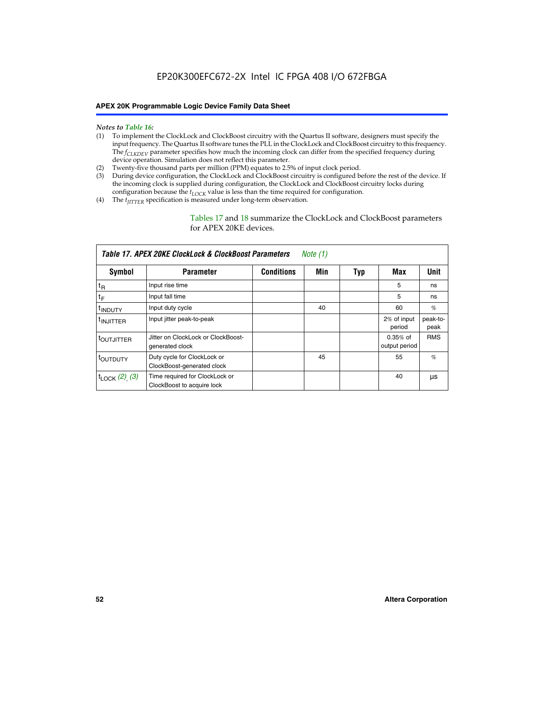- *Notes to Table 16:* (1) To implement the ClockLock and ClockBoost circuitry with the Quartus II software, designers must specify the input frequency. The Quartus II software tunes the PLL in the ClockLock and ClockBoost circuitry to this frequency. The *f<sub>CLKDEV</sub>* parameter specifies how much the incoming clock can differ from the specified frequency during device operation. Simulation does not reflect this parameter.
- (2) Twenty-five thousand parts per million (PPM) equates to 2.5% of input clock period.
- (3) During device configuration, the ClockLock and ClockBoost circuitry is configured before the rest of the device. If the incoming clock is supplied during configuration, the ClockLock and ClockBoost circuitry locks during configuration because the  $t_{LOCK}$  value is less than the time required for configuration.
- (4) The  $t_{\text{ITTTER}}$  specification is measured under long-term observation.

Tables 17 and 18 summarize the ClockLock and ClockBoost parameters for APEX 20KE devices.

|                            | Table 17. APEX 20KE ClockLock & ClockBoost Parameters        |                   | Note (1) |     |                             |                  |
|----------------------------|--------------------------------------------------------------|-------------------|----------|-----|-----------------------------|------------------|
| Symbol                     | <b>Parameter</b>                                             | <b>Conditions</b> | Min      | Typ | Max                         | Unit             |
| $t_{R}$                    | Input rise time                                              |                   |          |     | 5                           | ns               |
| tF                         | Input fall time                                              |                   |          |     | 5                           | ns               |
| <sup>t</sup> INDUTY        | Input duty cycle                                             |                   | 40       |     | 60                          | %                |
| <sup>t</sup> INJITTER      | Input jitter peak-to-peak                                    |                   |          |     | 2% of input<br>period       | peak-to-<br>peak |
| <sup>t</sup> OUTJITTER     | Jitter on ClockLock or ClockBoost-<br>generated clock        |                   |          |     | $0.35%$ of<br>output period | <b>RMS</b>       |
| t <sub>outputy</sub>       | Duty cycle for ClockLock or<br>ClockBoost-generated clock    |                   | 45       |     | 55                          | $\%$             |
| $t_{\text{LOCK}}$ (2), (3) | Time required for ClockLock or<br>ClockBoost to acquire lock |                   |          |     | 40                          | μs               |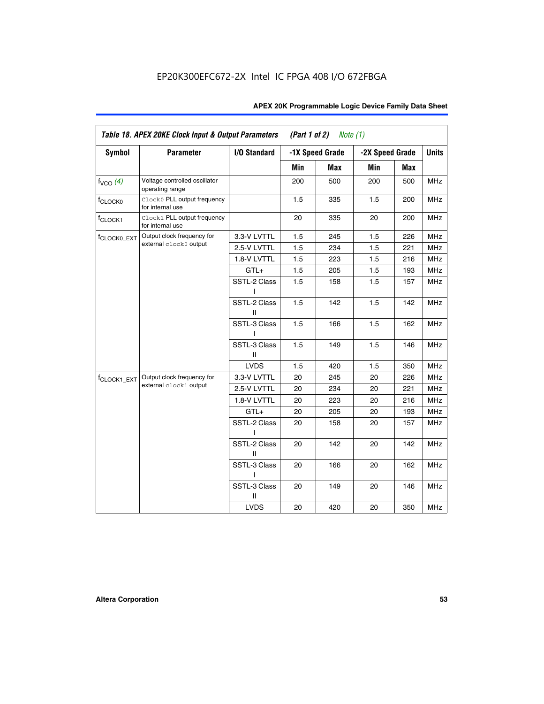| Symbol                  | <b>Parameter</b>                                 | I/O Standard      |     | -1X Speed Grade | -2X Speed Grade |     | <b>Units</b> |
|-------------------------|--------------------------------------------------|-------------------|-----|-----------------|-----------------|-----|--------------|
|                         |                                                  |                   | Min | <b>Max</b>      | Min             | Max |              |
| $f_{VCO}$ (4)           | Voltage controlled oscillator<br>operating range |                   | 200 | 500             | 200             | 500 | <b>MHz</b>   |
| f <sub>CLOCK0</sub>     | Clock0 PLL output frequency<br>for internal use  |                   | 1.5 | 335             | 1.5             | 200 | MHz          |
| f <sub>CLOCK1</sub>     | Clock1 PLL output frequency<br>for internal use  |                   | 20  | 335             | 20              | 200 | MHz          |
| f <sub>CLOCK0_EXT</sub> | Output clock frequency for                       | 3.3-V LVTTL       | 1.5 | 245             | 1.5             | 226 | <b>MHz</b>   |
|                         | external clock0 output                           | 2.5-V LVTTL       | 1.5 | 234             | 1.5             | 221 | MHz          |
|                         |                                                  | 1.8-V LVTTL       | 1.5 | 223             | 1.5             | 216 | <b>MHz</b>   |
|                         |                                                  | $GTL+$            | 1.5 | 205             | 1.5             | 193 | MHz          |
|                         |                                                  | SSTL-2 Class<br>I | 1.5 | 158             | 1.5             | 157 | <b>MHz</b>   |
|                         |                                                  | SSTL-2 Class<br>Ш | 1.5 | 142             | 1.5             | 142 | <b>MHz</b>   |
|                         |                                                  | SSTL-3 Class<br>L | 1.5 | 166             | 1.5             | 162 | <b>MHz</b>   |
|                         |                                                  | SSTL-3 Class<br>Ш | 1.5 | 149             | 1.5             | 146 | <b>MHz</b>   |
|                         |                                                  | <b>LVDS</b>       | 1.5 | 420             | 1.5             | 350 | <b>MHz</b>   |
| f <sub>CLOCK1_EXT</sub> | Output clock frequency for                       | 3.3-V LVTTL       | 20  | 245             | 20              | 226 | <b>MHz</b>   |
|                         | external clock1 output                           | 2.5-V LVTTL       | 20  | 234             | 20              | 221 | <b>MHz</b>   |
|                         |                                                  | 1.8-V LVTTL       | 20  | 223             | 20              | 216 | MHz          |
|                         |                                                  | $GTL+$            | 20  | 205             | 20              | 193 | <b>MHz</b>   |
|                         |                                                  | SSTL-2 Class<br>L | 20  | 158             | 20              | 157 | <b>MHz</b>   |
|                         |                                                  | SSTL-2 Class<br>Ш | 20  | 142             | 20              | 142 | <b>MHz</b>   |
|                         |                                                  | SSTL-3 Class      | 20  | 166             | 20              | 162 | MHz          |
|                         |                                                  | SSTL-3 Class<br>Ш | 20  | 149             | 20              | 146 | <b>MHz</b>   |
|                         |                                                  | <b>LVDS</b>       | 20  | 420             | 20              | 350 | MHz          |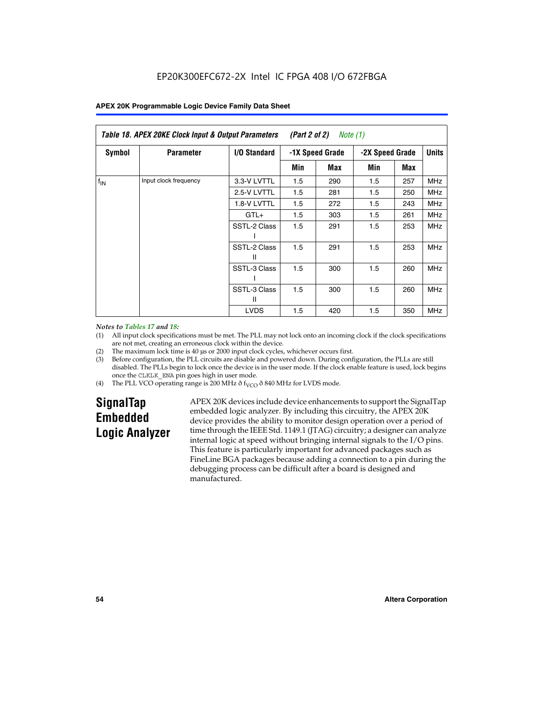|               | Table 18. APEX 20KE Clock Input & Output Parameters<br>(Part 2 of 2)<br>Note (1) |                   |                 |     |     |                 |            |
|---------------|----------------------------------------------------------------------------------|-------------------|-----------------|-----|-----|-----------------|------------|
| <b>Symbol</b> | <b>Parameter</b>                                                                 | I/O Standard      | -1X Speed Grade |     |     | -2X Speed Grade |            |
|               |                                                                                  |                   | Min             | Max | Min | Max             |            |
| $f_{IN}$      | Input clock frequency                                                            | 3.3-V LVTTL       | 1.5             | 290 | 1.5 | 257             | <b>MHz</b> |
|               | 2.5-V LVTTL                                                                      | 1.5               | 281             | 1.5 | 250 | <b>MHz</b>      |            |
|               |                                                                                  | 1.8-V LVTTL       | 1.5             | 272 | 1.5 | 243             | <b>MHz</b> |
|               |                                                                                  | $GTL+$            | 1.5             | 303 | 1.5 | 261             | <b>MHz</b> |
|               | SSTL-2 Class                                                                     | 1.5               | 291             | 1.5 | 253 | <b>MHz</b>      |            |
|               |                                                                                  | SSTL-2 Class<br>Ш | 1.5             | 291 | 1.5 | 253             | <b>MHz</b> |
|               |                                                                                  | SSTL-3 Class      | 1.5             | 300 | 1.5 | 260             | <b>MHz</b> |
|               |                                                                                  | SSTL-3 Class<br>Ш | 1.5             | 300 | 1.5 | 260             | <b>MHz</b> |
|               |                                                                                  | <b>LVDS</b>       | 1.5             | 420 | 1.5 | 350             | <b>MHz</b> |

#### *Notes to Tables 17 and 18:*

(1) All input clock specifications must be met. The PLL may not lock onto an incoming clock if the clock specifications are not met, creating an erroneous clock within the device.

- (2) The maximum lock time is 40 µs or 2000 input clock cycles, whichever occurs first.
- (3) Before configuration, the PLL circuits are disable and powered down. During configuration, the PLLs are still disabled. The PLLs begin to lock once the device is in the user mode. If the clock enable feature is used, lock begins once the CLKLK\_ENA pin goes high in user mode.
- (4) The PLL VCO operating range is 200 MHz  $\eth$  f<sub>VCO</sub>  $\eth$  840 MHz for LVDS mode.

# **SignalTap Embedded Logic Analyzer**

APEX 20K devices include device enhancements to support the SignalTap embedded logic analyzer. By including this circuitry, the APEX 20K device provides the ability to monitor design operation over a period of time through the IEEE Std. 1149.1 (JTAG) circuitry; a designer can analyze internal logic at speed without bringing internal signals to the I/O pins. This feature is particularly important for advanced packages such as FineLine BGA packages because adding a connection to a pin during the debugging process can be difficult after a board is designed and manufactured.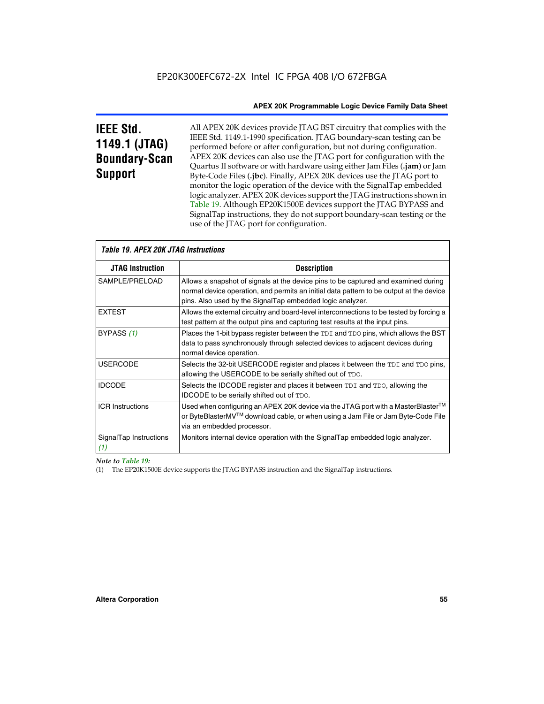# **IEEE Std. 1149.1 (JTAG) Boundary-Scan Support**

All APEX 20K devices provide JTAG BST circuitry that complies with the IEEE Std. 1149.1-1990 specification. JTAG boundary-scan testing can be performed before or after configuration, but not during configuration. APEX 20K devices can also use the JTAG port for configuration with the Quartus II software or with hardware using either Jam Files (**.jam**) or Jam Byte-Code Files (**.jbc**). Finally, APEX 20K devices use the JTAG port to monitor the logic operation of the device with the SignalTap embedded logic analyzer. APEX 20K devices support the JTAG instructions shown in Table 19. Although EP20K1500E devices support the JTAG BYPASS and SignalTap instructions, they do not support boundary-scan testing or the use of the JTAG port for configuration.

| <i><b>Table 19. APEX 20K JTAG Instructions</b></i> |                                                                                                                                                                                                                                            |  |  |  |
|----------------------------------------------------|--------------------------------------------------------------------------------------------------------------------------------------------------------------------------------------------------------------------------------------------|--|--|--|
| <b>JTAG Instruction</b>                            | <b>Description</b>                                                                                                                                                                                                                         |  |  |  |
| SAMPLE/PRELOAD                                     | Allows a snapshot of signals at the device pins to be captured and examined during<br>normal device operation, and permits an initial data pattern to be output at the device<br>pins. Also used by the SignalTap embedded logic analyzer. |  |  |  |
| <b>EXTEST</b>                                      | Allows the external circuitry and board-level interconnections to be tested by forcing a<br>test pattern at the output pins and capturing test results at the input pins.                                                                  |  |  |  |
| BYPASS (1)                                         | Places the 1-bit bypass register between the TDI and TDO pins, which allows the BST<br>data to pass synchronously through selected devices to adjacent devices during<br>normal device operation.                                          |  |  |  |
| <b>USERCODE</b>                                    | Selects the 32-bit USERCODE register and places it between the TDI and TDO pins,<br>allowing the USERCODE to be serially shifted out of TDO.                                                                                               |  |  |  |
| <b>IDCODE</b>                                      | Selects the IDCODE register and places it between TDI and TDO, allowing the<br>IDCODE to be serially shifted out of TDO.                                                                                                                   |  |  |  |
| <b>ICR Instructions</b>                            | Used when configuring an APEX 20K device via the JTAG port with a MasterBlaster™<br>or ByteBlasterMV™ download cable, or when using a Jam File or Jam Byte-Code File<br>via an embedded processor.                                         |  |  |  |
| SignalTap Instructions<br>(1)                      | Monitors internal device operation with the SignalTap embedded logic analyzer.                                                                                                                                                             |  |  |  |

 $\overline{\phantom{a}}$ 

# *Note to Table 19:*

(1) The EP20K1500E device supports the JTAG BYPASS instruction and the SignalTap instructions.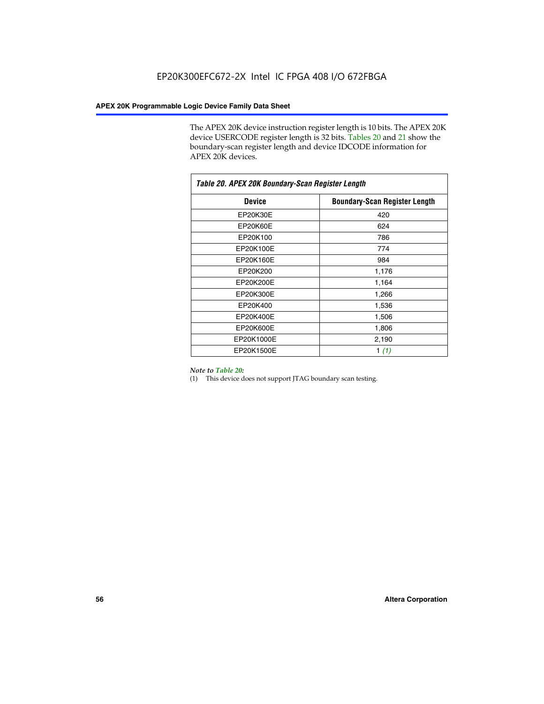The APEX 20K device instruction register length is 10 bits. The APEX 20K device USERCODE register length is 32 bits. Tables 20 and 21 show the boundary-scan register length and device IDCODE information for APEX 20K devices.

| Table 20. APEX 20K Boundary-Scan Register Length |                                      |  |  |  |
|--------------------------------------------------|--------------------------------------|--|--|--|
| <b>Device</b>                                    | <b>Boundary-Scan Register Length</b> |  |  |  |
| EP20K30E                                         | 420                                  |  |  |  |
| EP20K60E                                         | 624                                  |  |  |  |
| EP20K100                                         | 786                                  |  |  |  |
| EP20K100E                                        | 774                                  |  |  |  |
| EP20K160E                                        | 984                                  |  |  |  |
| EP20K200                                         | 1,176                                |  |  |  |
| EP20K200E                                        | 1,164                                |  |  |  |
| EP20K300E                                        | 1,266                                |  |  |  |
| EP20K400                                         | 1,536                                |  |  |  |
| EP20K400E                                        | 1,506                                |  |  |  |
| EP20K600E                                        | 1,806                                |  |  |  |
| EP20K1000E                                       | 2,190                                |  |  |  |
| EP20K1500E                                       | 1 $(1)$                              |  |  |  |

#### *Note to Table 20:*

(1) This device does not support JTAG boundary scan testing.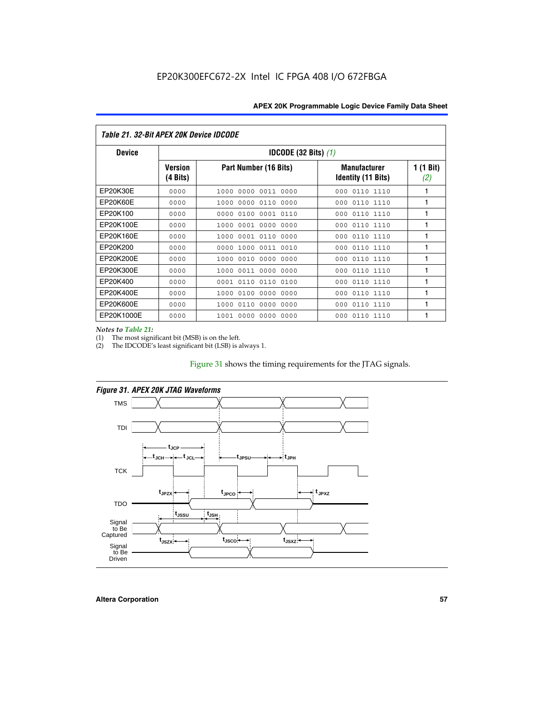| Table 21, 32-Bit APEX 20K Device IDCODE |                                          |                               |                                                  |                  |  |
|-----------------------------------------|------------------------------------------|-------------------------------|--------------------------------------------------|------------------|--|
| <b>Device</b>                           | <b>IDCODE (32 Bits) <math>(1)</math></b> |                               |                                                  |                  |  |
|                                         | Version<br>(4 Bits)                      | Part Number (16 Bits)         | <b>Manufacturer</b><br><b>Identity (11 Bits)</b> | 1 (1 Bit)<br>(2) |  |
| EP20K30E                                | 0000                                     | 0011 0000<br>1000<br>0000     | 0110 1110<br>000                                 | 1                |  |
| EP20K60E                                | 0000                                     | 0000<br>0110<br>0000<br>1000  | 0110 1110<br>000                                 | 1                |  |
| EP20K100                                | 0000                                     | 0000<br>0100<br>0001 0110     | 000<br>0110 1110                                 | 1                |  |
| EP20K100E                               | 0000                                     | 1000<br>0001<br>. 0000 . 0000 | 0110 1110<br>000                                 | 1                |  |
| EP20K160E                               | 0000                                     | 0001<br>0110<br>1000<br>0000  | 0110 1110<br>000                                 | 1                |  |
| EP20K200                                | 0000                                     | 1000<br>0011 0010<br>0000     | 0110 1110<br>000                                 | 1                |  |
| EP20K200E                               | 0000                                     | 0010<br>0000<br>0000<br>1000  | 0110 1110<br>000                                 | 1                |  |
| EP20K300E                               | 0000                                     | 0011<br>0000 0000<br>1000     | 0110 1110<br>000                                 | 1                |  |
| EP20K400                                | 0000                                     | 0110<br>0110<br>0100<br>0001  | 0110 1110<br>000                                 | 1                |  |
| EP20K400E                               | 0000                                     | 0100<br>0000<br>0000<br>1000  | 0110 1110<br>000                                 | 1                |  |
| EP20K600E                               | 0000                                     | 0110<br>0000<br>0000<br>1000  | 0110 1110<br>000                                 | 1                |  |
| EP20K1000E                              | 0000                                     | 0000<br>0000 0000<br>1001     | 000<br>0110 1110                                 | 1                |  |

*Notes to Table 21:*

The most significant bit (MSB) is on the left.

(2) The IDCODE's least significant bit (LSB) is always 1.

# Figure 31 shows the timing requirements for the JTAG signals.



*Figure 31. APEX 20K JTAG Waveforms*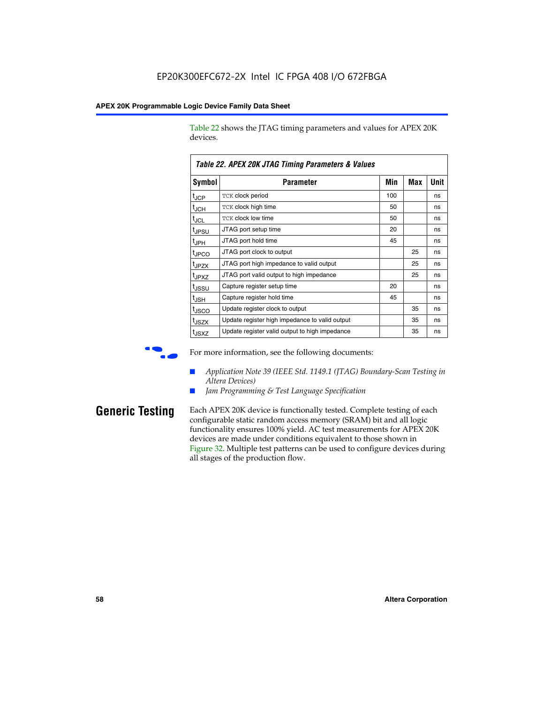Table 22 shows the JTAG timing parameters and values for APEX 20K devices.

|                   | TADIG LL. AF LA LUN JTAU THIIHIY FAIAHIGIGIS & VAIUGS |     |     |      |
|-------------------|-------------------------------------------------------|-----|-----|------|
| Symbol            | Parameter                                             | Min | Max | Unit |
| $t_{JCP}$         | <b>TCK clock period</b>                               | 100 |     | ns   |
| $t_{\text{JCH}}$  | TCK clock high time                                   | 50  |     | ns   |
| $t_{JCL}$         | TCK clock low time                                    | 50  |     | ns   |
| t <sub>JPSU</sub> | JTAG port setup time                                  | 20  |     | ns   |
| $t_{\rm JPH}$     | JTAG port hold time                                   | 45  |     | ns   |
| <sup>t</sup> JPCO | JTAG port clock to output                             |     | 25  | ns   |
| t <sub>JPZX</sub> | JTAG port high impedance to valid output              |     | 25  | ns   |
| t <sub>JPXZ</sub> | JTAG port valid output to high impedance              |     | 25  | ns   |
| tussu             | Capture register setup time                           | 20  |     | ns   |
| $t_{\rm JSH}$     | Capture register hold time                            | 45  |     | ns   |
| t <sub>JSCO</sub> | Update register clock to output                       |     | 35  | ns   |
| t <sub>JSZX</sub> | Update register high impedance to valid output        |     | 35  | ns   |
| t <sub>JSXZ</sub> | Update register valid output to high impedance        |     | 35  | ns   |

*Table 22. APEX 20K JTAG Timing Parameters & Values*

For more information, see the following documents:

- *Application Note 39 (IEEE Std. 1149.1 (JTAG) Boundary-Scan Testing in Altera Devices)*
- Jam Programming & Test Language Specification

**Generic Testing** Each APEX 20K device is functionally tested. Complete testing of each configurable static random access memory (SRAM) bit and all logic functionality ensures 100% yield. AC test measurements for APEX 20K devices are made under conditions equivalent to those shown in Figure 32. Multiple test patterns can be used to configure devices during all stages of the production flow.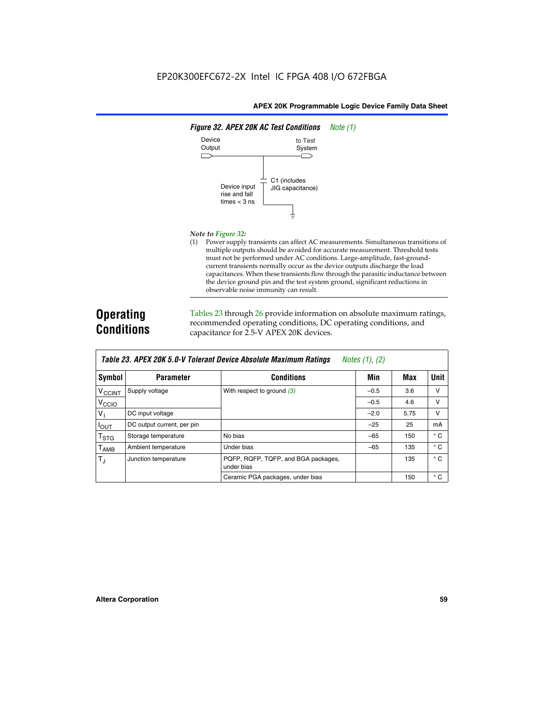

#### *Note to Figure 32:*

(1) Power supply transients can affect AC measurements. Simultaneous transitions of multiple outputs should be avoided for accurate measurement. Threshold tests must not be performed under AC conditions. Large-amplitude, fast-groundcurrent transients normally occur as the device outputs discharge the load capacitances. When these transients flow through the parasitic inductance between the device ground pin and the test system ground, significant reductions in observable noise immunity can result.

# **Operating Conditions**

Tables 23 through 26 provide information on absolute maximum ratings, recommended operating conditions, DC operating conditions, and capacitance for 2.5-V APEX 20K devices.

|                           |                            | TAVIG LJ. MELA LUN J.U-V TUIGIAIN DGVILG MUSUIULG MAAIIIIUIII NAUIIIUS | $100103$ (1), (2) |      |              |
|---------------------------|----------------------------|------------------------------------------------------------------------|-------------------|------|--------------|
| Symbol                    | <b>Parameter</b>           | <b>Conditions</b>                                                      | Min               | Max  | Unit         |
| <b>V<sub>CCINT</sub></b>  | Supply voltage             | With respect to ground $(3)$                                           | $-0.5$            | 3.6  | $\vee$       |
| V <sub>CCIO</sub>         |                            |                                                                        | $-0.5$            | 4.6  | v            |
| $V_{\perp}$               | DC input voltage           |                                                                        | $-2.0$            | 5.75 | v            |
| $I_{OUT}$                 | DC output current, per pin |                                                                        | $-25$             | 25   | mA           |
| $\mathsf{T}_{\text{STG}}$ | Storage temperature        | No bias                                                                | $-65$             | 150  | $^{\circ}$ C |
| Т <sub>АМВ</sub>          | Ambient temperature        | Under bias                                                             | $-65$             | 135  | $^{\circ}$ C |
| $T_{\rm J}$               | Junction temperature       | PQFP, RQFP, TQFP, and BGA packages,<br>under bias                      |                   | 135  | $^{\circ}$ C |
|                           |                            | Ceramic PGA packages, under bias                                       |                   | 150  | $^{\circ}$ C |

| <b>Table 23. APEX 20K 5.0-V Tolerant Device Absolute Maximum Ratings</b> Notes (1), (2) |  |
|-----------------------------------------------------------------------------------------|--|
|-----------------------------------------------------------------------------------------|--|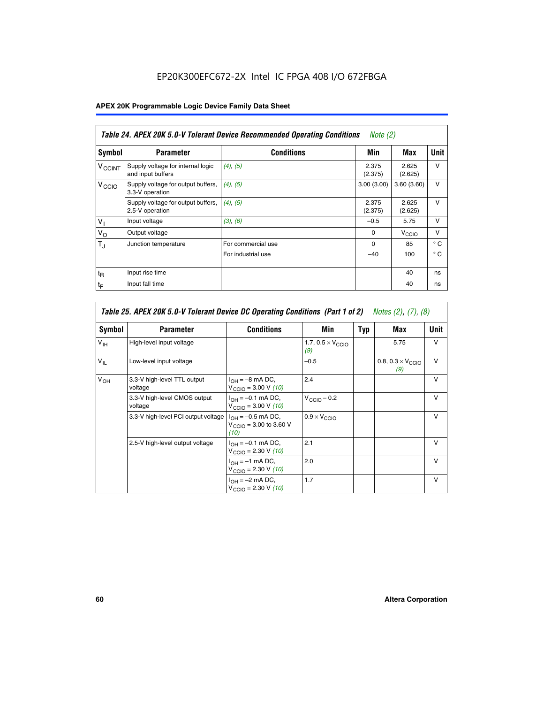# EP20K300EFC672-2X Intel IC FPGA 408 I/O 672FBGA

# **APEX 20K Programmable Logic Device Family Data Sheet**

|                          | Table 24. APEX 20K 5.0-V Tolerant Device Recommended Operating Conditions<br>Note $(2)$ |                    |                  |                   |              |  |
|--------------------------|-----------------------------------------------------------------------------------------|--------------------|------------------|-------------------|--------------|--|
| Symbol                   | <b>Parameter</b>                                                                        | <b>Conditions</b>  | Min              | Max               | <b>Unit</b>  |  |
| <b>V<sub>CCINT</sub></b> | Supply voltage for internal logic<br>and input buffers                                  | $(4)$ , $(5)$      | 2.375<br>(2.375) | 2.625<br>(2.625)  | $\vee$       |  |
| V <sub>CCIO</sub>        | Supply voltage for output buffers,<br>3.3-V operation                                   | (4), (5)           | 3.00(3.00)       | 3.60(3.60)        | $\vee$       |  |
|                          | Supply voltage for output buffers,<br>2.5-V operation                                   | (4), (5)           | 2.375<br>(2.375) | 2.625<br>(2.625)  | $\vee$       |  |
| $V_1$                    | Input voltage                                                                           | (3), (6)           | $-0.5$           | 5.75              | $\vee$       |  |
| $V_{\rm O}$              | Output voltage                                                                          |                    | $\Omega$         | V <sub>CCIO</sub> | $\vee$       |  |
| $T_{\rm J}$              | Junction temperature                                                                    | For commercial use | $\Omega$         | 85                | $^{\circ}$ C |  |
|                          |                                                                                         | For industrial use | $-40$            | 100               | $^{\circ}$ C |  |
| $t_{R}$                  | Input rise time                                                                         |                    |                  | 40                | ns           |  |
| $t_{\mathsf{F}}$         | Input fall time                                                                         |                    |                  | 40                | ns           |  |

|                 | Table 25. APEX 20K 5.0-V Tolerant Device DC Operating Conditions (Part 1 of 2) Notes (2), (7), (8) |                                                                                       |                                          |     |                                          |              |  |
|-----------------|----------------------------------------------------------------------------------------------------|---------------------------------------------------------------------------------------|------------------------------------------|-----|------------------------------------------|--------------|--|
| Symbol          | <b>Parameter</b>                                                                                   | <b>Conditions</b>                                                                     | Min                                      | Typ | Max                                      | Unit         |  |
| $V_{\text{IH}}$ | High-level input voltage                                                                           |                                                                                       | 1.7, $0.5 \times V_{\text{CCIO}}$<br>(9) |     | 5.75                                     | $\vee$       |  |
| $V_{IL}$        | Low-level input voltage                                                                            |                                                                                       | $-0.5$                                   |     | 0.8, $0.3 \times V_{\text{CCIO}}$<br>(9) | $\vee$       |  |
| V <sub>OH</sub> | 3.3-V high-level TTL output<br>voltage                                                             | $I_{OH} = -8$ mA DC,<br>$V_{\text{CCIO}} = 3.00 \text{ V} (10)$                       | 2.4                                      |     |                                          | $\vee$       |  |
|                 | 3.3-V high-level CMOS output<br>voltage                                                            | $I_{\text{OH}} = -0.1 \text{ mA DC},$<br>$V_{\text{CCIO}} = 3.00 \text{ V} (10)$      | $V_{CClO}$ – 0.2                         |     |                                          | $\vee$       |  |
|                 | 3.3-V high-level PCI output voltage                                                                | $I_{OH} = -0.5$ mA DC,<br>$V_{\text{CCIO}} = 3.00 \text{ to } 3.60 \text{ V}$<br>(10) | $0.9 \times V_{\text{CCIO}}$             |     |                                          | $\vee$       |  |
|                 | 2.5-V high-level output voltage                                                                    | $I_{\text{OH}} = -0.1 \text{ mA DC},$<br>$V_{\text{CCIO}} = 2.30 \text{ V} (10)$      | 2.1                                      |     |                                          | $\mathsf{V}$ |  |
|                 |                                                                                                    | $I_{\cap H}$ = -1 mA DC,<br>$V_{\text{CCIO}} = 2.30 V (10)$                           | 2.0                                      |     |                                          | $\vee$       |  |
|                 |                                                                                                    | $I_{OH} = -2$ mA DC,<br>$V_{\text{CCIO}} = 2.30 V (10)$                               | 1.7                                      |     |                                          | v            |  |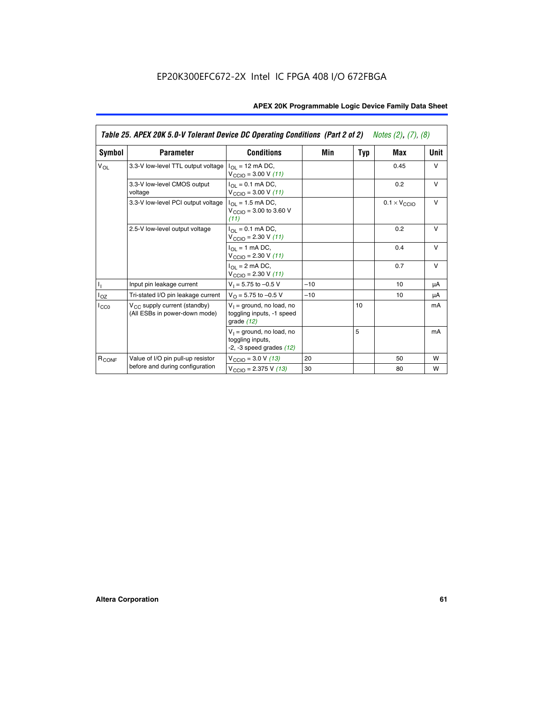|                   | Table 25. APEX 20K 5.0-V Tolerant Device DC Operating Conditions (Part 2 of 2) Notes (2), (7), (8) |                                                                                    |       |     |                              |        |  |
|-------------------|----------------------------------------------------------------------------------------------------|------------------------------------------------------------------------------------|-------|-----|------------------------------|--------|--|
| Symbol            | <b>Parameter</b>                                                                                   | <b>Conditions</b>                                                                  | Min   | Typ | Max                          | Unit   |  |
| $V_{OL}$          | 3.3-V low-level TTL output voltage                                                                 | $I_{\Omega}$ = 12 mA DC,<br>$V_{\text{CCIO}} = 3.00 V (11)$                        |       |     | 0.45                         | $\vee$ |  |
|                   | 3.3-V low-level CMOS output<br>voltage                                                             | $I_{\Omega I} = 0.1$ mA DC,<br>$V_{\text{CCIO}} = 3.00 V (11)$                     |       |     | 0.2                          | $\vee$ |  |
|                   | 3.3-V low-level PCI output voltage                                                                 | $I_{\Omega}$ = 1.5 mA DC,<br>$V_{CClO}$ = 3.00 to 3.60 V<br>(11)                   |       |     | $0.1 \times V_{\text{CCLO}}$ | $\vee$ |  |
|                   | 2.5-V low-level output voltage                                                                     | $I_{\Omega I} = 0.1$ mA DC,<br>$V_{\text{CCIO}} = 2.30 V (11)$                     |       |     | 0.2                          | $\vee$ |  |
|                   |                                                                                                    | $I_{\Omega}$ = 1 mA DC,<br>$V_{\text{CCIO}} = 2.30 V (11)$                         |       |     | 0.4                          | $\vee$ |  |
|                   |                                                                                                    | $I_{\Omega}$ = 2 mA DC,<br>$V_{\text{CCIO}} = 2.30 V (11)$                         |       |     | 0.7                          | $\vee$ |  |
| Τ,                | Input pin leakage current                                                                          | $V_1 = 5.75$ to $-0.5$ V                                                           | $-10$ |     | 10                           | μA     |  |
| $I_{OZ}$          | Tri-stated I/O pin leakage current                                                                 | $V_{\Omega}$ = 5.75 to -0.5 V                                                      | $-10$ |     | 10                           | μA     |  |
| $I_{CC0}$         | $V_{CC}$ supply current (standby)<br>(All ESBs in power-down mode)                                 | $V_1$ = ground, no load, no<br>toggling inputs, -1 speed<br>grade $(12)$           |       | 10  |                              | mA     |  |
|                   |                                                                                                    | $V_1$ = ground, no load, no<br>toggling inputs,<br>$-2$ , $-3$ speed grades $(12)$ |       | 5   |                              | mA     |  |
| R <sub>CONF</sub> | Value of I/O pin pull-up resistor                                                                  | $V_{\text{CCIO}} = 3.0 V (13)$                                                     | 20    |     | 50                           | W      |  |
|                   | before and during configuration                                                                    | $V_{\text{CCIO}} = 2.375 \text{ V} (13)$                                           | 30    |     | 80                           | W      |  |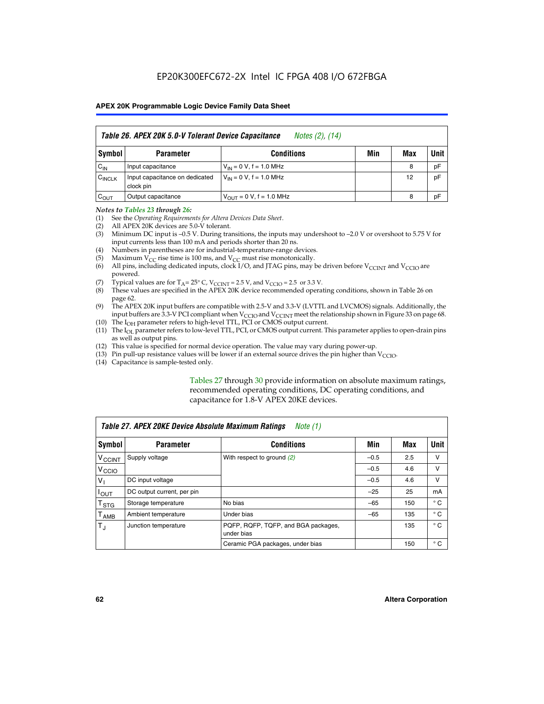|                    | Table 26. APEX 20K 5.0-V Tolerant Device Capacitance<br>Notes (2), (14) |                               |     |     |      |  |
|--------------------|-------------------------------------------------------------------------|-------------------------------|-----|-----|------|--|
| Symbol             | <b>Parameter</b>                                                        | <b>Conditions</b>             | Min | Max | Unit |  |
| $C_{IN}$           | Input capacitance                                                       | $V_{IN} = 0 V$ , f = 1.0 MHz  |     | 8   | pF   |  |
| C <sub>INCLK</sub> | Input capacitance on dedicated<br>clock pin                             | $V_{IN} = 0 V$ , f = 1.0 MHz  |     | 12  | pF   |  |
| $C_{OUT}$          | Output capacitance                                                      | $V_{OUIT} = 0 V, f = 1.0 MHz$ |     | 8   | pF   |  |

#### *Notes to Tables 23 through 26:*

- (1) See the *Operating Requirements for Altera Devices Data Sheet*.
- (2) All APEX 20K devices are 5.0-V tolerant.
- (3) Minimum DC input is –0.5 V. During transitions, the inputs may undershoot to –2.0 V or overshoot to 5.75 V for input currents less than 100 mA and periods shorter than 20 ns.
- (4) Numbers in parentheses are for industrial-temperature-range devices.
- (5) Maximum  $V_{CC}$  rise time is 100 ms, and  $V_{CC}$  must rise monotonically.<br>(6) All pins, including dedicated inputs, clock I/O, and JTAG pins, may b
- All pins, including dedicated inputs, clock I/O, and JTAG pins, may be driven before  $V_{\text{CCINT}}$  and  $V_{\text{CCIO}}$  are powered.
- (7) Typical values are for  $T_A = 25^\circ$  C, V<sub>CCINT</sub> = 2.5 V, and V<sub>CCIO</sub> = 2.5 or 3.3 V.<br>(8) These values are specified in the APEX 20K device recommended operat
- These values are specified in the APEX 20K device recommended operating conditions, shown in Table 26 on page 62.
- (9) The APEX 20K input buffers are compatible with 2.5-V and 3.3-V (LVTTL and LVCMOS) signals. Additionally, the input buffers are 3.3-V PCI compliant when  $V_{\text{CCIO}}$  and  $V_{\text{CCINI}}$  meet the relationship shown in Figure 33 on page 68.
- (10) The  $I<sub>OH</sub>$  parameter refers to high-level TTL, PCI or CMOS output current.
- (11) The I<sub>OL</sub> parameter refers to low-level TTL, PCI, or CMOS output current. This parameter applies to open-drain pins as well as output pins.
- (12) This value is specified for normal device operation. The value may vary during power-up.
- (13) Pin pull-up resistance values will be lower if an external source drives the pin higher than  $V_{\text{CCIO}}$ .
- (14) Capacitance is sample-tested only.

Tables 27 through 30 provide information on absolute maximum ratings, recommended operating conditions, DC operating conditions, and capacitance for 1.8-V APEX 20KE devices.

|                             | Table 27. APEX 20KE Device Absolute Maximum Ratings<br>Note (1) |                                                   |        |     |              |  |  |
|-----------------------------|-----------------------------------------------------------------|---------------------------------------------------|--------|-----|--------------|--|--|
| Symbol                      | <b>Parameter</b>                                                | <b>Conditions</b>                                 | Min    | Max | Unit         |  |  |
| $V_{\text{CCINT}}$          | Supply voltage                                                  | With respect to ground (2)                        | $-0.5$ | 2.5 | v            |  |  |
| V <sub>CCIO</sub>           |                                                                 |                                                   | $-0.5$ | 4.6 | v            |  |  |
| $V_{1}$                     | DC input voltage                                                |                                                   | $-0.5$ | 4.6 | $\vee$       |  |  |
| $I_{OUT}$                   | DC output current, per pin                                      |                                                   | $-25$  | 25  | mA           |  |  |
| $\mathsf{T}_{\texttt{STG}}$ | Storage temperature                                             | No bias                                           | $-65$  | 150 | $^{\circ}$ C |  |  |
| Т <sub>АМВ</sub>            | Ambient temperature                                             | Under bias                                        | $-65$  | 135 | $^{\circ}$ C |  |  |
| $\mathsf{T}_{\text{d}}$     | Junction temperature                                            | PQFP, RQFP, TQFP, and BGA packages,<br>under bias |        | 135 | $^{\circ}$ C |  |  |
|                             |                                                                 | Ceramic PGA packages, under bias                  |        | 150 | $^{\circ}$ C |  |  |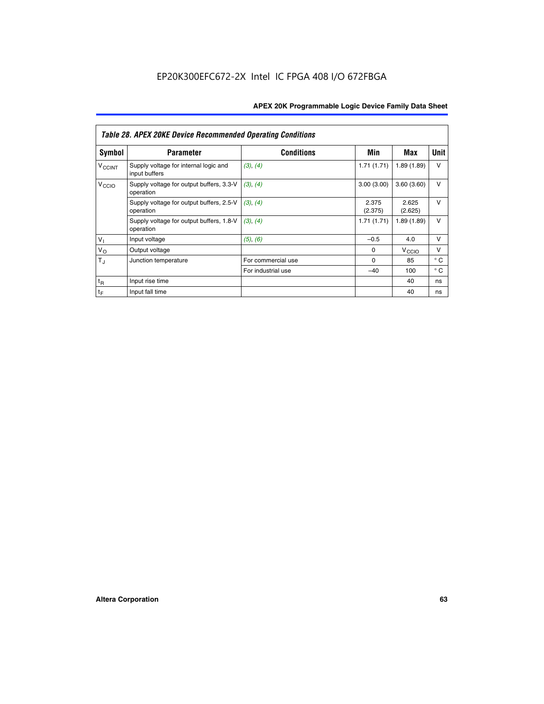|                             | <b>Table 28. APEX 20KE Device Recommended Operating Conditions</b> |                    |                  |                   |              |  |  |
|-----------------------------|--------------------------------------------------------------------|--------------------|------------------|-------------------|--------------|--|--|
| <b>Symbol</b>               | <b>Parameter</b>                                                   | <b>Conditions</b>  | Min              | Max               | <b>Unit</b>  |  |  |
| <b>V<sub>CCINT</sub></b>    | Supply voltage for internal logic and<br>input buffers             | (3), (4)           | 1.71(1.71)       | 1.89(1.89)        | $\vee$       |  |  |
| V <sub>CCIO</sub>           | Supply voltage for output buffers, 3.3-V<br>operation              | (3), (4)           | 3.00(3.00)       | 3.60(3.60)        | $\vee$       |  |  |
|                             | Supply voltage for output buffers, 2.5-V<br>operation              | (3), (4)           | 2.375<br>(2.375) | 2.625<br>(2.625)  | $\vee$       |  |  |
|                             | Supply voltage for output buffers, 1.8-V<br>operation              | (3), (4)           | 1.71(1.71)       | 1.89(1.89)        | $\vee$       |  |  |
| $V_1$                       | Input voltage                                                      | (5), (6)           | $-0.5$           | 4.0               | $\vee$       |  |  |
| $V_{\rm O}$                 | Output voltage                                                     |                    | $\Omega$         | V <sub>CCIO</sub> | v            |  |  |
| $T_{\rm J}$                 | Junction temperature                                               | For commercial use | $\Omega$         | 85                | $^{\circ}$ C |  |  |
|                             |                                                                    | For industrial use | $-40$            | 100               | $^{\circ}$ C |  |  |
| $t_{R}$                     | Input rise time                                                    |                    |                  | 40                | ns           |  |  |
| $\mathfrak{t}_{\mathsf{F}}$ | Input fall time                                                    |                    |                  | 40                | ns           |  |  |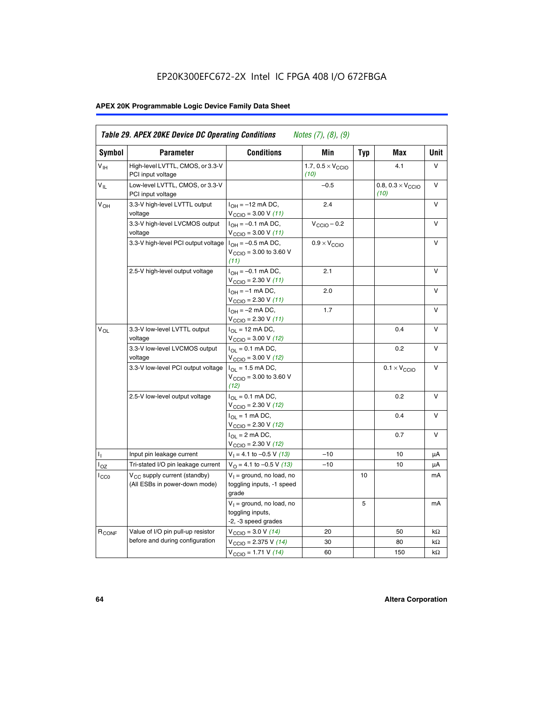# EP20K300EFC672-2X Intel IC FPGA 408 I/O 672FBGA

# **APEX 20K Programmable Logic Device Family Data Sheet**

| Symbol            | <b>Parameter</b>                                                          | <b>Conditions</b>                                                                        | Min                                       | <b>Typ</b> | Max                                       | Unit      |
|-------------------|---------------------------------------------------------------------------|------------------------------------------------------------------------------------------|-------------------------------------------|------------|-------------------------------------------|-----------|
| $V_{\text{IH}}$   | High-level LVTTL, CMOS, or 3.3-V<br>PCI input voltage                     |                                                                                          | 1.7, $0.5 \times V_{\text{CCIO}}$<br>(10) |            | 4.1                                       | V         |
| $V_{IL}$          | Low-level LVTTL, CMOS, or 3.3-V<br>PCI input voltage                      |                                                                                          | $-0.5$                                    |            | 0.8, $0.3 \times V_{\text{CCIO}}$<br>(10) | $\vee$    |
| $V_{OH}$          | 3.3-V high-level LVTTL output<br>voltage                                  | $I_{OH} = -12$ mA DC,<br>$V_{\text{CCIO}} = 3.00 V (11)$                                 | 2.4                                       |            |                                           | v         |
|                   | 3.3-V high-level LVCMOS output<br>voltage                                 | $I_{OH} = -0.1$ mA DC,<br>$V_{\text{CCIO}} = 3.00 V (11)$                                | $V_{\text{CGIO}} - 0.2$                   |            |                                           | v         |
|                   | 3.3-V high-level PCI output voltage $I_{OH} = -0.5$ mA DC,                | $V_{\text{CGIO}} = 3.00$ to 3.60 V<br>(11)                                               | $0.9 \times V_{\text{CCIO}}$              |            |                                           | $\vee$    |
|                   | 2.5-V high-level output voltage                                           | $I_{OH} = -0.1$ mA DC,<br>$V_{\text{CCIO}} = 2.30 V (11)$                                | 2.1                                       |            |                                           | v         |
|                   |                                                                           | $I_{OH} = -1$ mA DC,<br>$V_{\text{CCIO}} = 2.30 V (11)$                                  | 2.0                                       |            |                                           | $\vee$    |
|                   |                                                                           | $I_{OH} = -2$ mA DC,<br>$V_{\text{CCIO}}$ = 2.30 V (11)                                  | 1.7                                       |            |                                           | v         |
| $V_{OL}$          | 3.3-V low-level LVTTL output<br>voltage                                   | $I_{OL}$ = 12 mA DC,<br>$V_{\text{CCIO}} = 3.00 V (12)$                                  |                                           |            | 0.4                                       | v         |
|                   | 3.3-V low-level LVCMOS output<br>voltage                                  | $I_{\Omega} = 0.1$ mA DC,<br>$V_{\text{CCIO}} = 3.00 V (12)$                             |                                           |            | 0.2                                       | $\vee$    |
|                   | 3.3-V low-level PCI output voltage                                        | $I_{\Omega}$ = 1.5 mA DC,<br>$V_{\text{CGIQ}} = 3.00 \text{ to } 3.60 \text{ V}$<br>(12) |                                           |            | $0.1 \times V_{\text{CCIO}}$              | V         |
|                   | 2.5-V low-level output voltage                                            | $I_{OL} = 0.1$ mA DC,<br>$V_{\text{CCIO}}$ = 2.30 V (12)                                 |                                           |            | 0.2                                       | v         |
|                   |                                                                           | $I_{\Omega}$ = 1 mA DC,<br>$V_{\text{CCIO}} = 2.30 V (12)$                               |                                           |            | 0.4                                       | v         |
|                   |                                                                           | $I_{\Omega} = 2 \text{ mA DC},$<br>$V_{\text{CCIO}} = 2.30 V (12)$                       |                                           |            | 0.7                                       | v         |
| Ъ.                | Input pin leakage current                                                 | $V_1 = 4.1$ to -0.5 V (13)                                                               | $-10$                                     |            | 10                                        | μA        |
| $I_{OZ}$          | Tri-stated I/O pin leakage current                                        | $V_{\Omega}$ = 4.1 to -0.5 V (13)                                                        | $-10$                                     |            | 10                                        | μA        |
| ICCO              | V <sub>CC</sub> supply current (standby)<br>(All ESBs in power-down mode) | $V_1$ = ground, no load, no<br>toggling inputs, -1 speed<br>grade                        |                                           | 10         |                                           | mA        |
|                   |                                                                           | $V_1$ = ground, no load, no<br>toggling inputs,<br>-2, -3 speed grades                   |                                           | 5          |                                           | mA        |
| R <sub>CONF</sub> | Value of I/O pin pull-up resistor                                         | $V_{\text{CCIO}} = 3.0 V (14)$                                                           | 20                                        |            | 50                                        | $k\Omega$ |
|                   | before and during configuration                                           | $V_{\text{CCIO}} = 2.375 V (14)$                                                         | 30                                        |            | 80                                        | kΩ        |
|                   |                                                                           | $V_{\text{CCIO}} = 1.71 V (14)$                                                          | 60                                        |            | 150                                       | $k\Omega$ |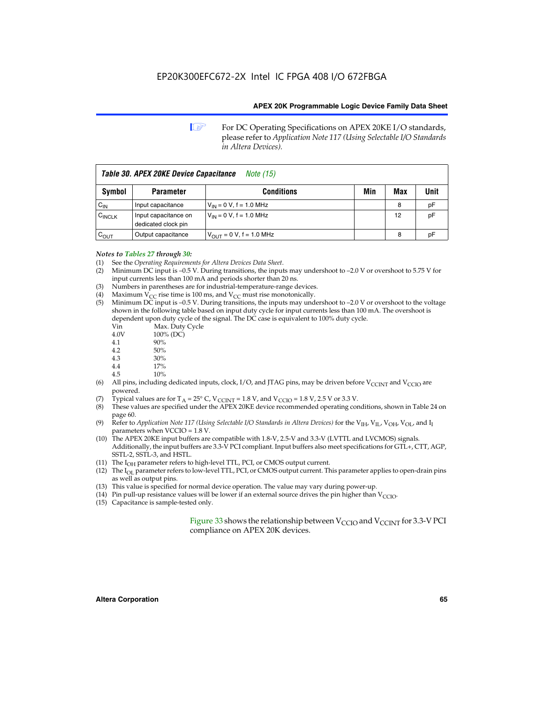**1 For DC Operating Specifications on APEX 20KE I/O standards,** please refer to *Application Note 117 (Using Selectable I/O Standards in Altera Devices).*

| Table 30. APEX 20KE Device Capacitance<br><i>Note</i> (15) |                                             |                                |     |     |      |  |
|------------------------------------------------------------|---------------------------------------------|--------------------------------|-----|-----|------|--|
| Symbol                                                     | <b>Parameter</b>                            | <b>Conditions</b>              | Min | Max | Unit |  |
| $C_{IN}$                                                   | Input capacitance                           | $V_{IN} = 0 V$ , f = 1.0 MHz   |     | 8   | рF   |  |
| $C_{\text{INCLK}}$                                         | Input capacitance on<br>dedicated clock pin | $V_{IN} = 0 V$ , f = 1.0 MHz   |     | 12  | pF   |  |
| $C_{\text{OUT}}$                                           | Output capacitance                          | $V_{OUIT} = 0 V$ , f = 1.0 MHz |     | 8   | рF   |  |

#### *Notes to Tables 27 through 30:*

- (1) See the *Operating Requirements for Altera Devices Data Sheet*.
- (2) Minimum DC input is –0.5 V. During transitions, the inputs may undershoot to –2.0 V or overshoot to 5.75 V for input currents less than 100 mA and periods shorter than 20 ns.
- (3) Numbers in parentheses are for industrial-temperature-range devices.
- (4) Maximum  $V_{CC}$  rise time is 100 ms, and  $V_{CC}$  must rise monotonically.<br>(5) Minimum DC input is -0.5 V. During transitions, the inputs may und
- Minimum DC input is  $-0.5$  V. During transitions, the inputs may undershoot to  $-2.0$  V or overshoot to the voltage shown in the following table based on input duty cycle for input currents less than 100 mA. The overshoot is dependent upon duty cycle of the signal. The DC case is equivalent to 100% duty cycle.

| Vin  | Max. Duty Cycle |
|------|-----------------|
| 4.0V | 100% (DC)       |
| 4.1  | 90%             |
| 4.2  | 50%             |
| 4.3  | 30%             |
| . .  |                 |

- 4.4  $17\%$ <br>4.5  $10\%$
- 10%
- (6) All pins, including dedicated inputs, clock, I/O, and JTAG pins, may be driven before  $V_{\text{CCINT}}$  and  $V_{\text{CCIO}}$  are powered.
- (7) Typical values are for  $T_A = 25^\circ$  C, V<sub>CCINT</sub> = 1.8 V, and V<sub>CCIO</sub> = 1.8 V, 2.5 V or 3.3 V.
- (8) These values are specified under the APEX 20KE device recommended operating conditions, shown in Table 24 on page 60.
- (9) Refer to *Application Note 117 (Using Selectable I/O Standards in Altera Devices)* for the V<sub>IH</sub>, V<sub>IL</sub>, V<sub>OH</sub>, V<sub>OL</sub>, and I<sub>I</sub> parameters when VCCIO = 1.8 V.
- (10) The APEX 20KE input buffers are compatible with 1.8-V, 2.5-V and 3.3-V (LVTTL and LVCMOS) signals. Additionally, the input buffers are 3.3-V PCI compliant. Input buffers also meet specifications for GTL+, CTT, AGP, SSTL-2, SSTL-3, and HSTL.
- (11) The  $I_{OH}$  parameter refers to high-level TTL, PCI, or CMOS output current.
- (12) The I<sub>OL</sub> parameter refers to low-level TTL, PCI, or CMOS output current. This parameter applies to open-drain pins as well as output pins.
- (13) This value is specified for normal device operation. The value may vary during power-up.
- (14) Pin pull-up resistance values will be lower if an external source drives the pin higher than  $V_{CCIO}$ .
- (15) Capacitance is sample-tested only.

Figure 33 shows the relationship between  $V_{\text{CCIO}}$  and  $V_{\text{CCINT}}$  for 3.3-V PCI compliance on APEX 20K devices.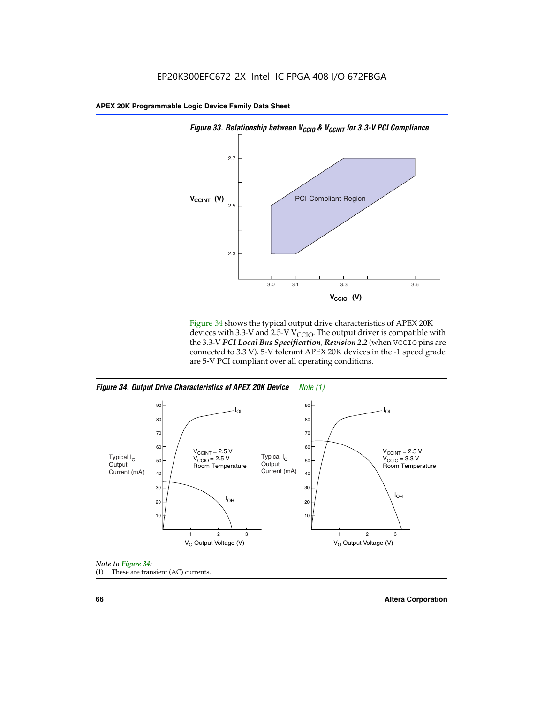

Figure 34 shows the typical output drive characteristics of APEX 20K devices with 3.3-V and 2.5-V V<sub>CCIO</sub>. The output driver is compatible with the 3.3-V *PCI Local Bus Specification, Revision 2.2* (when VCCIO pins are connected to 3.3 V). 5-V tolerant APEX 20K devices in the -1 speed grade are 5-V PCI compliant over all operating conditions.







**66 Altera Corporation**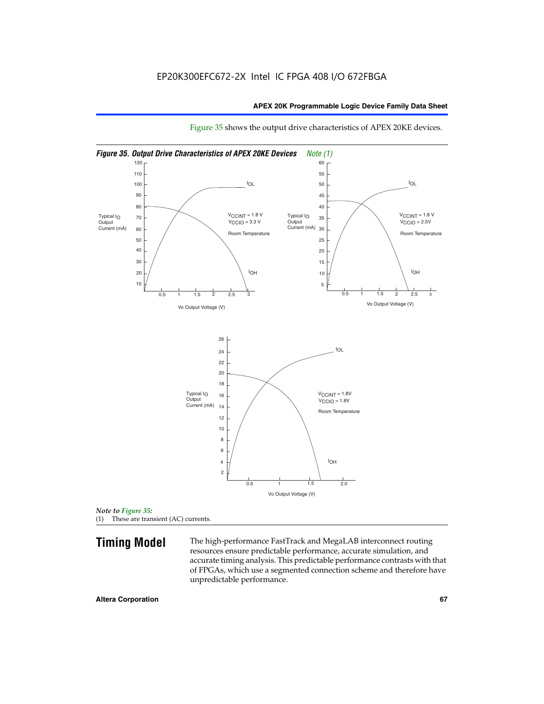

Figure 35 shows the output drive characteristics of APEX 20KE devices.

*Note to Figure 35:* (1) These are transient (AC) currents.

**Timing Model** The high-performance FastTrack and MegaLAB interconnect routing resources ensure predictable performance, accurate simulation, and accurate timing analysis. This predictable performance contrasts with that of FPGAs, which use a segmented connection scheme and therefore have unpredictable performance.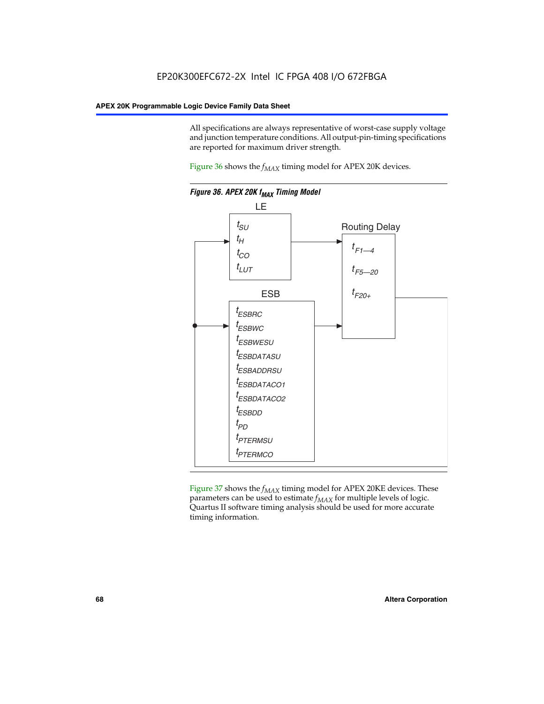All specifications are always representative of worst-case supply voltage and junction temperature conditions. All output-pin-timing specifications are reported for maximum driver strength.

Figure  $36$  shows the  $f_{MAX}$  timing model for APEX 20K devices.



Figure 37 shows the  $f_{MAX}$  timing model for APEX 20KE devices. These parameters can be used to estimate  $f_{MAX}$  for multiple levels of logic. Quartus II software timing analysis should be used for more accurate timing information.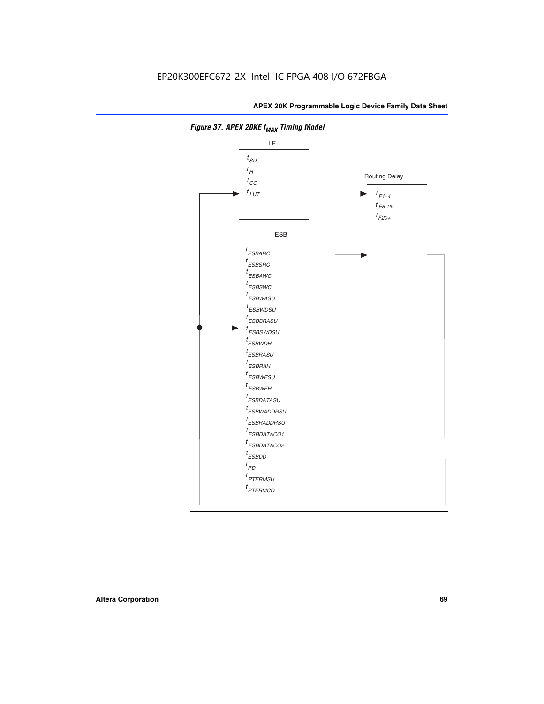

**Figure 37. APEX 20KE f<sub>MAX</sub> Timing Model**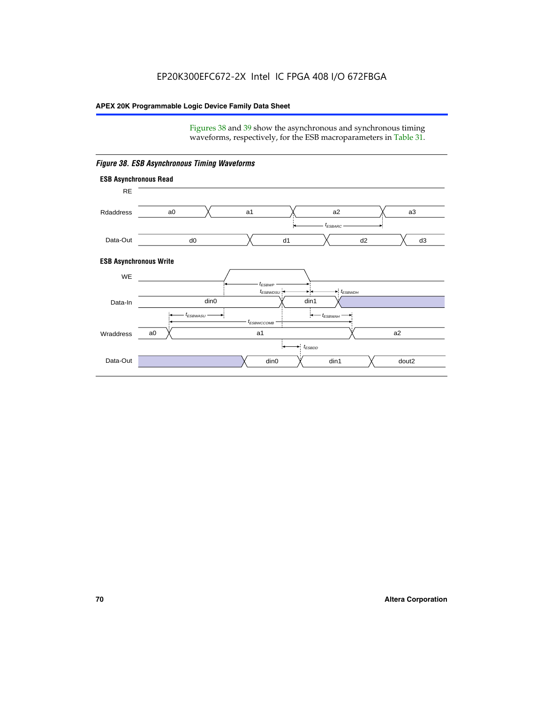Figures 38 and 39 show the asynchronous and synchronous timing waveforms, respectively, for the ESB macroparameters in Table 31.



*Figure 38. ESB Asynchronous Timing Waveforms*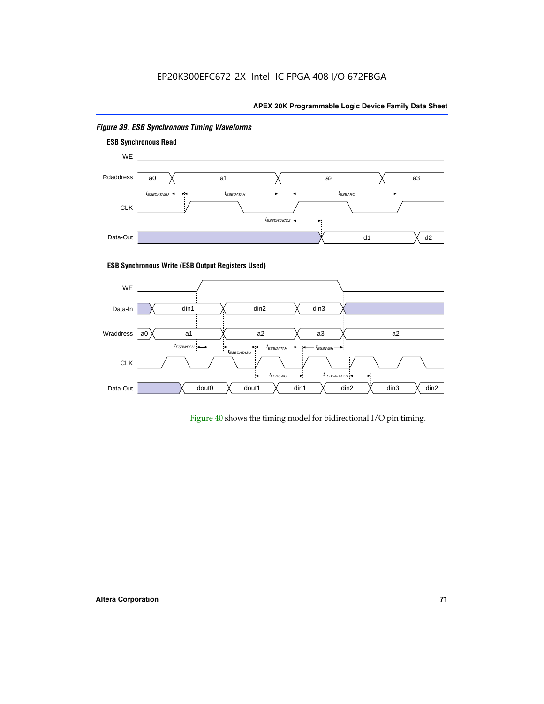# EP20K300EFC672-2X Intel IC FPGA 408 I/O 672FBGA

# **APEX 20K Programmable Logic Device Family Data Sheet**



# *Figure 39. ESB Synchronous Timing Waveforms*

# **ESB Synchronous Write (ESB Output Registers Used)**



Figure 40 shows the timing model for bidirectional I/O pin timing.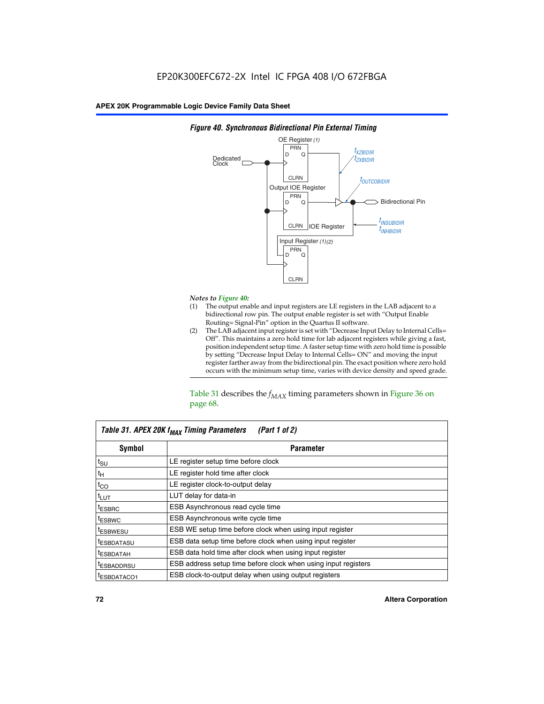

### *Figure 40. Synchronous Bidirectional Pin External Timing*

# *Notes to Figure 40:*

- The output enable and input registers are LE registers in the LAB adjacent to a bidirectional row pin. The output enable register is set with "Output Enable Routing= Signal-Pin" option in the Quartus II software.
- (2) The LAB adjacent input register is set with "Decrease Input Delay to Internal Cells= Off". This maintains a zero hold time for lab adjacent registers while giving a fast, position independent setup time. A faster setup time with zero hold time is possible by setting "Decrease Input Delay to Internal Cells= ON" and moving the input register farther away from the bidirectional pin. The exact position where zero hold occurs with the minimum setup time, varies with device density and speed grade.

Table 31 describes the  $f_{MAX}$  timing parameters shown in Figure 36 on page 68.

| Table 31. APEX 20K f <sub>MAX</sub> Timing Parameters<br>(Part 1 of 2) |                                                                |  |  |  |  |
|------------------------------------------------------------------------|----------------------------------------------------------------|--|--|--|--|
| Symbol                                                                 | <b>Parameter</b><br>LE register setup time before clock        |  |  |  |  |
| $t_{\text{SU}}$                                                        |                                                                |  |  |  |  |
| $t_H$                                                                  | LE register hold time after clock                              |  |  |  |  |
| $t_{CO}$                                                               | LE register clock-to-output delay                              |  |  |  |  |
| t <sub>LUT</sub>                                                       | LUT delay for data-in                                          |  |  |  |  |
| <sup>t</sup> ESBRC                                                     | ESB Asynchronous read cycle time                               |  |  |  |  |
| <sup>t</sup> ESBWC                                                     | ESB Asynchronous write cycle time                              |  |  |  |  |
| <sup>t</sup> ESBWESU                                                   | ESB WE setup time before clock when using input register       |  |  |  |  |
| <sup>t</sup> ESBDATASU                                                 | ESB data setup time before clock when using input register     |  |  |  |  |
| <sup>t</sup> ESBDATAH                                                  | ESB data hold time after clock when using input register       |  |  |  |  |
| <sup>t</sup> ESBADDRSU                                                 | ESB address setup time before clock when using input registers |  |  |  |  |
| ESBDATACO1                                                             | ESB clock-to-output delay when using output registers          |  |  |  |  |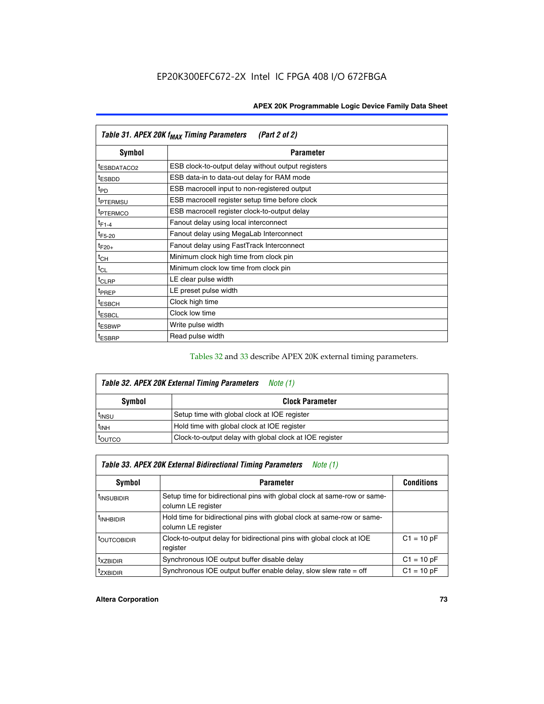| Table 31. APEX 20K f <sub>MAX</sub> Timing Parameters<br>(Part 2 of 2) |                                                    |  |  |  |  |
|------------------------------------------------------------------------|----------------------------------------------------|--|--|--|--|
| Symbol                                                                 | <b>Parameter</b>                                   |  |  |  |  |
| t <sub>ESBDATACO2</sub>                                                | ESB clock-to-output delay without output registers |  |  |  |  |
| <sup>t</sup> ESBDD                                                     | ESB data-in to data-out delay for RAM mode         |  |  |  |  |
| t <sub>PD</sub>                                                        | ESB macrocell input to non-registered output       |  |  |  |  |
| <sup>t</sup> PTERMSU                                                   | ESB macrocell register setup time before clock     |  |  |  |  |
| <sup>t</sup> PTERMCO                                                   | ESB macrocell register clock-to-output delay       |  |  |  |  |
| $t_{F1-4}$                                                             | Fanout delay using local interconnect              |  |  |  |  |
| $t_{F5-20}$                                                            | Fanout delay using MegaLab Interconnect            |  |  |  |  |
| $t_{F20+}$                                                             | Fanout delay using FastTrack Interconnect          |  |  |  |  |
| $t_{CH}$                                                               | Minimum clock high time from clock pin             |  |  |  |  |
| $t_{CL}$                                                               | Minimum clock low time from clock pin              |  |  |  |  |
| t <sub>CLRP</sub>                                                      | LE clear pulse width                               |  |  |  |  |
| t <sub>PREP</sub>                                                      | LE preset pulse width                              |  |  |  |  |
| <sup>t</sup> ESBCH                                                     | Clock high time                                    |  |  |  |  |
| <sup>t</sup> ESBCL                                                     | Clock low time                                     |  |  |  |  |
| <sup>t</sup> ESBWP                                                     | Write pulse width                                  |  |  |  |  |
| <sup>t</sup> ESBRP                                                     | Read pulse width                                   |  |  |  |  |

### Tables 32 and 33 describe APEX 20K external timing parameters.

| Table 32. APEX 20K External Timing Parameters<br>Note (1) |                                                         |  |  |  |  |
|-----------------------------------------------------------|---------------------------------------------------------|--|--|--|--|
| <b>Symbol</b>                                             | <b>Clock Parameter</b>                                  |  |  |  |  |
| <sup>t</sup> insu                                         | Setup time with global clock at IOE register            |  |  |  |  |
| $t_{\mathsf{INH}}$                                        | Hold time with global clock at IOE register             |  |  |  |  |
| toutco                                                    | Clock-to-output delay with global clock at IOE register |  |  |  |  |

| Table 33. APEX 20K External Bidirectional Timing Parameters<br>Note (1) |                                                                                                |              |  |  |  |
|-------------------------------------------------------------------------|------------------------------------------------------------------------------------------------|--------------|--|--|--|
| Symbol<br><b>Conditions</b><br><b>Parameter</b>                         |                                                                                                |              |  |  |  |
| <sup>I</sup> INSUBIDIR                                                  | Setup time for bidirectional pins with global clock at same-row or same-<br>column LE register |              |  |  |  |
| <sup>t</sup> INHBIDIR                                                   | Hold time for bidirectional pins with global clock at same-row or same-<br>column LE register  |              |  |  |  |
| <sup>t</sup> OUTCOBIDIR                                                 | Clock-to-output delay for bidirectional pins with global clock at IOE<br>register              | $C1 = 10 pF$ |  |  |  |
| <sup>t</sup> xzbidir                                                    | Synchronous IOE output buffer disable delay                                                    | $C1 = 10 pF$ |  |  |  |
| <sup>I</sup> ZXBIDIR                                                    | Synchronous IOE output buffer enable delay, slow slew rate $=$ off                             | $C1 = 10 pF$ |  |  |  |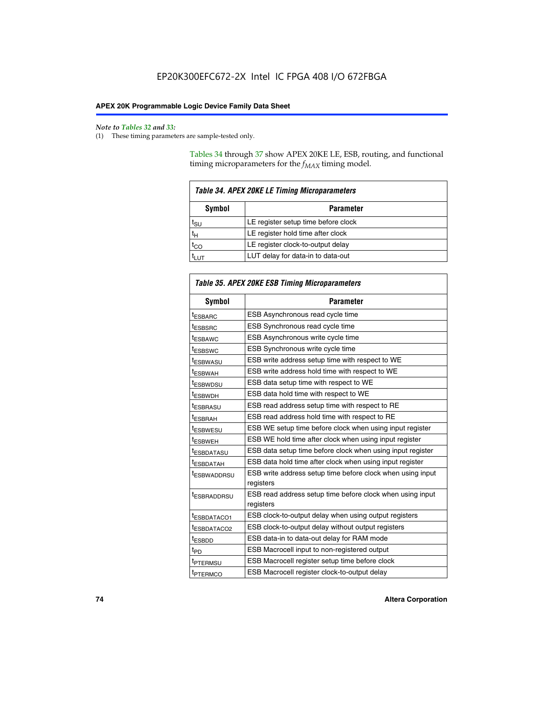$\mathbf{r}$ 

#### *Note to Tables 32 and 33:*

(1) These timing parameters are sample-tested only.

Tables 34 through 37 show APEX 20KE LE, ESB, routing, and functional timing microparameters for the  $f_{MAX}$  timing model.

| <b>Table 34. APEX 20KE LE Timing Microparameters</b> |                                     |  |  |  |  |
|------------------------------------------------------|-------------------------------------|--|--|--|--|
| Symbol<br><b>Parameter</b>                           |                                     |  |  |  |  |
| t <sub>SU</sub>                                      | LE register setup time before clock |  |  |  |  |
| $t_H$                                                | LE register hold time after clock   |  |  |  |  |
| $t_{CO}$                                             | LE register clock-to-output delay   |  |  |  |  |
| <b>LUT</b>                                           | LUT delay for data-in to data-out   |  |  |  |  |

| Table 35. APEX 20KE ESB Timing Microparameters |                                                                        |  |  |  |
|------------------------------------------------|------------------------------------------------------------------------|--|--|--|
| Symbol                                         | <b>Parameter</b>                                                       |  |  |  |
| t <sub>ESBARC</sub>                            | ESB Asynchronous read cycle time                                       |  |  |  |
| <sup>t</sup> ESBSRC                            | <b>ESB Synchronous read cycle time</b>                                 |  |  |  |
| t <sub>ESBAWC</sub>                            | ESB Asynchronous write cycle time                                      |  |  |  |
| t <sub>ESBSWC</sub>                            | ESB Synchronous write cycle time                                       |  |  |  |
| tESBWASU                                       | ESB write address setup time with respect to WE                        |  |  |  |
| <sup>t</sup> ESBWAH                            | ESB write address hold time with respect to WE                         |  |  |  |
| t <sub>ESBWDSU</sub>                           | ESB data setup time with respect to WE                                 |  |  |  |
| <sup>t</sup> ESBWDH                            | ESB data hold time with respect to WE                                  |  |  |  |
| tESBRASU                                       | ESB read address setup time with respect to RE                         |  |  |  |
| t <sub>ESBRAH</sub>                            | ESB read address hold time with respect to RE                          |  |  |  |
| <sup>t</sup> ESBWESU                           | ESB WE setup time before clock when using input register               |  |  |  |
| <sup>t</sup> ESBWEH                            | ESB WE hold time after clock when using input register                 |  |  |  |
| <sup>t</sup> ESBDATASU                         | ESB data setup time before clock when using input register             |  |  |  |
| t <sub>ESBDATAH</sub>                          | ESB data hold time after clock when using input register               |  |  |  |
| <sup>t</sup> ESBWADDRSU                        | ESB write address setup time before clock when using input             |  |  |  |
|                                                | registers                                                              |  |  |  |
| tESBRADDRSU                                    | ESB read address setup time before clock when using input<br>registers |  |  |  |
| t <sub>ESBDATACO1</sub>                        | ESB clock-to-output delay when using output registers                  |  |  |  |
| t <sub>ESBDATACO2</sub>                        | ESB clock-to-output delay without output registers                     |  |  |  |
| $t_{ESBDD}$                                    | ESB data-in to data-out delay for RAM mode                             |  |  |  |
| $t_{PD}$                                       | ESB Macrocell input to non-registered output                           |  |  |  |
| t <sub>PTERMSU</sub>                           | ESB Macrocell register setup time before clock                         |  |  |  |
| t <sub>PTERMCO</sub>                           | ESB Macrocell register clock-to-output delay                           |  |  |  |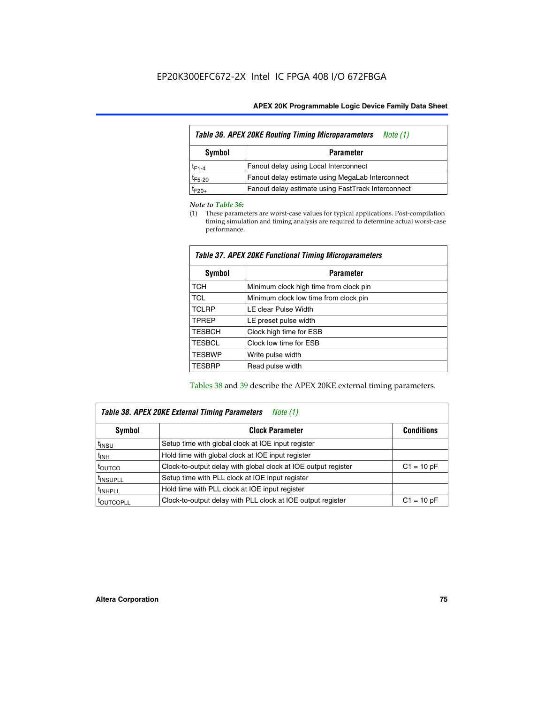| <b>Table 36. APEX 20KE Routing Timing Microparameters</b><br>Note (1) |                                                    |  |  |  |  |
|-----------------------------------------------------------------------|----------------------------------------------------|--|--|--|--|
| Symbol<br><b>Parameter</b>                                            |                                                    |  |  |  |  |
| $t_{F1-4}$                                                            | Fanout delay using Local Interconnect              |  |  |  |  |
| $t_{F5-20}$                                                           | Fanout delay estimate using MegaLab Interconnect   |  |  |  |  |
| $t_{F20+}$                                                            | Fanout delay estimate using FastTrack Interconnect |  |  |  |  |

#### *Note to Table 36:*

(1) These parameters are worst-case values for typical applications. Post-compilation timing simulation and timing analysis are required to determine actual worst-case performance.

| Symbol        | <b>Parameter</b>                       |
|---------------|----------------------------------------|
| <b>TCH</b>    | Minimum clock high time from clock pin |
| <b>TCL</b>    | Minimum clock low time from clock pin  |
| <b>TCLRP</b>  | LE clear Pulse Width                   |
| <b>TPREP</b>  | LE preset pulse width                  |
| <b>TESBCH</b> | Clock high time for ESB                |
| <b>TESBCL</b> | Clock low time for ESB                 |
| <b>TESBWP</b> | Write pulse width                      |
| <b>TESBRP</b> | Read pulse width                       |

### *Table 37. APEX 20KE Functional Timing Microparameters*

Tables 38 and 39 describe the APEX 20KE external timing parameters.

| Table 38. APEX 20KE External Timing Parameters<br>Note (1) |                                                                |              |  |  |  |
|------------------------------------------------------------|----------------------------------------------------------------|--------------|--|--|--|
| <b>Clock Parameter</b><br>Symbol<br><b>Conditions</b>      |                                                                |              |  |  |  |
| <sup>t</sup> insu                                          | Setup time with global clock at IOE input register             |              |  |  |  |
| $t_{\text{INH}}$                                           | Hold time with global clock at IOE input register              |              |  |  |  |
| toutco                                                     | Clock-to-output delay with global clock at IOE output register | $C1 = 10 pF$ |  |  |  |
| <sup>t</sup> INSUPLL                                       | Setup time with PLL clock at IOE input register                |              |  |  |  |
| <sup>t</sup> INHPLL                                        | Hold time with PLL clock at IOE input register                 |              |  |  |  |
| <sup>I</sup> OUTCOPLL                                      | Clock-to-output delay with PLL clock at IOE output register    | $C1 = 10 pF$ |  |  |  |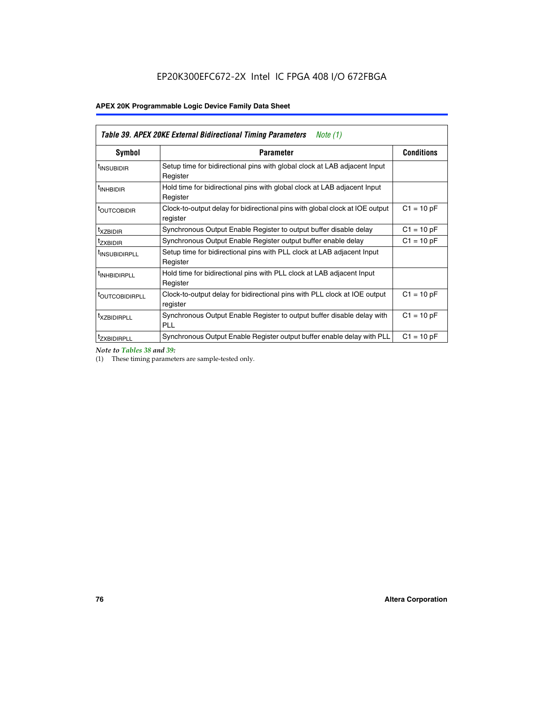| Table 39. APEX 20KE External Bidirectional Timing Parameters<br>Note $(1)$ |                                                                                                          |              |  |  |  |  |  |  |
|----------------------------------------------------------------------------|----------------------------------------------------------------------------------------------------------|--------------|--|--|--|--|--|--|
| <b>Symbol</b>                                                              | <b>Conditions</b><br><b>Parameter</b>                                                                    |              |  |  |  |  |  |  |
| <sup>t</sup> INSUBIDIR                                                     | Setup time for bidirectional pins with global clock at LAB adjacent Input<br>Register                    |              |  |  |  |  |  |  |
| <sup>t</sup> INHBIDIR                                                      | Hold time for bidirectional pins with global clock at LAB adjacent Input<br>Register                     |              |  |  |  |  |  |  |
| <b><i>LOUTCOBIDIR</i></b>                                                  | $C1 = 10 pF$<br>Clock-to-output delay for bidirectional pins with global clock at IOE output<br>register |              |  |  |  |  |  |  |
| t <sub>XZBIDIR</sub>                                                       | $C1 = 10 pF$<br>Synchronous Output Enable Register to output buffer disable delay                        |              |  |  |  |  |  |  |
| <sup>t</sup> zxbidir                                                       | Synchronous Output Enable Register output buffer enable delay                                            | $C1 = 10 pF$ |  |  |  |  |  |  |
| <sup>I</sup> INSUBIDIRPLL                                                  | Setup time for bidirectional pins with PLL clock at LAB adjacent Input<br>Register                       |              |  |  |  |  |  |  |
| <sup>t</sup> INHBIDIRPLL                                                   | Hold time for bidirectional pins with PLL clock at LAB adjacent Input<br>Register                        |              |  |  |  |  |  |  |
| <sup>t</sup> OUTCOBIDIRPLL                                                 | Clock-to-output delay for bidirectional pins with PLL clock at IOE output<br>register                    | $C1 = 10 pF$ |  |  |  |  |  |  |
| <sup>t</sup> XZBIDIRPLL                                                    | Synchronous Output Enable Register to output buffer disable delay with<br><b>PLL</b>                     | $C1 = 10 pF$ |  |  |  |  |  |  |
| <sup>I</sup> ZXBIDIRPLL                                                    | Synchronous Output Enable Register output buffer enable delay with PLL                                   | $C1 = 10 pF$ |  |  |  |  |  |  |

*Note to Tables 38 and 39:*

(1) These timing parameters are sample-tested only.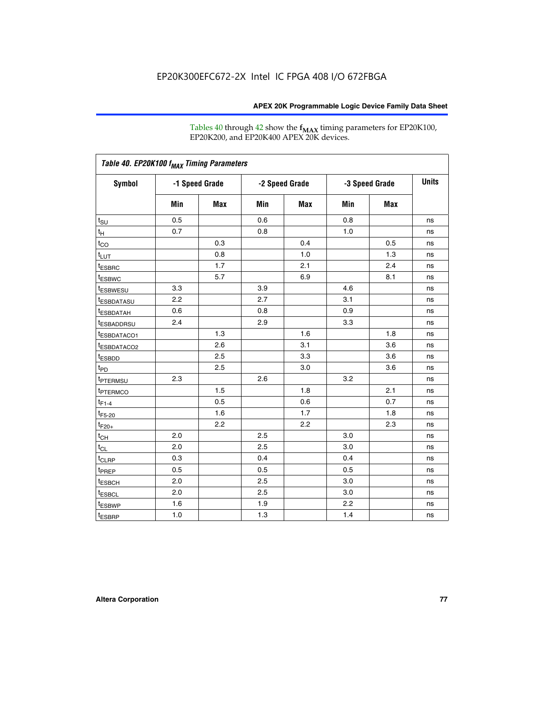Tables 40 through 42 show the **f<sub>MAX</sub>** timing parameters for EP20K100, EP20K200, and EP20K400 APEX 20K devices.

| Table 40. EP20K100 f <sub>MAX</sub> Timing Parameters |                |     |                |     |                |            |              |
|-------------------------------------------------------|----------------|-----|----------------|-----|----------------|------------|--------------|
| <b>Symbol</b>                                         | -1 Speed Grade |     | -2 Speed Grade |     | -3 Speed Grade |            | <b>Units</b> |
|                                                       | Min            | Max | Min            | Max | Min            | <b>Max</b> |              |
| t <sub>su</sub>                                       | 0.5            |     | 0.6            |     | 0.8            |            | ns           |
| $t_H$                                                 | 0.7            |     | 0.8            |     | 1.0            |            | ns           |
| $t_{CO}$                                              |                | 0.3 |                | 0.4 |                | 0.5        | ns           |
| $t_{LUT}$                                             |                | 0.8 |                | 1.0 |                | 1.3        | ns           |
| <sup>t</sup> ESBRC                                    |                | 1.7 |                | 2.1 |                | 2.4        | ns           |
| t <sub>ESBWC</sub>                                    |                | 5.7 |                | 6.9 |                | 8.1        | ns           |
| t <sub>ESBWESU</sub>                                  | 3.3            |     | 3.9            |     | 4.6            |            | ns           |
| <sup>t</sup> ESBDATASU                                | 2.2            |     | 2.7            |     | 3.1            |            | ns           |
| <sup>t</sup> ESBDATAH                                 | 0.6            |     | 0.8            |     | 0.9            |            | ns           |
| <sup>t</sup> ESBADDRSU                                | 2.4            |     | 2.9            |     | 3.3            |            | ns           |
| <sup>t</sup> ESBDATACO1                               |                | 1.3 |                | 1.6 |                | 1.8        | ns           |
| <sup>t</sup> ESBDATACO2                               |                | 2.6 |                | 3.1 |                | 3.6        | ns           |
| t <sub>ESBDD</sub>                                    |                | 2.5 |                | 3.3 |                | 3.6        | ns           |
| $t_{PD}$                                              |                | 2.5 |                | 3.0 |                | 3.6        | ns           |
| <b>TPTERMSU</b>                                       | 2.3            |     | 2.6            |     | 3.2            |            | ns           |
| t <sub>PTERMCO</sub>                                  |                | 1.5 |                | 1.8 |                | 2.1        | ns           |
| $t_{F1-4}$                                            |                | 0.5 |                | 0.6 |                | 0.7        | ns           |
| $t_{F5-20}$                                           |                | 1.6 |                | 1.7 |                | 1.8        | ns           |
| $t_{F20+}$                                            |                | 2.2 |                | 2.2 |                | 2.3        | ns           |
| $t_{\mathsf{CH}}$                                     | 2.0            |     | 2.5            |     | 3.0            |            | ns           |
| $t_{CL}$                                              | 2.0            |     | 2.5            |     | 3.0            |            | ns           |
| t <sub>CLRP</sub>                                     | 0.3            |     | 0.4            |     | 0.4            |            | ns           |
| t <sub>PREP</sub>                                     | 0.5            |     | 0.5            |     | 0.5            |            | ns           |
| <sup>t</sup> ESBCH                                    | 2.0            |     | 2.5            |     | 3.0            |            | ns           |
| <b><i>LESBCL</i></b>                                  | 2.0            |     | 2.5            |     | 3.0            |            | ns           |
| t <sub>ESBWP</sub>                                    | 1.6            |     | 1.9            |     | 2.2            |            | ns           |
| $t_{ESBRP}$                                           | 1.0            |     | 1.3            |     | 1.4            |            | ns           |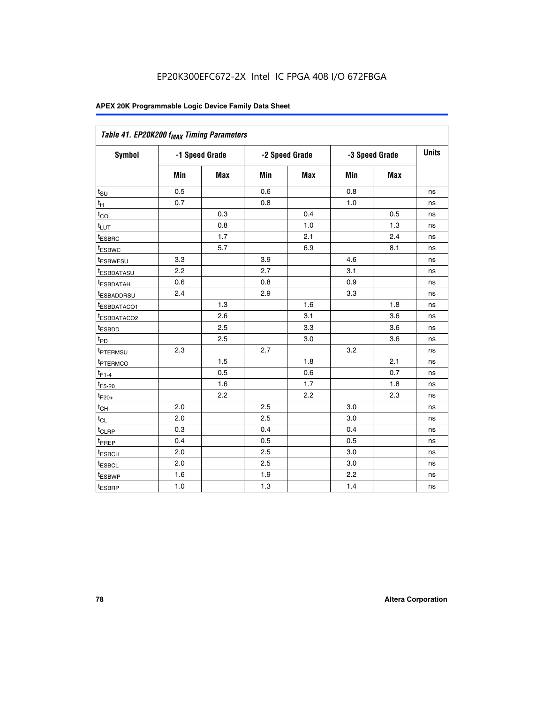| Table 41. EP20K200 f <sub>MAX</sub> Timing Parameters |                |     |     |                |     |                |    |
|-------------------------------------------------------|----------------|-----|-----|----------------|-----|----------------|----|
| Symbol                                                | -1 Speed Grade |     |     | -2 Speed Grade |     | -3 Speed Grade |    |
|                                                       | Min            | Max | Min | <b>Max</b>     | Min | Max            |    |
| $t_{\text{SU}}$                                       | 0.5            |     | 0.6 |                | 0.8 |                | ns |
| $t_H$                                                 | 0.7            |     | 0.8 |                | 1.0 |                | ns |
| $t_{CO}$                                              |                | 0.3 |     | 0.4            |     | 0.5            | ns |
| $t_{LUT}$                                             |                | 0.8 |     | 1.0            |     | 1.3            | ns |
| t <sub>ESBRC</sub>                                    |                | 1.7 |     | 2.1            |     | 2.4            | ns |
| t <sub>ESBWC</sub>                                    |                | 5.7 |     | 6.9            |     | 8.1            | ns |
| t <sub>ESBWESU</sub>                                  | 3.3            |     | 3.9 |                | 4.6 |                | ns |
| <sup>t</sup> ESBDATASU                                | 2.2            |     | 2.7 |                | 3.1 |                | ns |
| t <sub>ESBDATAH</sub>                                 | 0.6            |     | 0.8 |                | 0.9 |                | ns |
| t <sub>ESBADDRSU</sub>                                | 2.4            |     | 2.9 |                | 3.3 |                | ns |
| <u>t<sub>ESBDATACO1</sub></u>                         |                | 1.3 |     | 1.6            |     | 1.8            | ns |
| <sup>t</sup> ESBDATACO2                               |                | 2.6 |     | 3.1            |     | 3.6            | ns |
| t <sub>ESBDD</sub>                                    |                | 2.5 |     | 3.3            |     | 3.6            | ns |
| t <sub>PD</sub>                                       |                | 2.5 |     | 3.0            |     | 3.6            | ns |
| t <sub>PTERMSU</sub>                                  | 2.3            |     | 2.7 |                | 3.2 |                | ns |
| t <sub>PTERMCO</sub>                                  |                | 1.5 |     | 1.8            |     | 2.1            | ns |
| $t_{F1-4}$                                            |                | 0.5 |     | 0.6            |     | 0.7            | ns |
| $t_{F5-20}$                                           |                | 1.6 |     | 1.7            |     | 1.8            | ns |
| $t_{F20+}$                                            |                | 2.2 |     | 2.2            |     | 2.3            | ns |
| $\textnormal{t}_{\textnormal{CH}}$                    | 2.0            |     | 2.5 |                | 3.0 |                | ns |
| $t_{CL}$                                              | 2.0            |     | 2.5 |                | 3.0 |                | ns |
| t <sub>CLRP</sub>                                     | 0.3            |     | 0.4 |                | 0.4 |                | ns |
| t <sub>PREP</sub>                                     | 0.4            |     | 0.5 |                | 0.5 |                | ns |
| t <sub>ESBCH</sub>                                    | 2.0            |     | 2.5 |                | 3.0 |                | ns |
| t <sub>ESBCL</sub>                                    | 2.0            |     | 2.5 |                | 3.0 |                | ns |
| t <sub>ESBWP</sub>                                    | 1.6            |     | 1.9 |                | 2.2 |                | ns |
| t <sub>ESBRP</sub>                                    | 1.0            |     | 1.3 |                | 1.4 |                | ns |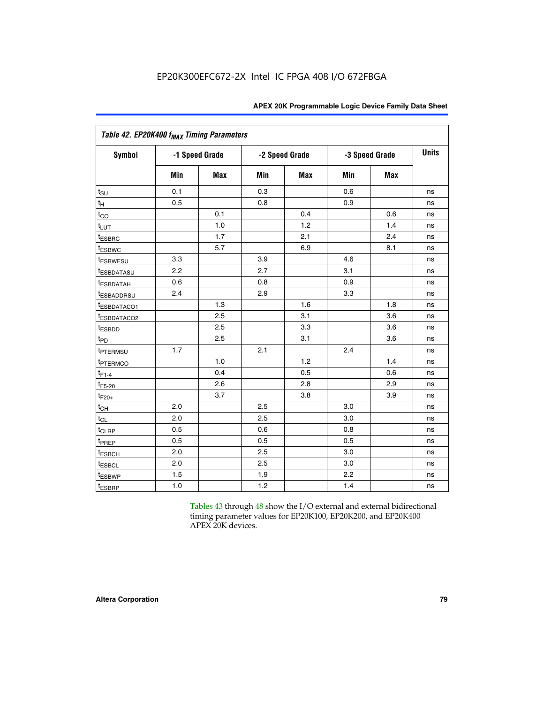|                           | Table 42. EP20K400 f <sub>MAX</sub> Timing Parameters |                |     |                |     |                |              |  |  |  |  |
|---------------------------|-------------------------------------------------------|----------------|-----|----------------|-----|----------------|--------------|--|--|--|--|
| <b>Symbol</b>             |                                                       | -1 Speed Grade |     | -2 Speed Grade |     | -3 Speed Grade | <b>Units</b> |  |  |  |  |
|                           | Min                                                   | <b>Max</b>     | Min | <b>Max</b>     | Min | <b>Max</b>     |              |  |  |  |  |
| $t_{\text{SU}}$           | 0.1                                                   |                | 0.3 |                | 0.6 |                | ns           |  |  |  |  |
| $t_H$                     | 0.5                                                   |                | 0.8 |                | 0.9 |                | ns           |  |  |  |  |
| $t_{CO}$                  |                                                       | 0.1            |     | 0.4            |     | 0.6            | ns           |  |  |  |  |
| $t_{LUT}$                 |                                                       | 1.0            |     | 1.2            |     | 1.4            | ns           |  |  |  |  |
| t <sub>ESBRC</sub>        |                                                       | 1.7            |     | 2.1            |     | 2.4            | ns           |  |  |  |  |
| <b>t</b> <sub>ESBWC</sub> |                                                       | 5.7            |     | 6.9            |     | 8.1            | ns           |  |  |  |  |
| t <sub>ESBWESU</sub>      | 3.3                                                   |                | 3.9 |                | 4.6 |                | ns           |  |  |  |  |
| <sup>t</sup> ESBDATASU    | 2.2                                                   |                | 2.7 |                | 3.1 |                | ns           |  |  |  |  |
| <sup>t</sup> ESBDATAH     | 0.6                                                   |                | 0.8 |                | 0.9 |                | ns           |  |  |  |  |
| <sup>t</sup> ESBADDRSU    | 2.4                                                   |                | 2.9 |                | 3.3 |                | ns           |  |  |  |  |
| <sup>t</sup> ESBDATACO1   |                                                       | 1.3            |     | 1.6            |     | 1.8            | ns           |  |  |  |  |
| t <sub>ESBDATACO2</sub>   |                                                       | 2.5            |     | 3.1            |     | 3.6            | ns           |  |  |  |  |
| t <sub>ESBDD</sub>        |                                                       | 2.5            |     | 3.3            |     | 3.6            | ns           |  |  |  |  |
| t <sub>PD</sub>           |                                                       | 2.5            |     | 3.1            |     | 3.6            | ns           |  |  |  |  |
| t <sub>PTERMSU</sub>      | 1.7                                                   |                | 2.1 |                | 2.4 |                | ns           |  |  |  |  |
| <b><i>EPTERMCO</i></b>    |                                                       | 1.0            |     | 1.2            |     | 1.4            | ns           |  |  |  |  |
| $t_{F1-4}$                |                                                       | 0.4            |     | 0.5            |     | 0.6            | ns           |  |  |  |  |
| $t_{F5-20}$               |                                                       | 2.6            |     | 2.8            |     | 2.9            | ns           |  |  |  |  |
| $t_{F20+}$                |                                                       | 3.7            |     | 3.8            |     | 3.9            | ns           |  |  |  |  |
| $t_{\text{CH}}$           | 2.0                                                   |                | 2.5 |                | 3.0 |                | ns           |  |  |  |  |
| $t_{CL}$                  | 2.0                                                   |                | 2.5 |                | 3.0 |                | ns           |  |  |  |  |
| t <sub>CLRP</sub>         | 0.5                                                   |                | 0.6 |                | 0.8 |                | ns           |  |  |  |  |
| t <sub>PREP</sub>         | 0.5                                                   |                | 0.5 |                | 0.5 |                | ns           |  |  |  |  |
| <sup>t</sup> ESBCH        | 2.0                                                   |                | 2.5 |                | 3.0 |                | ns           |  |  |  |  |
| <b><i>LESBCL</i></b>      | 2.0                                                   |                | 2.5 |                | 3.0 |                | ns           |  |  |  |  |
| t <sub>ESBWP</sub>        | 1.5                                                   |                | 1.9 |                | 2.2 |                | ns           |  |  |  |  |
| t <sub>ESBRP</sub>        | 1.0                                                   |                | 1.2 |                | 1.4 |                | ns           |  |  |  |  |

Tables 43 through 48 show the I/O external and external bidirectional timing parameter values for EP20K100, EP20K200, and EP20K400 APEX 20K devices.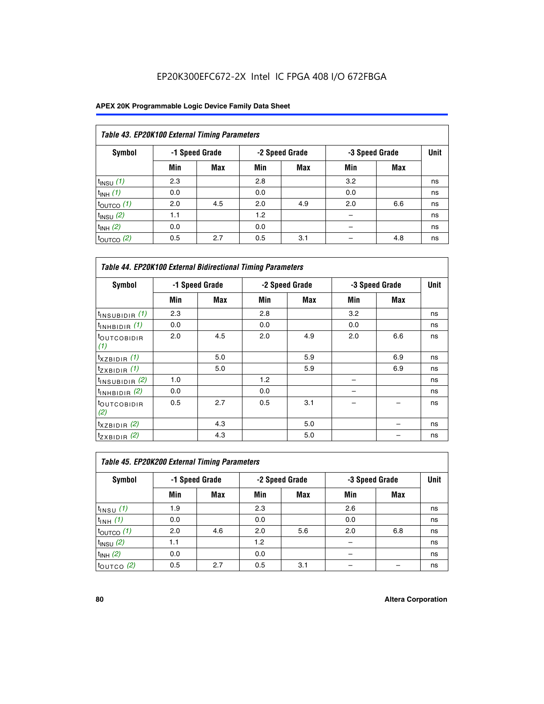| Table 43. EP20K100 External Timing Parameters |     |                |     |                |     |                |             |  |  |  |
|-----------------------------------------------|-----|----------------|-----|----------------|-----|----------------|-------------|--|--|--|
| Symbol                                        |     | -1 Speed Grade |     | -2 Speed Grade |     | -3 Speed Grade | <b>Unit</b> |  |  |  |
|                                               | Min | Max            | Min | <b>Max</b>     | Min | <b>Max</b>     |             |  |  |  |
| $t_{INSU}$ (1)                                | 2.3 |                | 2.8 |                | 3.2 |                | ns          |  |  |  |
| $t_{INH}$ (1)                                 | 0.0 |                | 0.0 |                | 0.0 |                | ns          |  |  |  |
| $t_{\text{OUTCO}}(1)$                         | 2.0 | 4.5            | 2.0 | 4.9            | 2.0 | 6.6            | ns          |  |  |  |
| $t_{INSU}(2)$                                 | 1.1 |                | 1.2 |                |     |                | ns          |  |  |  |
| $t_{INH}$ (2)                                 | 0.0 |                | 0.0 |                |     |                | ns          |  |  |  |
| $t_{\text{OUTCO}}$ (2)                        | 0.5 | 2.7            | 0.5 | 3.1            |     | 4.8            | ns          |  |  |  |

| <b>Table 44. EP20K100 External Bidirectional Timing Parameters</b> |     |                |     |                |     |                |    |
|--------------------------------------------------------------------|-----|----------------|-----|----------------|-----|----------------|----|
| <b>Symbol</b>                                                      |     | -1 Speed Grade |     | -2 Speed Grade |     | -3 Speed Grade |    |
|                                                                    | Min | Max            | Min | Max            | Min | <b>Max</b>     |    |
| $t_{\text{INSUBIDIR}}(1)$                                          | 2.3 |                | 2.8 |                | 3.2 |                | ns |
| $t_{INHBIDIR}$ (1)                                                 | 0.0 |                | 0.0 |                | 0.0 |                | ns |
| <sup>t</sup> OUTCOBIDIR<br>(1)                                     | 2.0 | 4.5            | 2.0 | 4.9            | 2.0 | 6.6            | ns |
| $t_{XZBIDIR}$ (1)                                                  |     | 5.0            |     | 5.9            |     | 6.9            | ns |
| $t_{ZXBIDIR}$ (1)                                                  |     | 5.0            |     | 5.9            |     | 6.9            | ns |
| $t_{INSUBIDIR}$ (2)                                                | 1.0 |                | 1.2 |                |     |                | ns |
| $t_{INHBIDIR}$ (2)                                                 | 0.0 |                | 0.0 |                |     |                | ns |
| <sup>t</sup> OUTCOBIDIR<br>(2)                                     | 0.5 | 2.7            | 0.5 | 3.1            |     |                | ns |
| $t_{XZBIDIR}$ (2)                                                  |     | 4.3            |     | 5.0            |     |                | ns |
| $t_{ZXBIDIR}$ (2)                                                  |     | 4.3            |     | 5.0            |     |                | ns |

| Table 45. EP20K200 External Timing Parameters |                |     |     |                |     |                |             |  |  |  |  |
|-----------------------------------------------|----------------|-----|-----|----------------|-----|----------------|-------------|--|--|--|--|
| <b>Symbol</b>                                 | -1 Speed Grade |     |     | -2 Speed Grade |     | -3 Speed Grade | <b>Unit</b> |  |  |  |  |
|                                               | Min            | Max | Min | Max            | Min | Max            |             |  |  |  |  |
| $t$ <sub>INSU</sub> $(1)$                     | 1.9            |     | 2.3 |                | 2.6 |                | ns          |  |  |  |  |
| $t_{INH}$ (1)                                 | 0.0            |     | 0.0 |                | 0.0 |                | ns          |  |  |  |  |
| $t_{\text{OUTCO}}(1)$                         | 2.0            | 4.6 | 2.0 | 5.6            | 2.0 | 6.8            | ns          |  |  |  |  |
| $t_{INSU}$ (2)                                | 1.1            |     | 1.2 |                |     |                | ns          |  |  |  |  |
| $t_{INH}$ (2)                                 | 0.0            |     | 0.0 |                |     |                | ns          |  |  |  |  |
| $t_{\text{OUTCO}}$ (2)                        | 0.5            | 2.7 | 0.5 | 3.1            |     |                | ns          |  |  |  |  |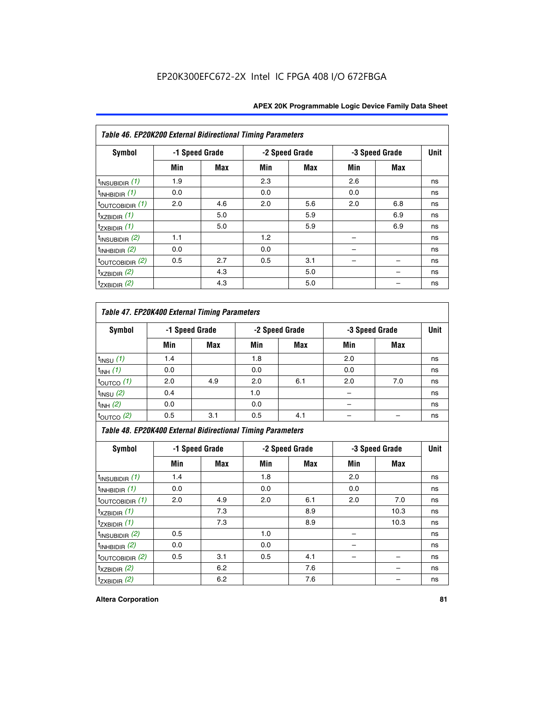| Table 46. EP20K200 External Bidirectional Timing Parameters |     |                |     |                |     |                |             |
|-------------------------------------------------------------|-----|----------------|-----|----------------|-----|----------------|-------------|
| Symbol                                                      |     | -1 Speed Grade |     | -2 Speed Grade |     | -3 Speed Grade | <b>Unit</b> |
|                                                             | Min | Max            | Min | Max            | Min | Max            |             |
| $t_{\text{INSUBIDIR}}(1)$                                   | 1.9 |                | 2.3 |                | 2.6 |                | ns          |
| $t_{INHBIDIR}$ (1)                                          | 0.0 |                | 0.0 |                | 0.0 |                | ns          |
| $t_{\text{OUTCOBIDIR}}(1)$                                  | 2.0 | 4.6            | 2.0 | 5.6            | 2.0 | 6.8            | ns          |
| $t_{XZBIDIR}$ (1)                                           |     | 5.0            |     | 5.9            |     | 6.9            | ns          |
| $t_{ZXBIDIR}$ (1)                                           |     | 5.0            |     | 5.9            |     | 6.9            | ns          |
| $t_{INSUBIDIR}$ (2)                                         | 1.1 |                | 1.2 |                |     |                | ns          |
| $t_{INHBIDIR}$ (2)                                          | 0.0 |                | 0.0 |                |     |                | ns          |
| $t_{\text{OUTCOBIDIR}}$ (2)                                 | 0.5 | 2.7            | 0.5 | 3.1            |     |                | ns          |
| $t_{XZBIDIR}$ (2)                                           |     | 4.3            |     | 5.0            |     |                | ns          |
| $t_{ZXBIDIR}$ (2)                                           |     | 4.3            |     | 5.0            |     |                | ns          |

### *Table 47. EP20K400 External Timing Parameters*

| Symbol                |     | -1 Speed Grade |     | -2 Speed Grade |     | -3 Speed Grade |    |  |
|-----------------------|-----|----------------|-----|----------------|-----|----------------|----|--|
|                       | Min | <b>Max</b>     | Min | <b>Max</b>     | Min | <b>Max</b>     |    |  |
| $t_{INSU}$ (1)        | 1.4 |                | 1.8 |                | 2.0 |                | ns |  |
| $t_{INH}$ (1)         | 0.0 |                | 0.0 |                | 0.0 |                | ns |  |
| $t_{\text{OUTCO}}(1)$ | 2.0 | 4.9            | 2.0 | 6.1            | 2.0 | 7.0            | ns |  |
| $t_{INSU}$ (2)        | 0.4 |                | 1.0 |                |     |                | ns |  |
| $t_{INH}$ (2)         | 0.0 |                | 0.0 |                |     |                | ns |  |
| $t_{\text{OUTCO}}(2)$ | 0.5 | 3.1            | 0.5 | 4.1            |     |                | ns |  |

*Table 48. EP20K400 External Bidirectional Timing Parameters*

| Symbol                      | -1 Speed Grade |     | -2 Speed Grade |            |     | -3 Speed Grade | <b>Unit</b> |
|-----------------------------|----------------|-----|----------------|------------|-----|----------------|-------------|
|                             | Min            | Max | Min            | <b>Max</b> | Min | <b>Max</b>     |             |
| $t_{\text{INSUBIDIR}}(1)$   | 1.4            |     | 1.8            |            | 2.0 |                | ns          |
| $t_{INHBIDIR}$ (1)          | 0.0            |     | 0.0            |            | 0.0 |                | ns          |
| $t_{\text{OUTCOBIDIR}}(1)$  | 2.0            | 4.9 | 2.0            | 6.1        | 2.0 | 7.0            | ns          |
| $t_{XZBIDIR}$ (1)           |                | 7.3 |                | 8.9        |     | 10.3           | ns          |
| $t_{ZXBIDIR}$ (1)           |                | 7.3 |                | 8.9        |     | 10.3           | ns          |
| $t_{\text{INSUBIDIR}}(2)$   | 0.5            |     | 1.0            |            |     |                | ns          |
| $t_{INHBIDIR}$ (2)          | 0.0            |     | 0.0            |            |     |                | ns          |
| $t_{\text{OUTCOBIDIR}}$ (2) | 0.5            | 3.1 | 0.5            | 4.1        |     |                | ns          |
| $t_{XZBIDIR}$ (2)           |                | 6.2 |                | 7.6        |     |                | ns          |
| $t_{ZXBIDIR}$ (2)           |                | 6.2 |                | 7.6        |     |                | ns          |

#### **Altera Corporation 81**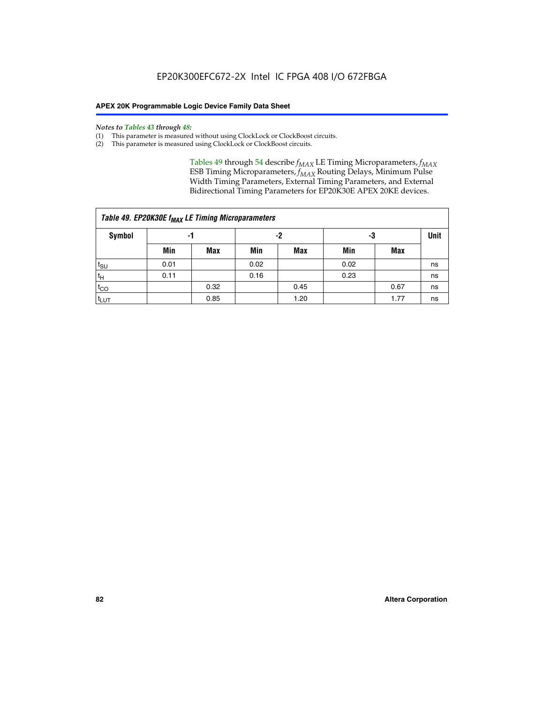#### *Notes to Tables 43 through 48:*

- (1) This parameter is measured without using ClockLock or ClockBoost circuits.
- (2) This parameter is measured using ClockLock or ClockBoost circuits.

Tables 49 through 54 describe  $f_{MAX}$  LE Timing Microparameters,  $f_{MAX}$ ESB Timing Microparameters, *f<sub>MAX</sub>* Routing Delays, Minimum Pulse Width Timing Parameters, External Timing Parameters, and External Bidirectional Timing Parameters for EP20K30E APEX 20KE devices.

| Table 49. EP20K30E f <sub>MAX</sub> LE Timing Microparameters |      |      |      |            |      |      |    |  |  |  |  |
|---------------------------------------------------------------|------|------|------|------------|------|------|----|--|--|--|--|
| <b>Symbol</b>                                                 |      | -1   |      | -2         |      | -3   |    |  |  |  |  |
|                                                               | Min  | Max  | Min  | <b>Max</b> | Min  | Max  |    |  |  |  |  |
| $t_{\text{SU}}$                                               | 0.01 |      | 0.02 |            | 0.02 |      | ns |  |  |  |  |
| $t_H$                                                         | 0.11 |      | 0.16 |            | 0.23 |      | ns |  |  |  |  |
| $t_{CO}$                                                      |      | 0.32 |      | 0.45       |      | 0.67 | ns |  |  |  |  |
| $t_{LUT}$                                                     |      | 0.85 |      | 1.20       |      | 1.77 | ns |  |  |  |  |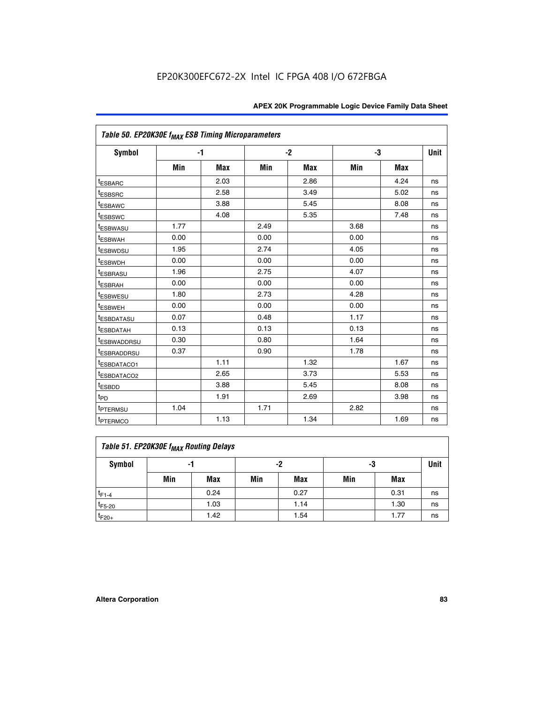| Table 50. EP20K30E f <sub>MAX</sub> ESB Timing Microparameters |      |      |      |      |      |            |             |
|----------------------------------------------------------------|------|------|------|------|------|------------|-------------|
| <b>Symbol</b>                                                  |      | $-1$ |      | $-2$ |      | -3         | <b>Unit</b> |
|                                                                | Min  | Max  | Min  | Max  | Min  | <b>Max</b> |             |
| <sup>t</sup> ESBARC                                            |      | 2.03 |      | 2.86 |      | 4.24       | ns          |
| <sup>t</sup> ESBSRC                                            |      | 2.58 |      | 3.49 |      | 5.02       | ns          |
| <sup>t</sup> ESBAWC                                            |      | 3.88 |      | 5.45 |      | 8.08       | ns          |
| t <sub>ESBSWC</sub>                                            |      | 4.08 |      | 5.35 |      | 7.48       | ns          |
| <sup>t</sup> ESBWASU                                           | 1.77 |      | 2.49 |      | 3.68 |            | ns          |
| <sup>t</sup> ESBWAH                                            | 0.00 |      | 0.00 |      | 0.00 |            | ns          |
| t <sub>ESBWDSU</sub>                                           | 1.95 |      | 2.74 |      | 4.05 |            | ns          |
| <sup>t</sup> ESBWDH                                            | 0.00 |      | 0.00 |      | 0.00 |            | ns          |
| <sup>t</sup> ESBRASU                                           | 1.96 |      | 2.75 |      | 4.07 |            | ns          |
| <sup>t</sup> ESBRAH                                            | 0.00 |      | 0.00 |      | 0.00 |            | ns          |
| <i>t</i> ESBWESU                                               | 1.80 |      | 2.73 |      | 4.28 |            | ns          |
| t <sub>ESBWEH</sub>                                            | 0.00 |      | 0.00 |      | 0.00 |            | ns          |
| <sup>t</sup> ESBDATASU                                         | 0.07 |      | 0.48 |      | 1.17 |            | ns          |
| <sup>I</sup> ESBDATAH                                          | 0.13 |      | 0.13 |      | 0.13 |            | ns          |
| <sup>t</sup> ESBWADDRSU                                        | 0.30 |      | 0.80 |      | 1.64 |            | ns          |
| <sup>I</sup> ESBRADDRSU                                        | 0.37 |      | 0.90 |      | 1.78 |            | ns          |
| ESBDATACO1                                                     |      | 1.11 |      | 1.32 |      | 1.67       | ns          |
| <sup>I</sup> ESBDATACO2                                        |      | 2.65 |      | 3.73 |      | 5.53       | ns          |
| t <sub>ESBDD</sub>                                             |      | 3.88 |      | 5.45 |      | 8.08       | ns          |
| t <sub>PD</sub>                                                |      | 1.91 |      | 2.69 |      | 3.98       | ns          |
| <sup>t</sup> PTERMSU                                           | 1.04 |      | 1.71 |      | 2.82 |            | ns          |
| t <sub>PTERMCO</sub>                                           |      | 1.13 |      | 1.34 |      | 1.69       | ns          |

### **Table 51. EP20K30E f<sub>MAX</sub> Routing Delays**

| Symbol      | - 1 |            | -2  |            | -3  |      | Unit |
|-------------|-----|------------|-----|------------|-----|------|------|
|             | Min | <b>Max</b> | Min | <b>Max</b> | Min | Max  |      |
| $t_{F1-4}$  |     | 0.24       |     | 0.27       |     | 0.31 | ns   |
| $t_{F5-20}$ |     | 1.03       |     | 1.14       |     | 1.30 | ns   |
| $t_{F20+}$  |     | 1.42       |     | 1.54       |     | 1.77 | ns   |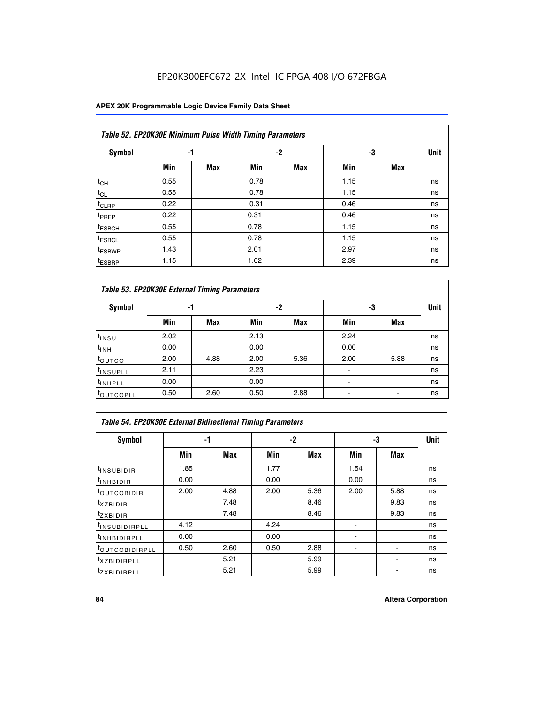### **APEX 20K Programmable Logic Device Family Data Sheet**

|                    | Table 52. EP20K30E Minimum Pulse Width Timing Parameters |            |      |            |      |            |             |  |  |  |  |  |
|--------------------|----------------------------------------------------------|------------|------|------------|------|------------|-------------|--|--|--|--|--|
| <b>Symbol</b>      |                                                          | -1         |      | $-2$       | -3   |            | <b>Unit</b> |  |  |  |  |  |
|                    | Min                                                      | <b>Max</b> | Min  | <b>Max</b> | Min  | <b>Max</b> |             |  |  |  |  |  |
| $t_{CH}$           | 0.55                                                     |            | 0.78 |            | 1.15 |            | ns          |  |  |  |  |  |
| $t_{CL}$           | 0.55                                                     |            | 0.78 |            | 1.15 |            | ns          |  |  |  |  |  |
| $t_{CLRP}$         | 0.22                                                     |            | 0.31 |            | 0.46 |            | ns          |  |  |  |  |  |
| <sup>t</sup> PREP  | 0.22                                                     |            | 0.31 |            | 0.46 |            | ns          |  |  |  |  |  |
| <sup>t</sup> ESBCH | 0.55                                                     |            | 0.78 |            | 1.15 |            | ns          |  |  |  |  |  |
| <sup>t</sup> ESBCL | 0.55                                                     |            | 0.78 |            | 1.15 |            | ns          |  |  |  |  |  |
| <sup>t</sup> ESBWP | 1.43                                                     |            | 2.01 |            | 2.97 |            | ns          |  |  |  |  |  |
| <sup>t</sup> ESBRP | 1.15                                                     |            | 1.62 |            | 2.39 |            | ns          |  |  |  |  |  |

| Table 53. EP20K30E External Timing Parameters |      |            |      |            |                          |            |             |  |  |  |  |
|-----------------------------------------------|------|------------|------|------------|--------------------------|------------|-------------|--|--|--|--|
| <b>Symbol</b>                                 | -1   |            |      | -2         | -3                       |            | <b>Unit</b> |  |  |  |  |
|                                               | Min  | <b>Max</b> | Min  | <b>Max</b> | Min                      | <b>Max</b> |             |  |  |  |  |
| t <sub>INSU</sub>                             | 2.02 |            | 2.13 |            | 2.24                     |            | ns          |  |  |  |  |
| $t_{\text{INH}}$                              | 0.00 |            | 0.00 |            | 0.00                     |            | ns          |  |  |  |  |
| <sup>t</sup> outco                            | 2.00 | 4.88       | 2.00 | 5.36       | 2.00                     | 5.88       | ns          |  |  |  |  |
| <sup>t</sup> INSUPLL                          | 2.11 |            | 2.23 |            |                          |            | ns          |  |  |  |  |
| <sup>t</sup> INHPLL                           | 0.00 |            | 0.00 |            | $\overline{\phantom{a}}$ |            | ns          |  |  |  |  |
| <b>LOUTCOPLL</b>                              | 0.50 | 2.60       | 0.50 | 2.88       | -                        |            | ns          |  |  |  |  |

| Table 54. EP20K30E External Bidirectional Timing Parameters |      |      |      |            |      |            |             |  |  |  |  |
|-------------------------------------------------------------|------|------|------|------------|------|------------|-------------|--|--|--|--|
| Symbol                                                      |      | -1   |      | $-2$       |      | -3         | <b>Unit</b> |  |  |  |  |
|                                                             | Min  | Max  | Min  | <b>Max</b> | Min  | <b>Max</b> |             |  |  |  |  |
| <sup>t</sup> INSUBIDIR                                      | 1.85 |      | 1.77 |            | 1.54 |            | ns          |  |  |  |  |
| <b>INHBIDIR</b>                                             | 0.00 |      | 0.00 |            | 0.00 |            | ns          |  |  |  |  |
| <b>LOUTCOBIDIR</b>                                          | 2.00 | 4.88 | 2.00 | 5.36       | 2.00 | 5.88       | ns          |  |  |  |  |
| <sup>T</sup> XZBIDIR                                        |      | 7.48 |      | 8.46       |      | 9.83       | ns          |  |  |  |  |
| <sup>I</sup> ZXBIDIR                                        |      | 7.48 |      | 8.46       |      | 9.83       | ns          |  |  |  |  |
| <sup>t</sup> INSUBIDIRPLL                                   | 4.12 |      | 4.24 |            |      |            | ns          |  |  |  |  |
| <sup>I</sup> INHBIDIRPLL                                    | 0.00 |      | 0.00 |            |      |            | ns          |  |  |  |  |
| <b>LOUTCOBIDIRPLL</b>                                       | 0.50 | 2.60 | 0.50 | 2.88       |      |            | ns          |  |  |  |  |
| <sup>I</sup> XZBIDIRPLL                                     |      | 5.21 |      | 5.99       |      |            | ns          |  |  |  |  |
| <sup>T</sup> ZXBIDIRPLL                                     |      | 5.21 |      | 5.99       |      |            | ns          |  |  |  |  |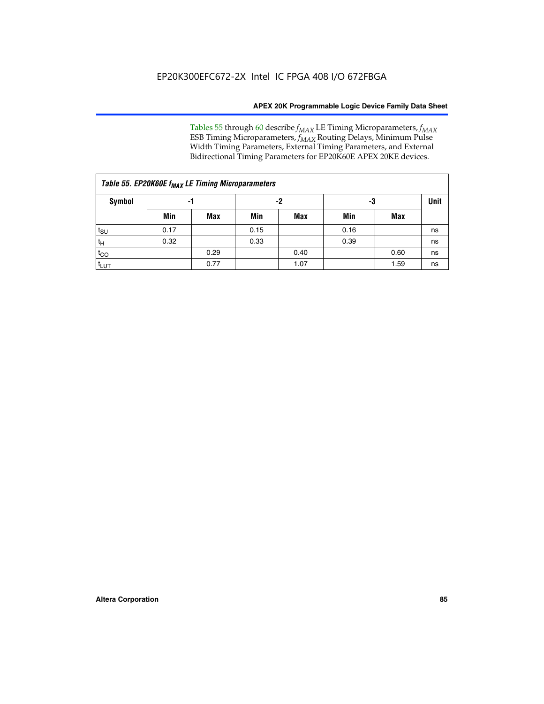Tables 55 through 60 describe *f<sub>MAX</sub>* LE Timing Microparameters, *f<sub>MAX</sub>* ESB Timing Microparameters, *f<sub>MAX</sub>* Routing Delays, Minimum Pulse Width Timing Parameters, External Timing Parameters, and External Bidirectional Timing Parameters for EP20K60E APEX 20KE devices.

| Table 55. EP20K60E f <sub>MAX</sub> LE Timing Microparameters |      |      |      |      |      |             |    |  |  |  |  |
|---------------------------------------------------------------|------|------|------|------|------|-------------|----|--|--|--|--|
| <b>Symbol</b>                                                 |      | -1   |      | -2   | -3   | <b>Unit</b> |    |  |  |  |  |
|                                                               | Min  | Max  | Min  | Max  | Min  | Max         |    |  |  |  |  |
| $t_{\text{SU}}$                                               | 0.17 |      | 0.15 |      | 0.16 |             | ns |  |  |  |  |
| $t_H$                                                         | 0.32 |      | 0.33 |      | 0.39 |             | ns |  |  |  |  |
| $t_{CO}$                                                      |      | 0.29 |      | 0.40 |      | 0.60        | ns |  |  |  |  |
| t <sub>lut</sub>                                              |      | 0.77 |      | 1.07 |      | 1.59        | ns |  |  |  |  |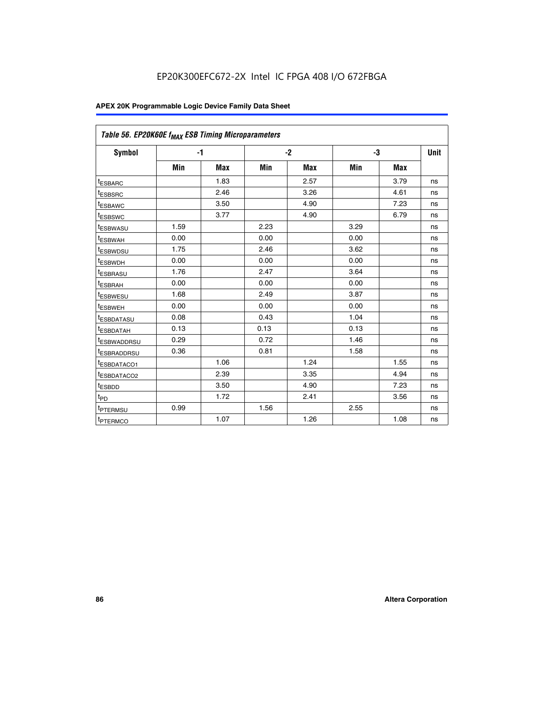| Table 56. EP20K60E f <sub>MAX</sub> ESB Timing Microparameters |      |            |      |            |      |            |             |
|----------------------------------------------------------------|------|------------|------|------------|------|------------|-------------|
| <b>Symbol</b>                                                  | $-1$ |            |      | $-2$       |      | -3         | <b>Unit</b> |
|                                                                | Min  | <b>Max</b> | Min  | <b>Max</b> | Min  | <b>Max</b> |             |
| <sup>t</sup> ESBARC                                            |      | 1.83       |      | 2.57       |      | 3.79       | ns          |
| t <sub>ESBSRC</sub>                                            |      | 2.46       |      | 3.26       |      | 4.61       | ns          |
| <sup>t</sup> ESBAWC                                            |      | 3.50       |      | 4.90       |      | 7.23       | ns          |
| <sup>t</sup> ESBSWC                                            |      | 3.77       |      | 4.90       |      | 6.79       | ns          |
| <sup>t</sup> ESBWASU                                           | 1.59 |            | 2.23 |            | 3.29 |            | ns          |
| <sup>t</sup> ESBWAH                                            | 0.00 |            | 0.00 |            | 0.00 |            | ns          |
| t <sub>ESBWDSU</sub>                                           | 1.75 |            | 2.46 |            | 3.62 |            | ns          |
| <sup>t</sup> ESBWDH                                            | 0.00 |            | 0.00 |            | 0.00 |            | ns          |
| t <sub>ESBRASU</sub>                                           | 1.76 |            | 2.47 |            | 3.64 |            | ns          |
| <sup>t</sup> ESBRAH                                            | 0.00 |            | 0.00 |            | 0.00 |            | ns          |
| t <sub>ESBWESU</sub>                                           | 1.68 |            | 2.49 |            | 3.87 |            | ns          |
| t <sub>ESBWEH</sub>                                            | 0.00 |            | 0.00 |            | 0.00 |            | ns          |
| <sup>t</sup> ESBDATASU                                         | 0.08 |            | 0.43 |            | 1.04 |            | ns          |
| t <sub>ESBDATAH</sub>                                          | 0.13 |            | 0.13 |            | 0.13 |            | ns          |
| <sup>t</sup> ESBWADDRSU                                        | 0.29 |            | 0.72 |            | 1.46 |            | ns          |
| <sup>t</sup> ESBRADDRSU                                        | 0.36 |            | 0.81 |            | 1.58 |            | ns          |
| <sup>I</sup> ESBDATACO1                                        |      | 1.06       |      | 1.24       |      | 1.55       | ns          |
| <sup>t</sup> ESBDATACO2                                        |      | 2.39       |      | 3.35       |      | 4.94       | ns          |
| <sup>t</sup> ESBDD                                             |      | 3.50       |      | 4.90       |      | 7.23       | ns          |
| t <sub>PD</sub>                                                |      | 1.72       |      | 2.41       |      | 3.56       | ns          |
| t <sub>PTERMSU</sub>                                           | 0.99 |            | 1.56 |            | 2.55 |            | ns          |
| t <sub>PTERMCO</sub>                                           |      | 1.07       |      | 1.26       |      | 1.08       | ns          |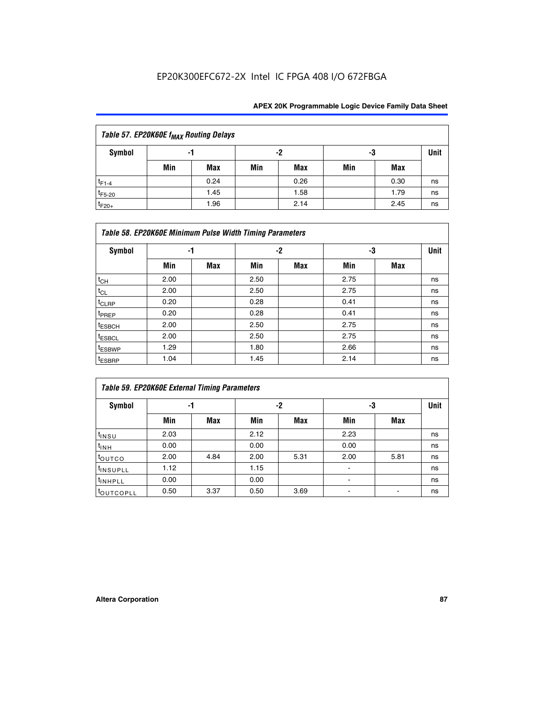| Table 57. EP20K60E f <sub>MAX</sub> Routing Delays |          |      |     |            |     |      |    |  |  |  |
|----------------------------------------------------|----------|------|-----|------------|-----|------|----|--|--|--|
| Symbol                                             | -2<br>-1 |      |     |            |     | -3   |    |  |  |  |
|                                                    | Min      | Max  | Min | <b>Max</b> | Min | Max  |    |  |  |  |
| $t_{F1-4}$                                         |          | 0.24 |     | 0.26       |     | 0.30 | ns |  |  |  |
| $t_{F5-20}$                                        |          | 1.45 |     | 1.58       |     | 1.79 | ns |  |  |  |
| $t_{F20+}$                                         |          | 1.96 |     | 2.14       |     | 2.45 | ns |  |  |  |

|                    | Table 58. EP20K60E Minimum Pulse Width Timing Parameters |            |      |     |      |     |             |  |  |  |  |  |  |
|--------------------|----------------------------------------------------------|------------|------|-----|------|-----|-------------|--|--|--|--|--|--|
| Symbol             |                                                          | -1         |      | -2  |      | -3  | <b>Unit</b> |  |  |  |  |  |  |
|                    | Min                                                      | <b>Max</b> | Min  | Max | Min  | Max |             |  |  |  |  |  |  |
| $t_{CH}$           | 2.00                                                     |            | 2.50 |     | 2.75 |     | ns          |  |  |  |  |  |  |
| $t_{CL}$           | 2.00                                                     |            | 2.50 |     | 2.75 |     | ns          |  |  |  |  |  |  |
| $t_{CLRP}$         | 0.20                                                     |            | 0.28 |     | 0.41 |     | ns          |  |  |  |  |  |  |
| t <sub>PREP</sub>  | 0.20                                                     |            | 0.28 |     | 0.41 |     | ns          |  |  |  |  |  |  |
| <sup>t</sup> ESBCH | 2.00                                                     |            | 2.50 |     | 2.75 |     | ns          |  |  |  |  |  |  |
| <sup>t</sup> ESBCL | 2.00                                                     |            | 2.50 |     | 2.75 |     | ns          |  |  |  |  |  |  |
| <sup>t</sup> ESBWP | 1.29                                                     |            | 1.80 |     | 2.66 |     | ns          |  |  |  |  |  |  |
| <sup>t</sup> ESBRP | 1.04                                                     |            | 1.45 |     | 2.14 |     | ns          |  |  |  |  |  |  |

| <b>Table 59. EP20K60E External Timing Parameters</b> |      |      |      |      |      |      |    |  |  |  |  |
|------------------------------------------------------|------|------|------|------|------|------|----|--|--|--|--|
| Symbol                                               | -1   |      |      | -2   | -3   | Unit |    |  |  |  |  |
|                                                      | Min  | Max  | Min  | Max  | Min  | Max  |    |  |  |  |  |
| $t_{INSU}$                                           | 2.03 |      | 2.12 |      | 2.23 |      | ns |  |  |  |  |
| $t_{INH}$                                            | 0.00 |      | 0.00 |      | 0.00 |      | ns |  |  |  |  |
| toutco                                               | 2.00 | 4.84 | 2.00 | 5.31 | 2.00 | 5.81 | ns |  |  |  |  |
| <sup>t</sup> INSUPLL                                 | 1.12 |      | 1.15 |      | ۰    |      | ns |  |  |  |  |
| <sup>t</sup> INHPLL                                  | 0.00 |      | 0.00 |      | ۰    |      | ns |  |  |  |  |
| toutcopll                                            | 0.50 | 3.37 | 0.50 | 3.69 |      |      | ns |  |  |  |  |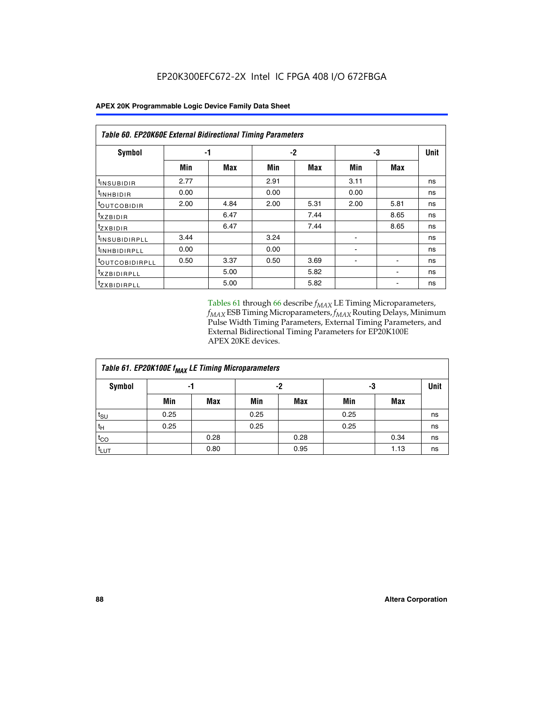| Table 60. EP20K60E External Bidirectional Timing Parameters |      |      |      |      |      |      |             |  |  |  |  |
|-------------------------------------------------------------|------|------|------|------|------|------|-------------|--|--|--|--|
| <b>Symbol</b>                                               |      | -1   |      | $-2$ |      | -3   | <b>Unit</b> |  |  |  |  |
|                                                             | Min  | Max  | Min  | Max  | Min  | Max  |             |  |  |  |  |
| <sup>t</sup> INSUBIDIR                                      | 2.77 |      | 2.91 |      | 3.11 |      | ns          |  |  |  |  |
| <sup>t</sup> INHBIDIR                                       | 0.00 |      | 0.00 |      | 0.00 |      | ns          |  |  |  |  |
| <sup>t</sup> OUTCOBIDIR                                     | 2.00 | 4.84 | 2.00 | 5.31 | 2.00 | 5.81 | ns          |  |  |  |  |
| $t_{XZBIDIR}$                                               |      | 6.47 |      | 7.44 |      | 8.65 | ns          |  |  |  |  |
| <sup>t</sup> zxbidir                                        |      | 6.47 |      | 7.44 |      | 8.65 | ns          |  |  |  |  |
| <sup>t</sup> INSUBIDIRPLL                                   | 3.44 |      | 3.24 |      |      |      | ns          |  |  |  |  |
| <sup>t</sup> INHBIDIRPLL                                    | 0.00 |      | 0.00 |      |      |      | ns          |  |  |  |  |
| t <sub>outcobidirpll</sub>                                  | 0.50 | 3.37 | 0.50 | 3.69 |      |      | ns          |  |  |  |  |
| <sup>t</sup> XZBIDIRPLL                                     |      | 5.00 |      | 5.82 |      |      | ns          |  |  |  |  |
| <sup>t</sup> ZXBIDIRPLL                                     |      | 5.00 |      | 5.82 |      |      | ns          |  |  |  |  |

Tables 61 through 66 describe  $f_{MAX}$  LE Timing Microparameters, *fMAX* ESB Timing Microparameters, *fMAX* Routing Delays, Minimum Pulse Width Timing Parameters, External Timing Parameters, and External Bidirectional Timing Parameters for EP20K100E APEX 20KE devices.

| Table 61. EP20K100E f <sub>MAX</sub> LE Timing Microparameters |      |      |      |            |      |      |             |  |  |  |  |
|----------------------------------------------------------------|------|------|------|------------|------|------|-------------|--|--|--|--|
| <b>Symbol</b>                                                  |      | -1   | $-2$ |            |      | -3   | <b>Unit</b> |  |  |  |  |
|                                                                | Min  | Max  | Min  | <b>Max</b> | Min  | Max  |             |  |  |  |  |
| $t_{\text{SU}}$                                                | 0.25 |      | 0.25 |            | 0.25 |      | ns          |  |  |  |  |
| tμ                                                             | 0.25 |      | 0.25 |            | 0.25 |      | ns          |  |  |  |  |
| $t_{CO}$                                                       |      | 0.28 |      | 0.28       |      | 0.34 | ns          |  |  |  |  |
| t <sub>LUT</sub>                                               |      | 0.80 |      | 0.95       |      | 1.13 | ns          |  |  |  |  |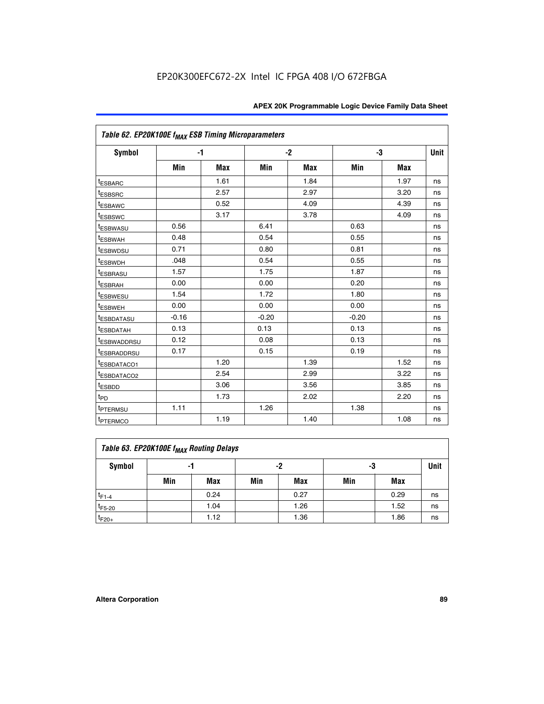| Table 62. EP20K100E f <sub>MAX</sub> ESB Timing Microparameters |         |            |         |            |         |            |             |
|-----------------------------------------------------------------|---------|------------|---------|------------|---------|------------|-------------|
| <b>Symbol</b>                                                   |         | $-1$       |         | $-2$       |         | -3         | <b>Unit</b> |
|                                                                 | Min     | <b>Max</b> | Min     | <b>Max</b> | Min     | <b>Max</b> |             |
| <sup>t</sup> ESBARC                                             |         | 1.61       |         | 1.84       |         | 1.97       | ns          |
| t <sub>ESBSRC</sub>                                             |         | 2.57       |         | 2.97       |         | 3.20       | ns          |
| <sup>t</sup> ESBAWC                                             |         | 0.52       |         | 4.09       |         | 4.39       | ns          |
| <sup>t</sup> ESBSWC                                             |         | 3.17       |         | 3.78       |         | 4.09       | ns          |
| <sup>t</sup> ESBWASU                                            | 0.56    |            | 6.41    |            | 0.63    |            | ns          |
| <b><i>ESBWAH</i></b>                                            | 0.48    |            | 0.54    |            | 0.55    |            | ns          |
| <sup>t</sup> ESBWDSU                                            | 0.71    |            | 0.80    |            | 0.81    |            | ns          |
| <sup>t</sup> ESBWDH                                             | .048    |            | 0.54    |            | 0.55    |            | ns          |
| <sup>t</sup> ESBRASU                                            | 1.57    |            | 1.75    |            | 1.87    |            | ns          |
| t <sub>ESBRAH</sub>                                             | 0.00    |            | 0.00    |            | 0.20    |            | ns          |
| t <sub>ESBWESU</sub>                                            | 1.54    |            | 1.72    |            | 1.80    |            | ns          |
| <sup>I</sup> ESBWEH                                             | 0.00    |            | 0.00    |            | 0.00    |            | ns          |
| <sup>t</sup> ESBDATASU                                          | $-0.16$ |            | $-0.20$ |            | $-0.20$ |            | ns          |
| <sup>t</sup> ESBDATAH                                           | 0.13    |            | 0.13    |            | 0.13    |            | ns          |
| <sup>t</sup> ESBWADDRSU                                         | 0.12    |            | 0.08    |            | 0.13    |            | ns          |
| <sup>t</sup> ESBRADDRSU                                         | 0.17    |            | 0.15    |            | 0.19    |            | ns          |
| ESBDATACO1                                                      |         | 1.20       |         | 1.39       |         | 1.52       | ns          |
| <sup>t</sup> ESBDATACO2                                         |         | 2.54       |         | 2.99       |         | 3.22       | ns          |
| <sup>t</sup> ESBDD                                              |         | 3.06       |         | 3.56       |         | 3.85       | ns          |
| t <sub>PD</sub>                                                 |         | 1.73       |         | 2.02       |         | 2.20       | ns          |
| t <sub>PTERMSU</sub>                                            | 1.11    |            | 1.26    |            | 1.38    |            | ns          |
| t <sub>PTERMCO</sub>                                            |         | 1.19       |         | 1.40       |         | 1.08       | ns          |

| Table 63. EP20K100E f <sub>MAX</sub> Routing Delays |                |      |     |      |     |      |    |  |  |  |
|-----------------------------------------------------|----------------|------|-----|------|-----|------|----|--|--|--|
| Symbol                                              | -2<br>-3<br>-1 |      |     |      |     |      |    |  |  |  |
|                                                     | Min            | Max  | Min | Max  | Min | Max  |    |  |  |  |
| $t_{F1-4}$                                          |                | 0.24 |     | 0.27 |     | 0.29 | ns |  |  |  |
| $t_{F5-20}$                                         |                | 1.04 |     | 1.26 |     | 1.52 | ns |  |  |  |
| $t_{F20+}$                                          |                | 1.12 |     | 1.36 |     | 1.86 | ns |  |  |  |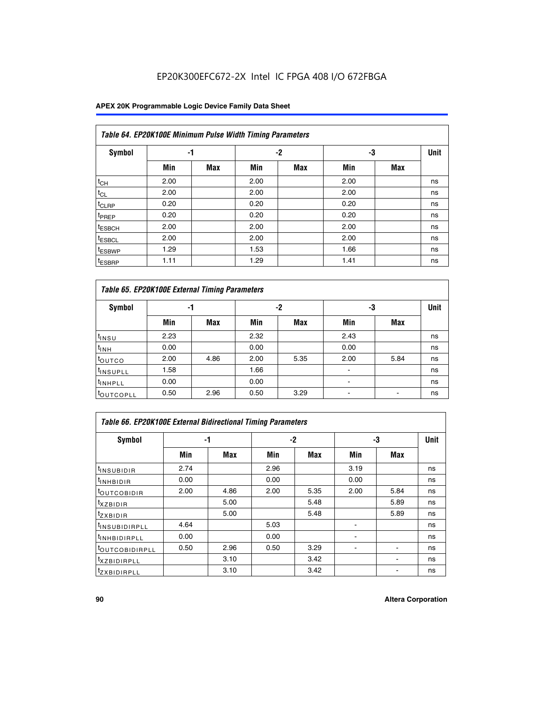### **APEX 20K Programmable Logic Device Family Data Sheet**

|                    | Table 64. EP20K100E Minimum Pulse Width Timing Parameters |            |      |            |      |            |             |  |  |  |  |  |  |
|--------------------|-----------------------------------------------------------|------------|------|------------|------|------------|-------------|--|--|--|--|--|--|
| <b>Symbol</b>      | -1                                                        |            |      | $-2$       | -3   |            | <b>Unit</b> |  |  |  |  |  |  |
|                    | Min                                                       | <b>Max</b> | Min  | <b>Max</b> | Min  | <b>Max</b> |             |  |  |  |  |  |  |
| $t_{CH}$           | 2.00                                                      |            | 2.00 |            | 2.00 |            | ns          |  |  |  |  |  |  |
| $t_{CL}$           | 2.00                                                      |            | 2.00 |            | 2.00 |            | ns          |  |  |  |  |  |  |
| t <sub>CLRP</sub>  | 0.20                                                      |            | 0.20 |            | 0.20 |            | ns          |  |  |  |  |  |  |
| <sup>t</sup> PREP  | 0.20                                                      |            | 0.20 |            | 0.20 |            | ns          |  |  |  |  |  |  |
| <sup>t</sup> ESBCH | 2.00                                                      |            | 2.00 |            | 2.00 |            | ns          |  |  |  |  |  |  |
| <sup>t</sup> ESBCL | 2.00                                                      |            | 2.00 |            | 2.00 |            | ns          |  |  |  |  |  |  |
| <sup>t</sup> ESBWP | 1.29                                                      |            | 1.53 |            | 1.66 |            | ns          |  |  |  |  |  |  |
| <sup>t</sup> ESBRP | 1.11                                                      |            | 1.29 |            | 1.41 |            | ns          |  |  |  |  |  |  |

|                      | Table 65. EP20K100E External Timing Parameters |            |      |            |                |            |    |  |  |  |  |  |  |
|----------------------|------------------------------------------------|------------|------|------------|----------------|------------|----|--|--|--|--|--|--|
| <b>Symbol</b>        | -1                                             |            |      | -2         |                | -3         |    |  |  |  |  |  |  |
|                      | Min                                            | <b>Max</b> | Min  | <b>Max</b> | Min            | <b>Max</b> |    |  |  |  |  |  |  |
| $t_{INSU}$           | 2.23                                           |            | 2.32 |            | 2.43           |            | ns |  |  |  |  |  |  |
| $t_{\rm INH}$        | 0.00                                           |            | 0.00 |            | 0.00           |            | ns |  |  |  |  |  |  |
| toutco               | 2.00                                           | 4.86       | 2.00 | 5.35       | 2.00           | 5.84       | ns |  |  |  |  |  |  |
| <sup>t</sup> INSUPLL | 1.58                                           |            | 1.66 |            |                |            | ns |  |  |  |  |  |  |
| <sup>t</sup> INHPLL  | 0.00                                           |            | 0.00 |            | $\blacksquare$ |            | ns |  |  |  |  |  |  |
| <b>LOUTCOPLL</b>     | 0.50                                           | 2.96       | 0.50 | 3.29       | -              |            | ns |  |  |  |  |  |  |

| <b>Table 66. EP20K100E External Bidirectional Timing Parameters</b> |      |      |      |      |                |      |      |  |  |  |
|---------------------------------------------------------------------|------|------|------|------|----------------|------|------|--|--|--|
| Symbol                                                              |      | -1   |      | $-2$ |                | -3   | Unit |  |  |  |
|                                                                     | Min  | Max  | Min  | Max  | Min            | Max  |      |  |  |  |
| <sup>t</sup> INSUBIDIR                                              | 2.74 |      | 2.96 |      | 3.19           |      | ns   |  |  |  |
| <b>TINHBIDIR</b>                                                    | 0.00 |      | 0.00 |      | 0.00           |      | ns   |  |  |  |
| <b>LOUTCOBIDIR</b>                                                  | 2.00 | 4.86 | 2.00 | 5.35 | 2.00           | 5.84 | ns   |  |  |  |
| <sup>T</sup> XZBIDIR                                                |      | 5.00 |      | 5.48 |                | 5.89 | ns   |  |  |  |
| <sup>T</sup> ZXBIDIR                                                |      | 5.00 |      | 5.48 |                | 5.89 | ns   |  |  |  |
| <sup>t</sup> INSUBIDIRPLL                                           | 4.64 |      | 5.03 |      |                |      | ns   |  |  |  |
| <sup>I</sup> INHBIDIRPLL                                            | 0.00 |      | 0.00 |      | $\blacksquare$ |      | ns   |  |  |  |
| <b><i>LOUTCOBIDIRPLL</i></b>                                        | 0.50 | 2.96 | 0.50 | 3.29 |                |      | ns   |  |  |  |
| <sup>T</sup> XZBIDIRPLL                                             |      | 3.10 |      | 3.42 |                |      | ns   |  |  |  |
| <sup>I</sup> ZXBIDIRPLL                                             |      | 3.10 |      | 3.42 |                |      | ns   |  |  |  |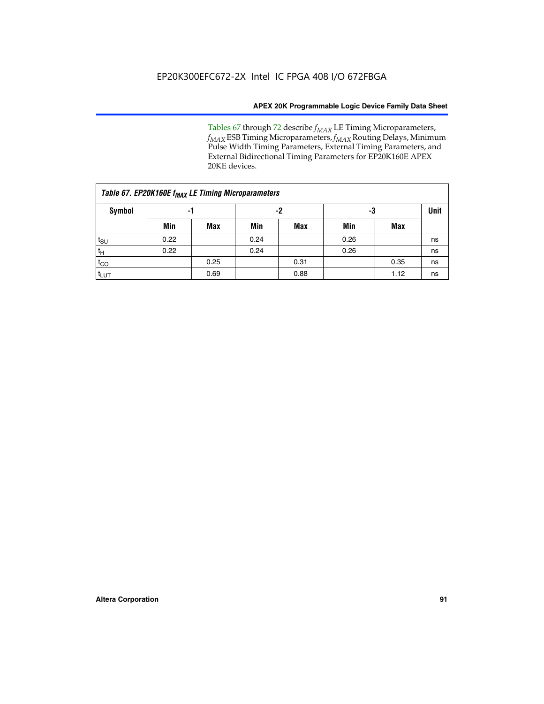Tables 67 through 72 describe *f<sub>MAX</sub>* LE Timing Microparameters, *f<sub>MAX</sub>* ESB Timing Microparameters, *f<sub>MAX</sub>* Routing Delays, Minimum Pulse Width Timing Parameters, External Timing Parameters, and External Bidirectional Timing Parameters for EP20K160E APEX 20KE devices.

| Table 67. EP20K160E f <sub>MAX</sub> LE Timing Microparameters |      |            |      |            |      |      |    |  |  |  |  |
|----------------------------------------------------------------|------|------------|------|------------|------|------|----|--|--|--|--|
| Symbol                                                         |      | -1         |      | -2         |      | -3   |    |  |  |  |  |
|                                                                | Min  | <b>Max</b> | Min  | <b>Max</b> | Min  | Max  |    |  |  |  |  |
| $t_{\text{SU}}$                                                | 0.22 |            | 0.24 |            | 0.26 |      | ns |  |  |  |  |
| $t_H$                                                          | 0.22 |            | 0.24 |            | 0.26 |      | ns |  |  |  |  |
| $t_{CO}$                                                       |      | 0.25       |      | 0.31       |      | 0.35 | ns |  |  |  |  |
| t <sub>lut</sub>                                               |      | 0.69       |      | 0.88       |      | 1.12 | ns |  |  |  |  |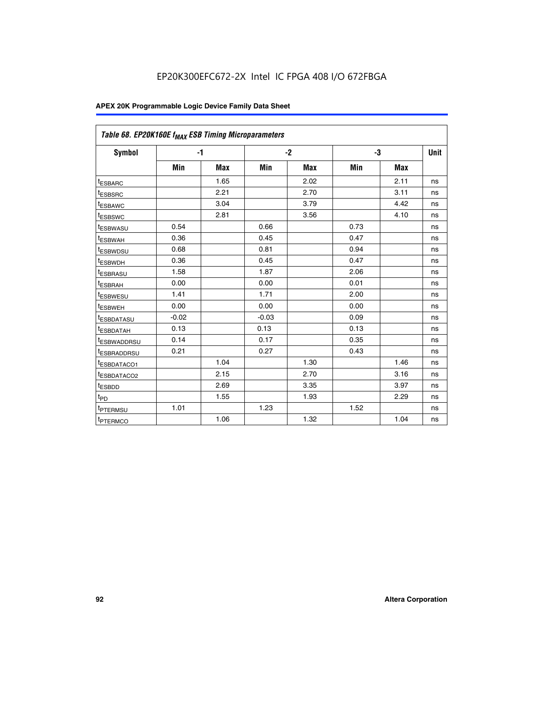| Table 68. EP20K160E f <sub>MAX</sub> ESB Timing Microparameters |         |            |         |            |      |      |      |
|-----------------------------------------------------------------|---------|------------|---------|------------|------|------|------|
| <b>Symbol</b>                                                   | $-1$    |            |         | $-2$       |      | -3   | Unit |
|                                                                 | Min     | <b>Max</b> | Min     | <b>Max</b> | Min  | Max  |      |
| <sup>t</sup> ESBARC                                             |         | 1.65       |         | 2.02       |      | 2.11 | ns   |
| t <sub>ESBSRC</sub>                                             |         | 2.21       |         | 2.70       |      | 3.11 | ns   |
| <sup>t</sup> ESBAWC                                             |         | 3.04       |         | 3.79       |      | 4.42 | ns   |
| t <sub>ESBSWC</sub>                                             |         | 2.81       |         | 3.56       |      | 4.10 | ns   |
| <sup>t</sup> ESBWASU                                            | 0.54    |            | 0.66    |            | 0.73 |      | ns   |
| <sup>t</sup> ESBWAH                                             | 0.36    |            | 0.45    |            | 0.47 |      | ns   |
| t <sub>ESBWDSU</sub>                                            | 0.68    |            | 0.81    |            | 0.94 |      | ns   |
| <sup>t</sup> ESBWDH                                             | 0.36    |            | 0.45    |            | 0.47 |      | ns   |
| t <sub>ESBRASU</sub>                                            | 1.58    |            | 1.87    |            | 2.06 |      | ns   |
| <sup>t</sup> ESBRAH                                             | 0.00    |            | 0.00    |            | 0.01 |      | ns   |
| <sup>t</sup> ESBWESU                                            | 1.41    |            | 1.71    |            | 2.00 |      | ns   |
| t <sub>ESBWEH</sub>                                             | 0.00    |            | 0.00    |            | 0.00 |      | ns   |
| t <sub>ESBDATASU</sub>                                          | $-0.02$ |            | $-0.03$ |            | 0.09 |      | ns   |
| t <sub>ESBDATAH</sub>                                           | 0.13    |            | 0.13    |            | 0.13 |      | ns   |
| t <sub>ESBWADDRSU</sub>                                         | 0.14    |            | 0.17    |            | 0.35 |      | ns   |
| <sup>t</sup> ESBRADDRSU                                         | 0.21    |            | 0.27    |            | 0.43 |      | ns   |
| <sup>I</sup> ESBDATACO1                                         |         | 1.04       |         | 1.30       |      | 1.46 | ns   |
| t <sub>ESBDATACO2</sub>                                         |         | 2.15       |         | 2.70       |      | 3.16 | ns   |
| <sup>t</sup> ESBDD                                              |         | 2.69       |         | 3.35       |      | 3.97 | ns   |
| $t_{\mathsf{PD}}$                                               |         | 1.55       |         | 1.93       |      | 2.29 | ns   |
| t <sub>PTERMSU</sub>                                            | 1.01    |            | 1.23    |            | 1.52 |      | ns   |
| t <sub>PTERMCO</sub>                                            |         | 1.06       |         | 1.32       |      | 1.04 | ns   |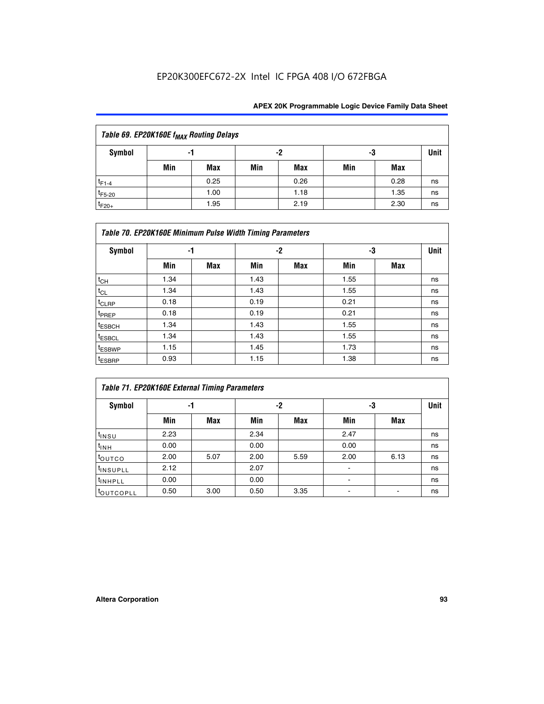| Table 69. EP20K160E f <sub>MAX</sub> Routing Delays |     |      |     |      |     |      |    |  |  |  |  |
|-----------------------------------------------------|-----|------|-----|------|-----|------|----|--|--|--|--|
| Symbol<br>-2<br>-3<br>-1                            |     |      |     |      |     |      |    |  |  |  |  |
|                                                     | Min | Max  | Min | Max  | Min | Max  |    |  |  |  |  |
| $t_{F1-4}$                                          |     | 0.25 |     | 0.26 |     | 0.28 | ns |  |  |  |  |
| $t_{F5-20}$                                         |     | 1.00 |     | 1.18 |     | 1.35 | ns |  |  |  |  |
| $t_{F20+}$                                          |     | 1.95 |     | 2.19 |     | 2.30 | ns |  |  |  |  |

|                    | Table 70. EP20K160E Minimum Pulse Width Timing Parameters |     |      |     |      |     |             |  |  |  |  |  |
|--------------------|-----------------------------------------------------------|-----|------|-----|------|-----|-------------|--|--|--|--|--|
| <b>Symbol</b>      | -1                                                        |     |      | -2  | -3   |     | <b>Unit</b> |  |  |  |  |  |
|                    | Min                                                       | Max | Min  | Max | Min  | Max |             |  |  |  |  |  |
| $t_{CH}$           | 1.34                                                      |     | 1.43 |     | 1.55 |     | ns          |  |  |  |  |  |
| $t_{CL}$           | 1.34                                                      |     | 1.43 |     | 1.55 |     | ns          |  |  |  |  |  |
| $t_{CLRP}$         | 0.18                                                      |     | 0.19 |     | 0.21 |     | ns          |  |  |  |  |  |
| t <sub>PREP</sub>  | 0.18                                                      |     | 0.19 |     | 0.21 |     | ns          |  |  |  |  |  |
| <sup>t</sup> ESBCH | 1.34                                                      |     | 1.43 |     | 1.55 |     | ns          |  |  |  |  |  |
| <sup>t</sup> ESBCL | 1.34                                                      |     | 1.43 |     | 1.55 |     | ns          |  |  |  |  |  |
| <sup>t</sup> ESBWP | 1.15                                                      |     | 1.45 |     | 1.73 |     | ns          |  |  |  |  |  |
| <sup>t</sup> ESBRP | 0.93                                                      |     | 1.15 |     | 1.38 |     | ns          |  |  |  |  |  |

| Table 71. EP20K160E External Timing Parameters |      |      |      |      |                |      |    |  |  |  |  |
|------------------------------------------------|------|------|------|------|----------------|------|----|--|--|--|--|
| Symbol                                         | -1   |      |      | -2   | -3             | Unit |    |  |  |  |  |
|                                                | Min  | Max  | Min  | Max  | Min            | Max  |    |  |  |  |  |
| $t_{INSU}$                                     | 2.23 |      | 2.34 |      | 2.47           |      | ns |  |  |  |  |
| $t_{INH}$                                      | 0.00 |      | 0.00 |      | 0.00           |      | ns |  |  |  |  |
| toutco                                         | 2.00 | 5.07 | 2.00 | 5.59 | 2.00           | 6.13 | ns |  |  |  |  |
| <sup>t</sup> INSUPLL                           | 2.12 |      | 2.07 |      | $\blacksquare$ |      | ns |  |  |  |  |
| <sup>t</sup> INHPLL                            | 0.00 |      | 0.00 |      | ۰              |      | ns |  |  |  |  |
| toutcopll                                      | 0.50 | 3.00 | 0.50 | 3.35 |                |      | ns |  |  |  |  |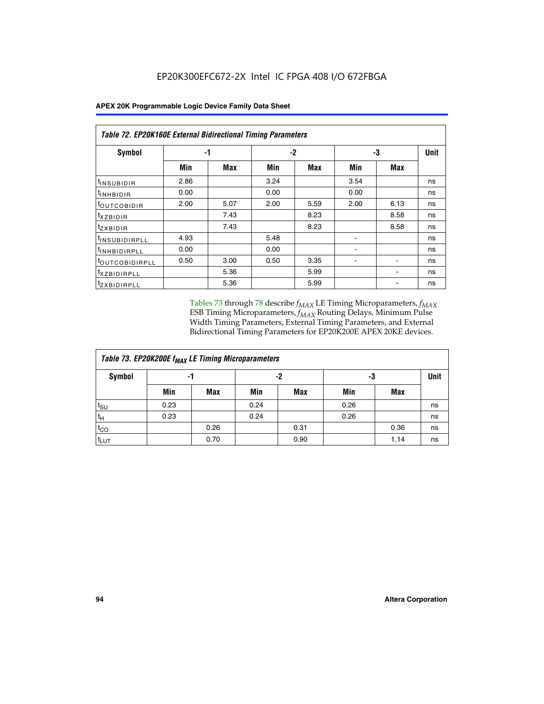| Table 72. EP20K160E External Bidirectional Timing Parameters |      |            |      |      |                          |                |      |
|--------------------------------------------------------------|------|------------|------|------|--------------------------|----------------|------|
| Symbol                                                       |      | -1         |      | $-2$ |                          | -3             | Unit |
|                                                              | Min  | <b>Max</b> | Min  | Max  | Min                      | <b>Max</b>     |      |
| <sup>t</sup> INSUBIDIR                                       | 2.86 |            | 3.24 |      | 3.54                     |                | ns   |
| <sup>t</sup> INHBIDIR                                        | 0.00 |            | 0.00 |      | 0.00                     |                | ns   |
| <sup>t</sup> OUTCOBIDIR                                      | 2.00 | 5.07       | 2.00 | 5.59 | 2.00                     | 6.13           | ns   |
| $t_{XZBIDIR}$                                                |      | 7.43       |      | 8.23 |                          | 8.58           | ns   |
| $t_{Z}$ <i>x</i> BIDIR                                       |      | 7.43       |      | 8.23 |                          | 8.58           | ns   |
| <sup>t</sup> INSUBIDIRPLL                                    | 4.93 |            | 5.48 |      |                          |                | ns   |
| <sup>t</sup> INHBIDIRPLL                                     | 0.00 |            | 0.00 |      | $\overline{\phantom{0}}$ |                | ns   |
| <b><i>LOUTCOBIDIRPLL</i></b>                                 | 0.50 | 3.00       | 0.50 | 3.35 | ۰                        | $\blacksquare$ | ns   |
| <sup>t</sup> XZBIDIRPLL                                      |      | 5.36       |      | 5.99 |                          | ۰              | ns   |
| <sup>t</sup> ZXBIDIRPLL                                      |      | 5.36       |      | 5.99 |                          |                | ns   |

Tables 73 through 78 describe  $f_{MAX}$  LE Timing Microparameters,  $f_{MAX}$ ESB Timing Microparameters, *f<sub>MAX</sub>* Routing Delays, Minimum Pulse Width Timing Parameters, External Timing Parameters, and External Bidirectional Timing Parameters for EP20K200E APEX 20KE devices.

| Table 73. EP20K200E f <sub>MAX</sub> LE Timing Microparameters |      |            |      |            |      |      |    |  |  |  |  |  |
|----------------------------------------------------------------|------|------------|------|------------|------|------|----|--|--|--|--|--|
| <b>Symbol</b>                                                  |      | -1         |      | -2         |      | -3   |    |  |  |  |  |  |
|                                                                | Min  | <b>Max</b> | Min  | <b>Max</b> | Min  | Max  |    |  |  |  |  |  |
| $t_{\text{SU}}$                                                | 0.23 |            | 0.24 |            | 0.26 |      | ns |  |  |  |  |  |
| tμ                                                             | 0.23 |            | 0.24 |            | 0.26 |      | ns |  |  |  |  |  |
| $t_{CO}$                                                       |      | 0.26       |      | 0.31       |      | 0.36 | ns |  |  |  |  |  |
| t <sub>LUT</sub>                                               |      | 0.70       |      | 0.90       |      | 1.14 | ns |  |  |  |  |  |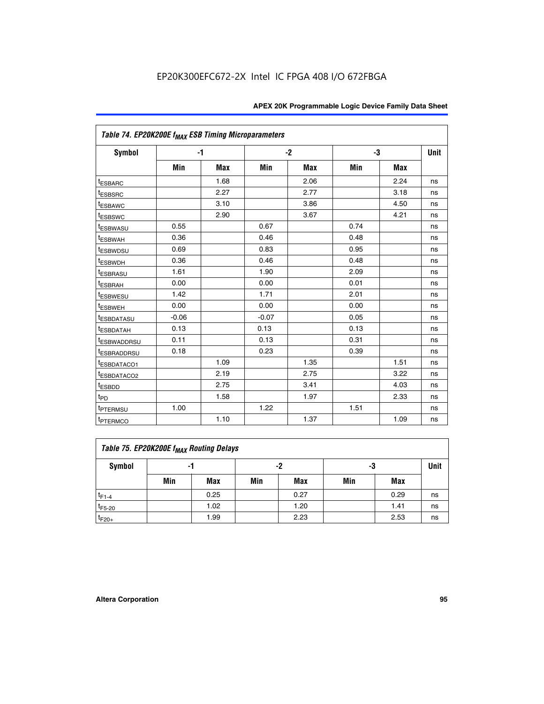| Table 74. EP20K200E f <sub>MAX</sub> ESB Timing Microparameters |         |            |         |            |      |            |      |
|-----------------------------------------------------------------|---------|------------|---------|------------|------|------------|------|
| Symbol                                                          | $-1$    |            |         | $-2$       |      | -3         | Unit |
|                                                                 | Min     | <b>Max</b> | Min     | <b>Max</b> | Min  | <b>Max</b> |      |
| <sup>t</sup> ESBARC                                             |         | 1.68       |         | 2.06       |      | 2.24       | ns   |
| <sup>t</sup> ESBSRC                                             |         | 2.27       |         | 2.77       |      | 3.18       | ns   |
| t <sub>ESBAWC</sub>                                             |         | 3.10       |         | 3.86       |      | 4.50       | ns   |
| <sup>t</sup> ESBSWC                                             |         | 2.90       |         | 3.67       |      | 4.21       | ns   |
| t <sub>ESBWASU</sub>                                            | 0.55    |            | 0.67    |            | 0.74 |            | ns   |
| <sup>t</sup> ESBWAH                                             | 0.36    |            | 0.46    |            | 0.48 |            | ns   |
| <sup>t</sup> ESBWDSU                                            | 0.69    |            | 0.83    |            | 0.95 |            | ns   |
| t <sub>ESBWDH</sub>                                             | 0.36    |            | 0.46    |            | 0.48 |            | ns   |
| <sup>t</sup> ESBRASU                                            | 1.61    |            | 1.90    |            | 2.09 |            | ns   |
| <sup>t</sup> ESBRAH                                             | 0.00    |            | 0.00    |            | 0.01 |            | ns   |
| <i>t</i> ESBWESU                                                | 1.42    |            | 1.71    |            | 2.01 |            | ns   |
| <sup>t</sup> ESBWEH                                             | 0.00    |            | 0.00    |            | 0.00 |            | ns   |
| <sup>t</sup> ESBDATASU                                          | $-0.06$ |            | $-0.07$ |            | 0.05 |            | ns   |
| <sup>I</sup> ESBDATAH                                           | 0.13    |            | 0.13    |            | 0.13 |            | ns   |
| <sup>t</sup> ESBWADDRSU                                         | 0.11    |            | 0.13    |            | 0.31 |            | ns   |
| <sup>t</sup> ESBRADDRSU                                         | 0.18    |            | 0.23    |            | 0.39 |            | ns   |
| <sup>t</sup> ESBDATACO1                                         |         | 1.09       |         | 1.35       |      | 1.51       | ns   |
| <sup>t</sup> ESBDATACO <sub>2</sub>                             |         | 2.19       |         | 2.75       |      | 3.22       | ns   |
| t <sub>ESBDD</sub>                                              |         | 2.75       |         | 3.41       |      | 4.03       | ns   |
| $t_{\text{PD}}$                                                 |         | 1.58       |         | 1.97       |      | 2.33       | ns   |
| <sup>t</sup> PTERMSU                                            | 1.00    |            | 1.22    |            | 1.51 |            | ns   |
| t <sub>PTERMCO</sub>                                            |         | 1.10       |         | 1.37       |      | 1.09       | ns   |

| Table 75. EP20K200E f <sub>MAX</sub> Routing Delays |     |                |     |            |     |      |    |  |  |  |
|-----------------------------------------------------|-----|----------------|-----|------------|-----|------|----|--|--|--|
| Symbol                                              |     | -2<br>-3<br>-1 |     |            |     |      |    |  |  |  |
|                                                     | Min | Max            | Min | <b>Max</b> | Min | Max  |    |  |  |  |
| $t_{F1-4}$                                          |     | 0.25           |     | 0.27       |     | 0.29 | ns |  |  |  |
| $t_{F5-20}$                                         |     | 1.02           |     | 1.20       |     | 1.41 | ns |  |  |  |
| $t_{F20+}$                                          |     | 1.99           |     | 2.23       |     | 2.53 | ns |  |  |  |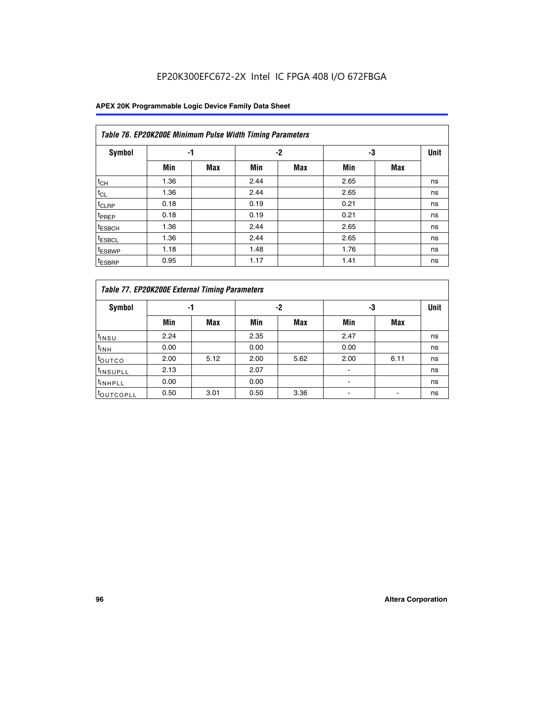| Table 76. EP20K200E Minimum Pulse Width Timing Parameters |      |            |      |            |      |            |             |  |  |  |  |
|-----------------------------------------------------------|------|------------|------|------------|------|------------|-------------|--|--|--|--|
| <b>Symbol</b>                                             | -1   |            |      | $-2$       | -3   |            | <b>Unit</b> |  |  |  |  |
|                                                           | Min  | <b>Max</b> | Min  | <b>Max</b> | Min  | <b>Max</b> |             |  |  |  |  |
| $t_{CH}$                                                  | 1.36 |            | 2.44 |            | 2.65 |            | ns          |  |  |  |  |
| $t_{CL}$                                                  | 1.36 |            | 2.44 |            | 2.65 |            | ns          |  |  |  |  |
| $t_{CLRP}$                                                | 0.18 |            | 0.19 |            | 0.21 |            | ns          |  |  |  |  |
| t <sub>PREP</sub>                                         | 0.18 |            | 0.19 |            | 0.21 |            | ns          |  |  |  |  |
| <sup>t</sup> ESBCH                                        | 1.36 |            | 2.44 |            | 2.65 |            | ns          |  |  |  |  |
| t <sub>ESBCL</sub>                                        | 1.36 |            | 2.44 |            | 2.65 |            | ns          |  |  |  |  |
| <sup>t</sup> ESBWP                                        | 1.18 |            | 1.48 |            | 1.76 |            | ns          |  |  |  |  |
| <sup>t</sup> ESBRP                                        | 0.95 |            | 1.17 |            | 1.41 |            | ns          |  |  |  |  |

|                      | Table 77. EP20K200E External Timing Parameters |            |      |      |      |      |             |  |  |  |  |  |
|----------------------|------------------------------------------------|------------|------|------|------|------|-------------|--|--|--|--|--|
| Symbol               | -1                                             |            |      | -2   | -3   |      | <b>Unit</b> |  |  |  |  |  |
|                      | Min                                            | <b>Max</b> | Min  | Max  | Min  | Max  |             |  |  |  |  |  |
| t <sub>insu</sub>    | 2.24                                           |            | 2.35 |      | 2.47 |      | ns          |  |  |  |  |  |
| $t_{\text{INH}}$     | 0.00                                           |            | 0.00 |      | 0.00 |      | ns          |  |  |  |  |  |
| toutco               | 2.00                                           | 5.12       | 2.00 | 5.62 | 2.00 | 6.11 | ns          |  |  |  |  |  |
| <sup>t</sup> INSUPLL | 2.13                                           |            | 2.07 |      |      |      | ns          |  |  |  |  |  |
| <sup>t</sup> INHPLL  | 0.00                                           |            | 0.00 |      |      |      | ns          |  |  |  |  |  |
| <b>LOUTCOPLL</b>     | 0.50                                           | 3.01       | 0.50 | 3.36 |      |      | ns          |  |  |  |  |  |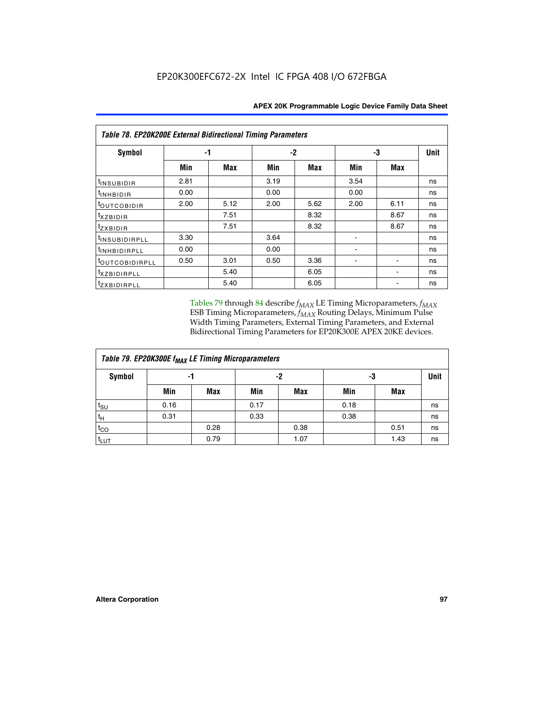| <b>Table 78. EP20K200E External Bidirectional Timing Parameters</b> |      |      |          |      |      |      |    |  |  |  |  |
|---------------------------------------------------------------------|------|------|----------|------|------|------|----|--|--|--|--|
| Symbol                                                              |      | -1   | -3<br>-2 |      |      |      |    |  |  |  |  |
|                                                                     | Min  | Max  | Min      | Max  | Min  | Max  |    |  |  |  |  |
| t <sub>INSUBIDIR</sub>                                              | 2.81 |      | 3.19     |      | 3.54 |      | ns |  |  |  |  |
| t <sub>INHBIDIR</sub>                                               | 0.00 |      | 0.00     |      | 0.00 |      | ns |  |  |  |  |
| toutcobidir                                                         | 2.00 | 5.12 | 2.00     | 5.62 | 2.00 | 6.11 | ns |  |  |  |  |
| <i>txzbidir</i>                                                     |      | 7.51 |          | 8.32 |      | 8.67 | ns |  |  |  |  |
| tzxbidir                                                            |      | 7.51 |          | 8.32 |      | 8.67 | ns |  |  |  |  |
| t <sub>INSUBIDIRPLL</sub>                                           | 3.30 |      | 3.64     |      |      |      | ns |  |  |  |  |
| tINHBIDIRPLL                                                        | 0.00 |      | 0.00     |      |      |      | ns |  |  |  |  |
| toutco <u>bidirpll</u>                                              | 0.50 | 3.01 | 0.50     | 3.36 |      |      | ns |  |  |  |  |
| txzBIDIRPLL                                                         |      | 5.40 |          | 6.05 |      |      | ns |  |  |  |  |
| tzxBIDIRPLL                                                         |      | 5.40 |          | 6.05 |      |      | ns |  |  |  |  |

Tables 79 through 84 describe  $f_{MAX}$  LE Timing Microparameters,  $f_{MAX}$ ESB Timing Microparameters, *f<sub>MAX</sub>* Routing Delays, Minimum Pulse Width Timing Parameters, External Timing Parameters, and External Bidirectional Timing Parameters for EP20K300E APEX 20KE devices.

| Table 79. EP20K300E f <sub>MAX</sub> LE Timing Microparameters |      |            |      |            |      |            |             |  |  |  |  |
|----------------------------------------------------------------|------|------------|------|------------|------|------------|-------------|--|--|--|--|
| <b>Symbol</b>                                                  |      | -1         |      | -2         |      | -3         | <b>Unit</b> |  |  |  |  |
|                                                                | Min  | <b>Max</b> | Min  | <b>Max</b> | Min  | <b>Max</b> |             |  |  |  |  |
| $t_{\text{SU}}$                                                | 0.16 |            | 0.17 |            | 0.18 |            | ns          |  |  |  |  |
| $t_H$                                                          | 0.31 |            | 0.33 |            | 0.38 |            | ns          |  |  |  |  |
| $t_{CO}$                                                       |      | 0.28       |      | 0.38       |      | 0.51       | ns          |  |  |  |  |
| t <sub>LUT</sub>                                               |      | 0.79       |      | 1.07       |      | 1.43       | ns          |  |  |  |  |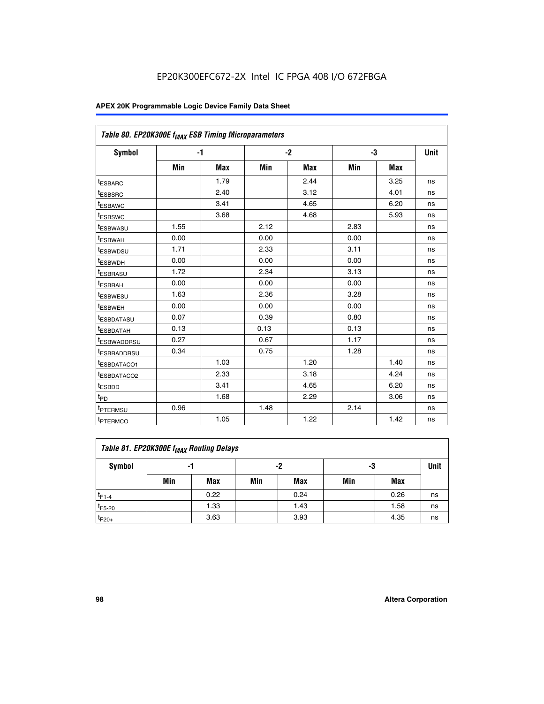| Table 80. EP20K300E f <sub>MAX</sub> ESB Timing Microparameters |      |            |      |            |      |            |      |
|-----------------------------------------------------------------|------|------------|------|------------|------|------------|------|
| Symbol                                                          |      | -1         |      | $-2$       |      | -3         | Unit |
|                                                                 | Min  | <b>Max</b> | Min  | <b>Max</b> | Min  | <b>Max</b> |      |
| t <sub>ESBARC</sub>                                             |      | 1.79       |      | 2.44       |      | 3.25       | ns   |
| t <sub>ESBSRC</sub>                                             |      | 2.40       |      | 3.12       |      | 4.01       | ns   |
| t <sub>ESBAWC</sub>                                             |      | 3.41       |      | 4.65       |      | 6.20       | ns   |
| t <sub>ESBSWC</sub>                                             |      | 3.68       |      | 4.68       |      | 5.93       | ns   |
| <sup>I</sup> ESBWASU                                            | 1.55 |            | 2.12 |            | 2.83 |            | ns   |
| <sup>t</sup> ESBWAH                                             | 0.00 |            | 0.00 |            | 0.00 |            | ns   |
| <sup>I</sup> ESBWDSU                                            | 1.71 |            | 2.33 |            | 3.11 |            | ns   |
| <sup>t</sup> ESBWDH                                             | 0.00 |            | 0.00 |            | 0.00 |            | ns   |
| <sup>t</sup> ESBRASU                                            | 1.72 |            | 2.34 |            | 3.13 |            | ns   |
| t <sub>ESBRAH</sub>                                             | 0.00 |            | 0.00 |            | 0.00 |            | ns   |
| <sup>t</sup> ESBWESU                                            | 1.63 |            | 2.36 |            | 3.28 |            | ns   |
| <sup>t</sup> ESBWEH                                             | 0.00 |            | 0.00 |            | 0.00 |            | ns   |
| t <sub>ESBDATASU</sub>                                          | 0.07 |            | 0.39 |            | 0.80 |            | ns   |
| <sup>t</sup> ESBDATAH                                           | 0.13 |            | 0.13 |            | 0.13 |            | ns   |
| <sup>t</sup> ESBWADDRSU                                         | 0.27 |            | 0.67 |            | 1.17 |            | ns   |
| <sup>t</sup> ESBRADDRSU                                         | 0.34 |            | 0.75 |            | 1.28 |            | ns   |
| <sup>I</sup> ESBDATACO1                                         |      | 1.03       |      | 1.20       |      | 1.40       | ns   |
| <sup>t</sup> ESBDATACO2                                         |      | 2.33       |      | 3.18       |      | 4.24       | ns   |
| <sup>t</sup> ESBDD                                              |      | 3.41       |      | 4.65       |      | 6.20       | ns   |
| t <sub>PD</sub>                                                 |      | 1.68       |      | 2.29       |      | 3.06       | ns   |
| t <sub>PTERMSU</sub>                                            | 0.96 |            | 1.48 |            | 2.14 |            | ns   |
| t <sub>PTERMCO</sub>                                            |      | 1.05       |      | 1.22       |      | 1.42       | ns   |

| Table 81. EP20K300E f <sub>MAX</sub> Routing Delays |                |      |     |      |     |      |    |  |  |  |
|-----------------------------------------------------|----------------|------|-----|------|-----|------|----|--|--|--|
| Symbol                                              | -2<br>-3<br>-1 |      |     |      |     |      |    |  |  |  |
|                                                     | Min            | Max  | Min | Max  | Min | Max  |    |  |  |  |
| $t_{F1-4}$                                          |                | 0.22 |     | 0.24 |     | 0.26 | ns |  |  |  |
| $t_{F5-20}$                                         |                | 1.33 |     | 1.43 |     | 1.58 | ns |  |  |  |
| $t_{F20+}$                                          |                | 3.63 |     | 3.93 |     | 4.35 | ns |  |  |  |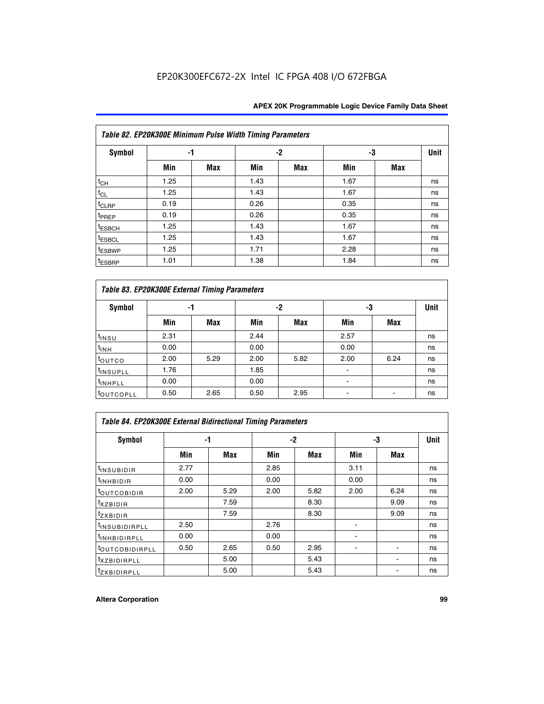| Table 82. EP20K300E Minimum Pulse Width Timing Parameters |      |            |      |      |      |     |             |  |  |  |
|-----------------------------------------------------------|------|------------|------|------|------|-----|-------------|--|--|--|
| <b>Symbol</b>                                             | -1   |            |      | $-2$ | -3   |     | <b>Unit</b> |  |  |  |
|                                                           | Min  | <b>Max</b> | Min  | Max  | Min  | Max |             |  |  |  |
| $t_{CH}$                                                  | 1.25 |            | 1.43 |      | 1.67 |     | ns          |  |  |  |
| $t_{CL}$                                                  | 1.25 |            | 1.43 |      | 1.67 |     | ns          |  |  |  |
| t <sub>CLRP</sub>                                         | 0.19 |            | 0.26 |      | 0.35 |     | ns          |  |  |  |
| t <sub>PREP</sub>                                         | 0.19 |            | 0.26 |      | 0.35 |     | ns          |  |  |  |
| t <sub>ESBCH</sub>                                        | 1.25 |            | 1.43 |      | 1.67 |     | ns          |  |  |  |
| <sup>t</sup> ESBCL                                        | 1.25 |            | 1.43 |      | 1.67 |     | ns          |  |  |  |
| <sup>t</sup> ESBWP                                        | 1.25 |            | 1.71 |      | 2.28 |     | ns          |  |  |  |
| <sup>t</sup> ESBRP                                        | 1.01 |            | 1.38 |      | 1.84 |     | ns          |  |  |  |

| Table 83. EP20K300E External Timing Parameters |      |      |      |      |      |            |             |  |  |  |  |
|------------------------------------------------|------|------|------|------|------|------------|-------------|--|--|--|--|
| Symbol                                         |      | -1   |      | -2   | -3   |            | <b>Unit</b> |  |  |  |  |
|                                                | Min  | Max  | Min  | Max  | Min  | <b>Max</b> |             |  |  |  |  |
| t <sub>INSU</sub>                              | 2.31 |      | 2.44 |      | 2.57 |            | ns          |  |  |  |  |
| $t_{INH}$                                      | 0.00 |      | 0.00 |      | 0.00 |            | ns          |  |  |  |  |
| toutco                                         | 2.00 | 5.29 | 2.00 | 5.82 | 2.00 | 6.24       | ns          |  |  |  |  |
| <sup>t</sup> INSUPLL                           | 1.76 |      | 1.85 |      |      |            | ns          |  |  |  |  |
| <sup>t</sup> INHPLL                            | 0.00 |      | 0.00 |      | -    |            | ns          |  |  |  |  |
| <sup>t</sup> OUTCOPLL                          | 0.50 | 2.65 | 0.50 | 2.95 |      |            | ns          |  |  |  |  |

| Table 84. EP20K300E External Bidirectional Timing Parameters |      |      |      |      |      |      |             |  |  |  |  |
|--------------------------------------------------------------|------|------|------|------|------|------|-------------|--|--|--|--|
| Symbol                                                       |      | -1   |      | -2   |      | -3   | <b>Unit</b> |  |  |  |  |
|                                                              | Min  | Max  | Min  | Max  | Min  | Max  |             |  |  |  |  |
| <sup>t</sup> INSUBIDIR                                       | 2.77 |      | 2.85 |      | 3.11 |      | ns          |  |  |  |  |
| <b>TINHBIDIR</b>                                             | 0.00 |      | 0.00 |      | 0.00 |      | ns          |  |  |  |  |
| <sup>t</sup> OUTCOBIDIR                                      | 2.00 | 5.29 | 2.00 | 5.82 | 2.00 | 6.24 | ns          |  |  |  |  |
| KZBIDIR                                                      |      | 7.59 |      | 8.30 |      | 9.09 | ns          |  |  |  |  |
| $t_{Z}$ <i>x</i> BIDIR                                       |      | 7.59 |      | 8.30 |      | 9.09 | ns          |  |  |  |  |
| <sup>I</sup> INSUBIDIRPLL                                    | 2.50 |      | 2.76 |      |      |      | ns          |  |  |  |  |
| <sup>t</sup> INHBIDIRPLL                                     | 0.00 |      | 0.00 |      |      |      | ns          |  |  |  |  |
| <b><i>LOUTCOBIDIRPLL</i></b>                                 | 0.50 | 2.65 | 0.50 | 2.95 |      |      | ns          |  |  |  |  |
| <sup>T</sup> XZBIDIRPLL                                      |      | 5.00 |      | 5.43 |      |      | ns          |  |  |  |  |
| <sup>t</sup> ZXBIDIRPLL                                      |      | 5.00 |      | 5.43 |      |      | ns          |  |  |  |  |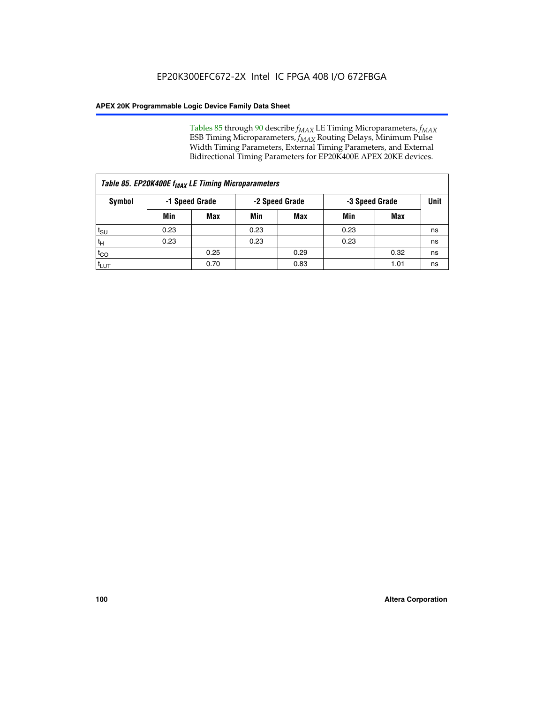Tables 85 through 90 describe  $f_{MAX}$  LE Timing Microparameters,  $f_{MAX}$ ESB Timing Microparameters, *f<sub>MAX</sub>* Routing Delays, Minimum Pulse Width Timing Parameters, External Timing Parameters, and External Bidirectional Timing Parameters for EP20K400E APEX 20KE devices.

|                  | Table 85. EP20K400E f <sub>MAX</sub> LE Timing Microparameters |      |      |            |      |      |      |  |  |  |  |  |
|------------------|----------------------------------------------------------------|------|------|------------|------|------|------|--|--|--|--|--|
| Symbol           | -2 Speed Grade<br>-1 Speed Grade<br>-3 Speed Grade             |      |      |            |      |      | Unit |  |  |  |  |  |
|                  | Min                                                            | Max  | Min  | <b>Max</b> | Min  | Max  |      |  |  |  |  |  |
| $t_{\text{SU}}$  | 0.23                                                           |      | 0.23 |            | 0.23 |      | ns   |  |  |  |  |  |
| $t_H$            | 0.23                                                           |      | 0.23 |            | 0.23 |      | ns   |  |  |  |  |  |
| $t_{CO}$         |                                                                | 0.25 |      | 0.29       |      | 0.32 | ns   |  |  |  |  |  |
| t <sub>LUT</sub> |                                                                | 0.70 |      | 0.83       |      | 1.01 | ns   |  |  |  |  |  |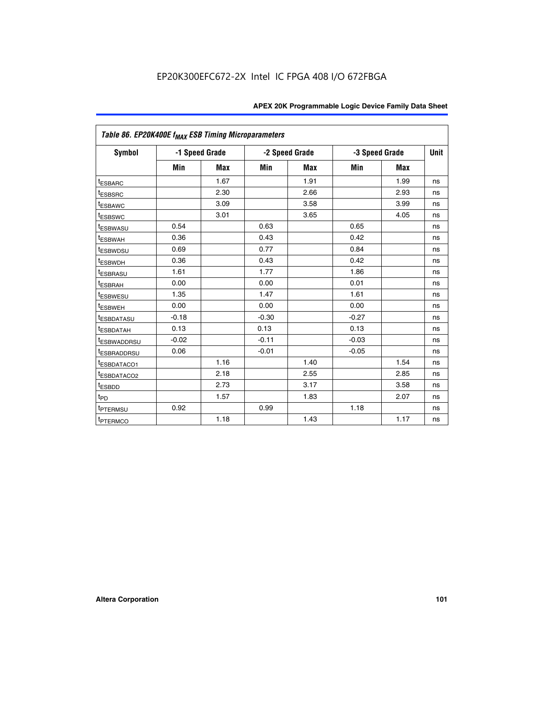|                         | Table 86. EP20K400E f <sub>MAX</sub> ESB Timing Microparameters |                |         |                |         |                |             |  |  |  |  |
|-------------------------|-----------------------------------------------------------------|----------------|---------|----------------|---------|----------------|-------------|--|--|--|--|
| Symbol                  |                                                                 | -1 Speed Grade |         | -2 Speed Grade |         | -3 Speed Grade | <b>Unit</b> |  |  |  |  |
|                         | Min                                                             | <b>Max</b>     | Min     | <b>Max</b>     | Min     | <b>Max</b>     |             |  |  |  |  |
| <sup>t</sup> ESBARC     |                                                                 | 1.67           |         | 1.91           |         | 1.99           | ns          |  |  |  |  |
| <sup>t</sup> ESBSRC     |                                                                 | 2.30           |         | 2.66           |         | 2.93           | ns          |  |  |  |  |
| <sup>t</sup> ESBAWC     |                                                                 | 3.09           |         | 3.58           |         | 3.99           | ns          |  |  |  |  |
| <sup>t</sup> ESBSWC     |                                                                 | 3.01           |         | 3.65           |         | 4.05           | ns          |  |  |  |  |
| <sup>t</sup> ESBWASU    | 0.54                                                            |                | 0.63    |                | 0.65    |                | ns          |  |  |  |  |
| t <sub>ESBWAH</sub>     | 0.36                                                            |                | 0.43    |                | 0.42    |                | ns          |  |  |  |  |
| <sup>t</sup> ESBWDSU    | 0.69                                                            |                | 0.77    |                | 0.84    |                | ns          |  |  |  |  |
| <sup>t</sup> ESBWDH     | 0.36                                                            |                | 0.43    |                | 0.42    |                | ns          |  |  |  |  |
| <sup>t</sup> ESBRASU    | 1.61                                                            |                | 1.77    |                | 1.86    |                | ns          |  |  |  |  |
| <sup>t</sup> ESBRAH     | 0.00                                                            |                | 0.00    |                | 0.01    |                | ns          |  |  |  |  |
| t <sub>ESBWESU</sub>    | 1.35                                                            |                | 1.47    |                | 1.61    |                | ns          |  |  |  |  |
| t <sub>ESBWEH</sub>     | 0.00                                                            |                | 0.00    |                | 0.00    |                | ns          |  |  |  |  |
| <sup>I</sup> ESBDATASU  | $-0.18$                                                         |                | $-0.30$ |                | $-0.27$ |                | ns          |  |  |  |  |
| <b>ESBDATAH</b>         | 0.13                                                            |                | 0.13    |                | 0.13    |                | ns          |  |  |  |  |
| <sup>t</sup> ESBWADDRSU | $-0.02$                                                         |                | $-0.11$ |                | $-0.03$ |                | ns          |  |  |  |  |
| t <sub>ESBRADDRSU</sub> | 0.06                                                            |                | $-0.01$ |                | $-0.05$ |                | ns          |  |  |  |  |
| <sup>t</sup> ESBDATACO1 |                                                                 | 1.16           |         | 1.40           |         | 1.54           | ns          |  |  |  |  |
| <sup>I</sup> ESBDATACO2 |                                                                 | 2.18           |         | 2.55           |         | 2.85           | ns          |  |  |  |  |
| <sup>t</sup> ESBDD      |                                                                 | 2.73           |         | 3.17           |         | 3.58           | ns          |  |  |  |  |
| $t_{\mathsf{PD}}$       |                                                                 | 1.57           |         | 1.83           |         | 2.07           | ns          |  |  |  |  |
| t <sub>PTERMSU</sub>    | 0.92                                                            |                | 0.99    |                | 1.18    |                | ns          |  |  |  |  |
| <sup>t</sup> PTERMCO    |                                                                 | 1.18           |         | 1.43           |         | 1.17           | ns          |  |  |  |  |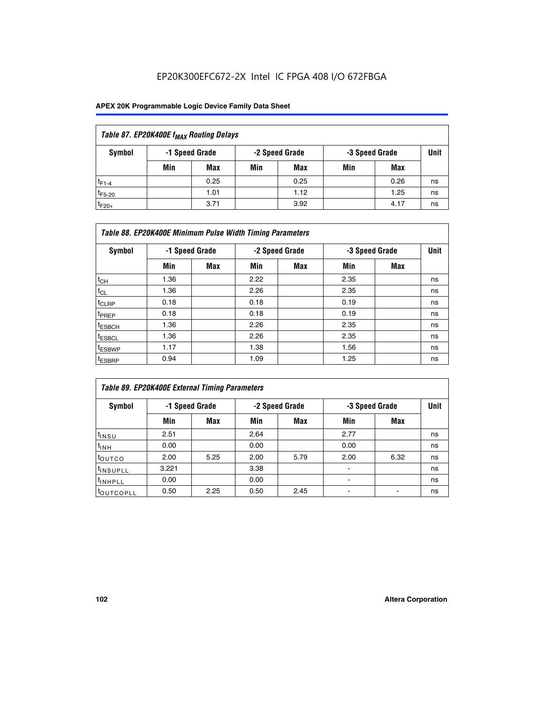| Table 87. EP20K400E f <sub>MAX</sub> Routing Delays |                                                    |            |     |      |     |      |      |  |  |  |
|-----------------------------------------------------|----------------------------------------------------|------------|-----|------|-----|------|------|--|--|--|
| Symbol                                              | -1 Speed Grade<br>-2 Speed Grade<br>-3 Speed Grade |            |     |      |     |      | Unit |  |  |  |
|                                                     | Min                                                | <b>Max</b> | Min | Max  | Min | Max  |      |  |  |  |
| $t_{F1-4}$                                          |                                                    | 0.25       |     | 0.25 |     | 0.26 | ns   |  |  |  |
| $t_{F5-20}$                                         |                                                    | 1.01       |     | 1.12 |     | 1.25 | ns   |  |  |  |
| $t_{F20+}$                                          |                                                    | 3.71       |     | 3.92 |     | 4.17 | ns   |  |  |  |

|                    | Table 88. EP20K400E Minimum Pulse Width Timing Parameters |                |      |                |                |     |             |  |  |  |  |  |
|--------------------|-----------------------------------------------------------|----------------|------|----------------|----------------|-----|-------------|--|--|--|--|--|
| Symbol             |                                                           | -1 Speed Grade |      | -2 Speed Grade | -3 Speed Grade |     | <b>Unit</b> |  |  |  |  |  |
|                    | Min                                                       | <b>Max</b>     | Min  | Max            | Min            | Max |             |  |  |  |  |  |
| $t_{CH}$           | 1.36                                                      |                | 2.22 |                | 2.35           |     | ns          |  |  |  |  |  |
| $t_{CL}$           | 1.36                                                      |                | 2.26 |                | 2.35           |     | ns          |  |  |  |  |  |
| $t_{CLRP}$         | 0.18                                                      |                | 0.18 |                | 0.19           |     | ns          |  |  |  |  |  |
| <sup>t</sup> PREP  | 0.18                                                      |                | 0.18 |                | 0.19           |     | ns          |  |  |  |  |  |
| <sup>t</sup> ESBCH | 1.36                                                      |                | 2.26 |                | 2.35           |     | ns          |  |  |  |  |  |
| <sup>t</sup> ESBCL | 1.36                                                      |                | 2.26 |                | 2.35           |     | ns          |  |  |  |  |  |
| <sup>t</sup> ESBWP | 1.17                                                      |                | 1.38 |                | 1.56           |     | ns          |  |  |  |  |  |
| <sup>t</sup> ESBRP | 0.94                                                      |                | 1.09 |                | 1.25           |     | ns          |  |  |  |  |  |

| Table 89. EP20K400E External Timing Parameters |                |      |      |                |                          |      |             |  |  |  |  |
|------------------------------------------------|----------------|------|------|----------------|--------------------------|------|-------------|--|--|--|--|
| Symbol                                         | -1 Speed Grade |      |      | -2 Speed Grade | -3 Speed Grade           |      | <b>Unit</b> |  |  |  |  |
|                                                | Min            | Max  | Min  | <b>Max</b>     | Min                      | Max  |             |  |  |  |  |
| t <sub>INSU</sub>                              | 2.51           |      | 2.64 |                | 2.77                     |      | ns          |  |  |  |  |
| $t_{INH}$                                      | 0.00           |      | 0.00 |                | 0.00                     |      | ns          |  |  |  |  |
| toutco                                         | 2.00           | 5.25 | 2.00 | 5.79           | 2.00                     | 6.32 | ns          |  |  |  |  |
| <sup>t</sup> INSUPLL                           | 3.221          |      | 3.38 |                |                          |      | ns          |  |  |  |  |
| I <sup>t</sup> INHPLL                          | 0.00           |      | 0.00 |                | $\overline{\phantom{0}}$ |      | ns          |  |  |  |  |
| toutcopll                                      | 0.50           | 2.25 | 0.50 | 2.45           |                          |      | ns          |  |  |  |  |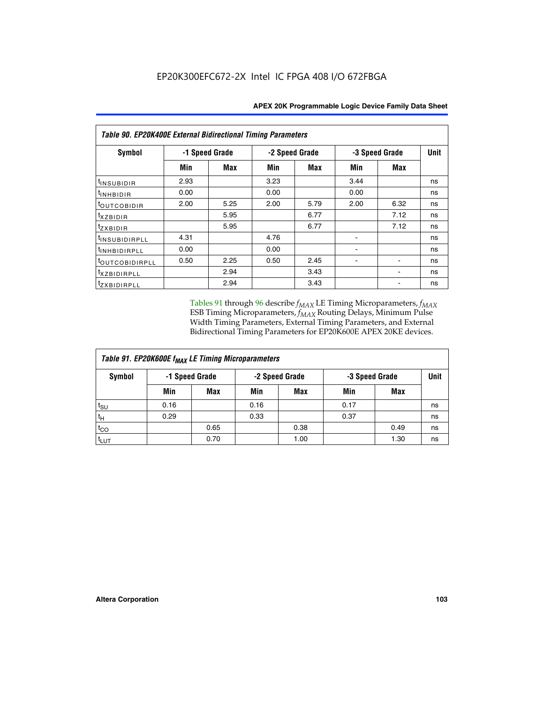| Table 90. EP20K400E External Bidirectional Timing Parameters |                |            |      |                |      |                |      |  |  |  |  |
|--------------------------------------------------------------|----------------|------------|------|----------------|------|----------------|------|--|--|--|--|
| Symbol                                                       | -1 Speed Grade |            |      | -2 Speed Grade |      | -3 Speed Grade | Unit |  |  |  |  |
|                                                              | Min            | <b>Max</b> | Min  | <b>Max</b>     | Min  | Max            |      |  |  |  |  |
| $t_{INSUBIDIR}$                                              | 2.93           |            | 3.23 |                | 3.44 |                | ns   |  |  |  |  |
| t <sub>INHBIDIR</sub>                                        | 0.00           |            | 0.00 |                | 0.00 |                | ns   |  |  |  |  |
| t <sub>outcobidir</sub>                                      | 2.00           | 5.25       | 2.00 | 5.79           | 2.00 | 6.32           | ns   |  |  |  |  |
| <i>txzbidir</i>                                              |                | 5.95       |      | 6.77           |      | 7.12           | ns   |  |  |  |  |
| tzxbidir                                                     |                | 5.95       |      | 6.77           |      | 7.12           | ns   |  |  |  |  |
| t <sub>INSUBIDIRPLL</sub>                                    | 4.31           |            | 4.76 |                |      |                | ns   |  |  |  |  |
| tINHBIDIRPLL                                                 | 0.00           |            | 0.00 |                |      |                | ns   |  |  |  |  |
| toutco <u>bidirpll</u>                                       | 0.50           | 2.25       | 0.50 | 2.45           |      |                | ns   |  |  |  |  |
| <sup>t</sup> xzbidirpll                                      |                | 2.94       |      | 3.43           |      |                | ns   |  |  |  |  |
| tzxBIDIRPLL                                                  |                | 2.94       |      | 3.43           |      |                | ns   |  |  |  |  |

Tables 91 through 96 describe  $f_{MAX}$  LE Timing Microparameters,  $f_{MAX}$ ESB Timing Microparameters, *f<sub>MAX</sub>* Routing Delays, Minimum Pulse Width Timing Parameters, External Timing Parameters, and External Bidirectional Timing Parameters for EP20K600E APEX 20KE devices.

| Table 91. EP20K600E f <sub>MAX</sub> LE Timing Microparameters |                |            |                |            |                |      |             |  |  |  |  |
|----------------------------------------------------------------|----------------|------------|----------------|------------|----------------|------|-------------|--|--|--|--|
| Symbol                                                         | -1 Speed Grade |            | -2 Speed Grade |            | -3 Speed Grade |      | <b>Unit</b> |  |  |  |  |
|                                                                | Min            | <b>Max</b> | Min            | <b>Max</b> | Min            | Max  |             |  |  |  |  |
| $t_{\sf SU}$                                                   | 0.16           |            | 0.16           |            | 0.17           |      | ns          |  |  |  |  |
| $t_H$                                                          | 0.29           |            | 0.33           |            | 0.37           |      | ns          |  |  |  |  |
| $t_{CO}$                                                       |                | 0.65       |                | 0.38       |                | 0.49 | ns          |  |  |  |  |
| <sup>t</sup> LUT                                               |                | 0.70       |                | 1.00       |                | 1.30 | ns          |  |  |  |  |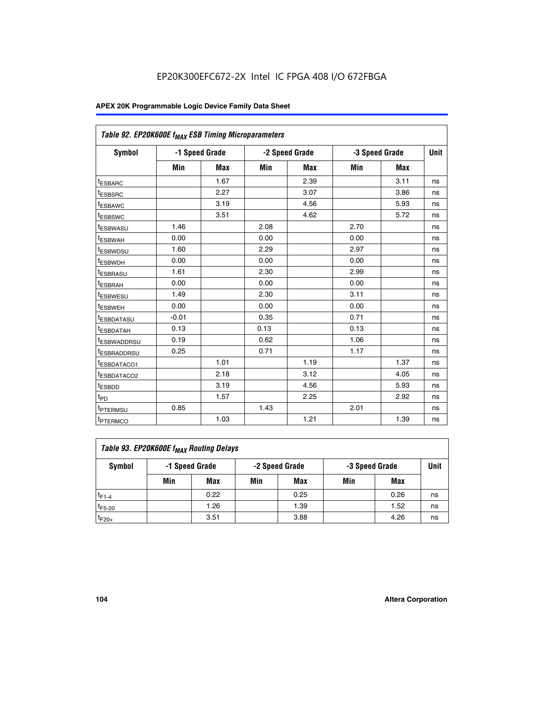| Table 92. EP20K600E f <sub>MAX</sub> ESB Timing Microparameters |         |                |      |                |      |                |             |
|-----------------------------------------------------------------|---------|----------------|------|----------------|------|----------------|-------------|
| <b>Symbol</b>                                                   |         | -1 Speed Grade |      | -2 Speed Grade |      | -3 Speed Grade | <b>Unit</b> |
|                                                                 | Min     | <b>Max</b>     | Min  | <b>Max</b>     | Min  | <b>Max</b>     |             |
| t <sub>ESBARC</sub>                                             |         | 1.67           |      | 2.39           |      | 3.11           | ns          |
| t <sub>ESBSRC</sub>                                             |         | 2.27           |      | 3.07           |      | 3.86           | ns          |
| <sup>t</sup> ESBAWC                                             |         | 3.19           |      | 4.56           |      | 5.93           | ns          |
| t <sub>ESBSWC</sub>                                             |         | 3.51           |      | 4.62           |      | 5.72           | ns          |
| <sup>t</sup> ESBWASU                                            | 1.46    |                | 2.08 |                | 2.70 |                | ns          |
| t <sub>ESBWAH</sub>                                             | 0.00    |                | 0.00 |                | 0.00 |                | ns          |
| t <sub>ESBWDSU</sub>                                            | 1.60    |                | 2.29 |                | 2.97 |                | ns          |
| <sup>t</sup> ESBWDH                                             | 0.00    |                | 0.00 |                | 0.00 |                | ns          |
| <sup>t</sup> ESBRASU                                            | 1.61    |                | 2.30 |                | 2.99 |                | ns          |
| t <sub>ESBRAH</sub>                                             | 0.00    |                | 0.00 |                | 0.00 |                | ns          |
| t <sub>ESBWESU</sub>                                            | 1.49    |                | 2.30 |                | 3.11 |                | ns          |
| <sup>t</sup> ESBWEH                                             | 0.00    |                | 0.00 |                | 0.00 |                | ns          |
| <sup>t</sup> ESBDATASU                                          | $-0.01$ |                | 0.35 |                | 0.71 |                | ns          |
| <sup>t</sup> ESBDATAH                                           | 0.13    |                | 0.13 |                | 0.13 |                | ns          |
| <sup>t</sup> ESBWADDRSU                                         | 0.19    |                | 0.62 |                | 1.06 |                | ns          |
| <sup>t</sup> ESBRADDRSU                                         | 0.25    |                | 0.71 |                | 1.17 |                | ns          |
| <sup>I</sup> ESBDATACO1                                         |         | 1.01           |      | 1.19           |      | 1.37           | ns          |
| <sup>t</sup> ESBDATACO2                                         |         | 2.18           |      | 3.12           |      | 4.05           | ns          |
| <sup>t</sup> ESBDD                                              |         | 3.19           |      | 4.56           |      | 5.93           | ns          |
| t <sub>PD</sub>                                                 |         | 1.57           |      | 2.25           |      | 2.92           | ns          |
| t <sub>PTERMSU</sub>                                            | 0.85    |                | 1.43 |                | 2.01 |                | ns          |
| t <sub>PTERMCO</sub>                                            |         | 1.03           |      | 1.21           |      | 1.39           | ns          |

| Table 93. EP20K600E f <sub>MAX</sub> Routing Delays |                |      |                |      |                |      |      |  |  |  |  |  |
|-----------------------------------------------------|----------------|------|----------------|------|----------------|------|------|--|--|--|--|--|
| Symbol                                              | -1 Speed Grade |      | -2 Speed Grade |      | -3 Speed Grade |      | Unit |  |  |  |  |  |
|                                                     | Min            | Max  | Min            | Max  | Min            | Max  |      |  |  |  |  |  |
| $t_{F1-4}$                                          |                | 0.22 |                | 0.25 |                | 0.26 | ns   |  |  |  |  |  |
| $t_{F5-20}$                                         |                | 1.26 |                | 1.39 |                | 1.52 | ns   |  |  |  |  |  |
| $t_{F20+}$                                          |                | 3.51 |                | 3.88 |                | 4.26 | ns   |  |  |  |  |  |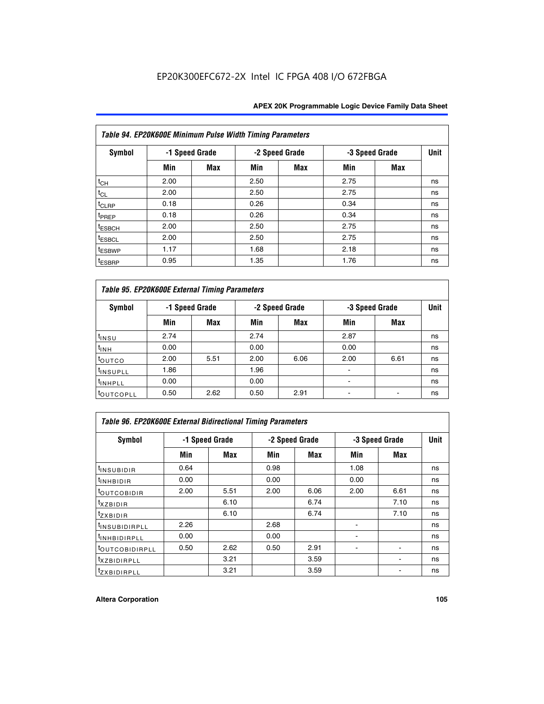| Table 94. EP20K600E Minimum Pulse Width Timing Parameters |      |                |      |                |      |                |             |  |  |  |  |
|-----------------------------------------------------------|------|----------------|------|----------------|------|----------------|-------------|--|--|--|--|
| Symbol                                                    |      | -1 Speed Grade |      | -2 Speed Grade |      | -3 Speed Grade | <b>Unit</b> |  |  |  |  |
|                                                           | Min  | Max            | Min  | Max            | Min  | <b>Max</b>     |             |  |  |  |  |
| $t_{CH}$                                                  | 2.00 |                | 2.50 |                | 2.75 |                | ns          |  |  |  |  |
| $t_{CL}$                                                  | 2.00 |                | 2.50 |                | 2.75 |                | ns          |  |  |  |  |
| $t_{CLRP}$                                                | 0.18 |                | 0.26 |                | 0.34 |                | ns          |  |  |  |  |
| t <sub>PREP</sub>                                         | 0.18 |                | 0.26 |                | 0.34 |                | ns          |  |  |  |  |
| <sup>t</sup> ESBCH                                        | 2.00 |                | 2.50 |                | 2.75 |                | ns          |  |  |  |  |
| <sup>t</sup> ESBCL                                        | 2.00 |                | 2.50 |                | 2.75 |                | ns          |  |  |  |  |
| <sup>t</sup> ESBWP                                        | 1.17 |                | 1.68 |                | 2.18 |                | ns          |  |  |  |  |
| <sup>t</sup> ESBRP                                        | 0.95 |                | 1.35 |                | 1.76 |                | ns          |  |  |  |  |

| Table 95. EP20K600E External Timing Parameters |                |      |      |                |                          |                |    |  |  |  |  |  |
|------------------------------------------------|----------------|------|------|----------------|--------------------------|----------------|----|--|--|--|--|--|
| Symbol                                         | -1 Speed Grade |      |      | -2 Speed Grade |                          | -3 Speed Grade |    |  |  |  |  |  |
|                                                | Min            | Max  | Min  | Max            | Min                      | <b>Max</b>     |    |  |  |  |  |  |
| t <sub>insu</sub>                              | 2.74           |      | 2.74 |                | 2.87                     |                | ns |  |  |  |  |  |
| $t_{INH}$                                      | 0.00           |      | 0.00 |                | 0.00                     |                | ns |  |  |  |  |  |
| toutco                                         | 2.00           | 5.51 | 2.00 | 6.06           | 2.00                     | 6.61           | ns |  |  |  |  |  |
| <sup>t</sup> INSUPLL                           | 1.86           |      | 1.96 |                |                          |                | ns |  |  |  |  |  |
| <sup>t</sup> INHPLL                            | 0.00           |      | 0.00 |                | $\overline{\phantom{a}}$ |                | ns |  |  |  |  |  |
| <sup>t</sup> OUTCOPLL                          | 0.50           | 2.62 | 0.50 | 2.91           |                          |                | ns |  |  |  |  |  |

| <b>Table 96. EP20K600E External Bidirectional Timing Parameters</b> |                |            |      |                |                |                              |    |  |  |  |  |
|---------------------------------------------------------------------|----------------|------------|------|----------------|----------------|------------------------------|----|--|--|--|--|
| Symbol                                                              | -1 Speed Grade |            |      | -2 Speed Grade | -3 Speed Grade | <b>Unit</b>                  |    |  |  |  |  |
|                                                                     | Min            | <b>Max</b> | Min  | Max            | Min            | <b>Max</b>                   |    |  |  |  |  |
| t <sub>INSUBIDIR</sub>                                              | 0.64           |            | 0.98 |                | 1.08           |                              | ns |  |  |  |  |
| $t_{\rm INHBIDIR}$                                                  | 0.00           |            | 0.00 |                | 0.00           |                              | ns |  |  |  |  |
| <sup>t</sup> OUTCOBIDIR                                             | 2.00           | 5.51       | 2.00 | 6.06           | 2.00           | 6.61                         | ns |  |  |  |  |
| $txz$ BIDIR                                                         |                | 6.10       |      | 6.74           |                | 7.10                         | ns |  |  |  |  |
| $t_{Z}$ <i>x</i> BIDIR                                              |                | 6.10       |      | 6.74           |                | 7.10                         | ns |  |  |  |  |
| <sup>t</sup> INSUBIDIRPLL                                           | 2.26           |            | 2.68 |                |                |                              | ns |  |  |  |  |
| <sup>t</sup> INHBIDIRPLL                                            | 0.00           |            | 0.00 |                |                |                              | ns |  |  |  |  |
| <b><i>LOUTCOBIDIRPLL</i></b>                                        | 0.50           | 2.62       | 0.50 | 2.91           |                |                              | ns |  |  |  |  |
| <sup>t</sup> xzbidirpll                                             |                | 3.21       |      | 3.59           |                | $\qquad \qquad \blacksquare$ | ns |  |  |  |  |
| <i>t</i> zxbidirpll                                                 |                | 3.21       |      | 3.59           |                |                              | ns |  |  |  |  |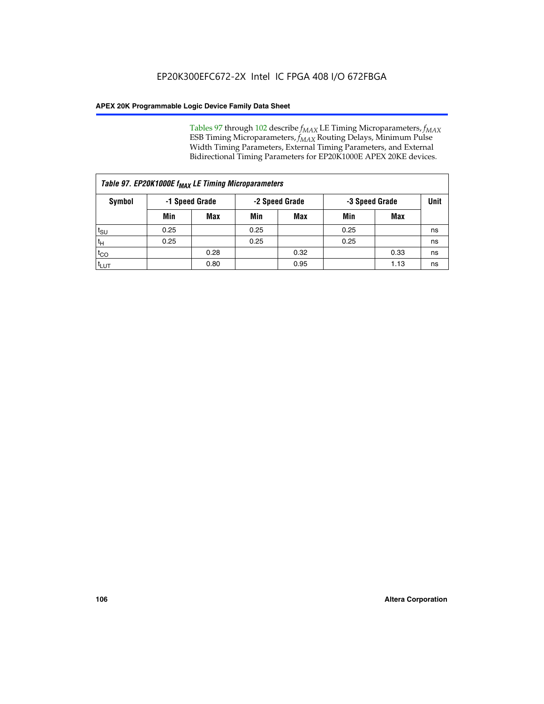Tables 97 through 102 describe  $f_{MAX}$  LE Timing Microparameters,  $f_{MAX}$ ESB Timing Microparameters, *f<sub>MAX</sub>* Routing Delays, Minimum Pulse Width Timing Parameters, External Timing Parameters, and External Bidirectional Timing Parameters for EP20K1000E APEX 20KE devices.

| Table 97. EP20K1000E f <sub>MAX</sub> LE Timing Microparameters |                |            |                |            |                |      |      |  |  |  |  |
|-----------------------------------------------------------------|----------------|------------|----------------|------------|----------------|------|------|--|--|--|--|
| Symbol                                                          | -1 Speed Grade |            | -2 Speed Grade |            | -3 Speed Grade |      | Unit |  |  |  |  |
|                                                                 | Min            | <b>Max</b> | Min            | <b>Max</b> | Min            | Max  |      |  |  |  |  |
| $t_{\text{SU}}$                                                 | 0.25           |            | 0.25           |            | 0.25           |      | ns   |  |  |  |  |
| $t_H$                                                           | 0.25           |            | 0.25           |            | 0.25           |      | ns   |  |  |  |  |
| $t_{CO}$                                                        |                | 0.28       |                | 0.32       |                | 0.33 | ns   |  |  |  |  |
| t <sub>LUT</sub>                                                |                | 0.80       |                | 0.95       |                | 1.13 | ns   |  |  |  |  |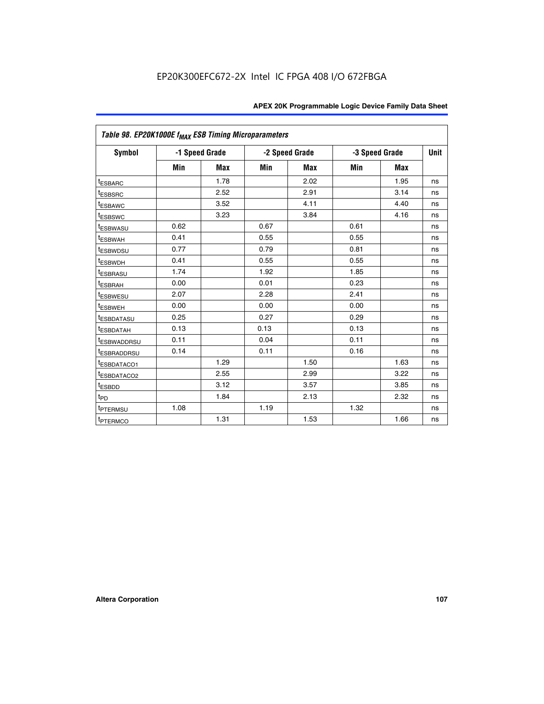| Table 98. EP20K1000E f <sub>MAX</sub> ESB Timing Microparameters |      |                |      |                |      |                |             |
|------------------------------------------------------------------|------|----------------|------|----------------|------|----------------|-------------|
| Symbol                                                           |      | -1 Speed Grade |      | -2 Speed Grade |      | -3 Speed Grade | <b>Unit</b> |
|                                                                  | Min  | <b>Max</b>     | Min  | <b>Max</b>     | Min  | <b>Max</b>     |             |
| <sup>t</sup> ESBARC                                              |      | 1.78           |      | 2.02           |      | 1.95           | ns          |
| <sup>t</sup> ESBSRC                                              |      | 2.52           |      | 2.91           |      | 3.14           | ns          |
| <sup>t</sup> ESBAWC                                              |      | 3.52           |      | 4.11           |      | 4.40           | ns          |
| <sup>t</sup> ESBSWC                                              |      | 3.23           |      | 3.84           |      | 4.16           | ns          |
| t <sub>ESBWASU</sub>                                             | 0.62 |                | 0.67 |                | 0.61 |                | ns          |
| <sup>t</sup> ESBWAH                                              | 0.41 |                | 0.55 |                | 0.55 |                | ns          |
| <sup>t</sup> ESBWDSU                                             | 0.77 |                | 0.79 |                | 0.81 |                | ns          |
| <sup>t</sup> ESBWDH                                              | 0.41 |                | 0.55 |                | 0.55 |                | ns          |
| <sup>t</sup> ESBRASU                                             | 1.74 |                | 1.92 |                | 1.85 |                | ns          |
| <sup>t</sup> ESBRAH                                              | 0.00 |                | 0.01 |                | 0.23 |                | ns          |
| <sup>t</sup> ESBWESU                                             | 2.07 |                | 2.28 |                | 2.41 |                | ns          |
| t <sub>ESBWEH</sub>                                              | 0.00 |                | 0.00 |                | 0.00 |                | ns          |
| <sup>t</sup> ESBDATASU                                           | 0.25 |                | 0.27 |                | 0.29 |                | ns          |
| <sup>t</sup> ESBDATAH                                            | 0.13 |                | 0.13 |                | 0.13 |                | ns          |
| <sup>t</sup> ESBWADDRSU                                          | 0.11 |                | 0.04 |                | 0.11 |                | ns          |
| <sup>t</sup> ESBRADDRSU                                          | 0.14 |                | 0.11 |                | 0.16 |                | ns          |
| <sup>t</sup> ESBDATACO1                                          |      | 1.29           |      | 1.50           |      | 1.63           | ns          |
| <sup>I</sup> ESBDATACO2                                          |      | 2.55           |      | 2.99           |      | 3.22           | ns          |
| <sup>t</sup> ESBDD                                               |      | 3.12           |      | 3.57           |      | 3.85           | ns          |
| $t_{\text{PD}}$                                                  |      | 1.84           |      | 2.13           |      | 2.32           | ns          |
| t <sub>PTERMSU</sub>                                             | 1.08 |                | 1.19 |                | 1.32 |                | ns          |
| <sup>t</sup> PTERMCO                                             |      | 1.31           |      | 1.53           |      | 1.66           | ns          |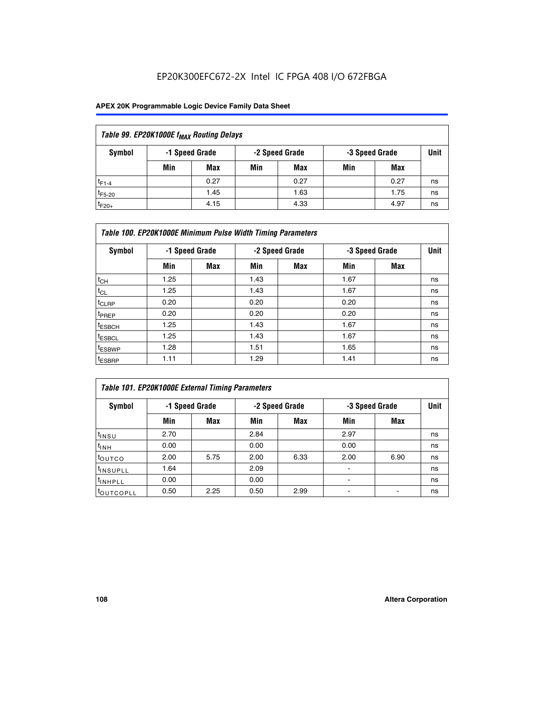## EP20K300EFC672-2X Intel IC FPGA 408 I/O 672FBGA

## **APEX 20K Programmable Logic Device Family Data Sheet**

| Table 99. EP20K1000E f <sub>MAX</sub> Routing Delays |                                                    |            |     |      |     |      |    |  |  |  |  |
|------------------------------------------------------|----------------------------------------------------|------------|-----|------|-----|------|----|--|--|--|--|
| Symbol                                               | -1 Speed Grade<br>-2 Speed Grade<br>-3 Speed Grade |            |     |      |     |      |    |  |  |  |  |
|                                                      | Min                                                | <b>Max</b> | Min | Max  | Min | Max  |    |  |  |  |  |
| $t_{F1-4}$                                           |                                                    | 0.27       |     | 0.27 |     | 0.27 | ns |  |  |  |  |
| $t_{F5-20}$                                          |                                                    | 1.45       |     | 1.63 |     | 1.75 | ns |  |  |  |  |
| $t_{F20+}$                                           |                                                    | 4.15       |     | 4.33 |     | 4.97 | ns |  |  |  |  |

|                    | Table 100. EP20K1000E Minimum Pulse Width Timing Parameters |            |      |                |      |                |             |  |  |  |  |  |
|--------------------|-------------------------------------------------------------|------------|------|----------------|------|----------------|-------------|--|--|--|--|--|
| Symbol             | -1 Speed Grade                                              |            |      | -2 Speed Grade |      | -3 Speed Grade | <b>Unit</b> |  |  |  |  |  |
|                    | Min                                                         | <b>Max</b> | Min  | Max            | Min  | Max            |             |  |  |  |  |  |
| $t_{CH}$           | 1.25                                                        |            | 1.43 |                | 1.67 |                | ns          |  |  |  |  |  |
| $t_{CL}$           | 1.25                                                        |            | 1.43 |                | 1.67 |                | ns          |  |  |  |  |  |
| t <sub>CLRP</sub>  | 0.20                                                        |            | 0.20 |                | 0.20 |                | ns          |  |  |  |  |  |
| <sup>t</sup> PREP  | 0.20                                                        |            | 0.20 |                | 0.20 |                | ns          |  |  |  |  |  |
| <sup>t</sup> ESBCH | 1.25                                                        |            | 1.43 |                | 1.67 |                | ns          |  |  |  |  |  |
| <sup>t</sup> ESBCL | 1.25                                                        |            | 1.43 |                | 1.67 |                | ns          |  |  |  |  |  |
| <sup>t</sup> ESBWP | 1.28                                                        |            | 1.51 |                | 1.65 |                | ns          |  |  |  |  |  |
| <sup>t</sup> ESBRP | 1.11                                                        |            | 1.29 |                | 1.41 |                | ns          |  |  |  |  |  |

| Table 101. EP20K1000E External Timing Parameters |      |                |      |                                  |                          |      |    |  |             |  |  |  |
|--------------------------------------------------|------|----------------|------|----------------------------------|--------------------------|------|----|--|-------------|--|--|--|
| Symbol                                           |      | -1 Speed Grade |      | -2 Speed Grade<br>-3 Speed Grade |                          |      |    |  | <b>Unit</b> |  |  |  |
|                                                  | Min  | Max            | Min  | <b>Max</b>                       | Min                      | Max  |    |  |             |  |  |  |
| t <sub>INSU</sub>                                | 2.70 |                | 2.84 |                                  | 2.97                     |      | ns |  |             |  |  |  |
| $t_{INH}$                                        | 0.00 |                | 0.00 |                                  | 0.00                     |      | ns |  |             |  |  |  |
| toutco                                           | 2.00 | 5.75           | 2.00 | 6.33                             | 2.00                     | 6.90 | ns |  |             |  |  |  |
| <sup>t</sup> INSUPLL                             | 1.64 |                | 2.09 |                                  | ۰                        |      | ns |  |             |  |  |  |
| I <sup>t</sup> INHPLL                            | 0.00 |                | 0.00 |                                  | $\overline{\phantom{a}}$ |      | ns |  |             |  |  |  |
| toutcopll                                        | 0.50 | 2.25           | 0.50 | 2.99                             | -                        |      | ns |  |             |  |  |  |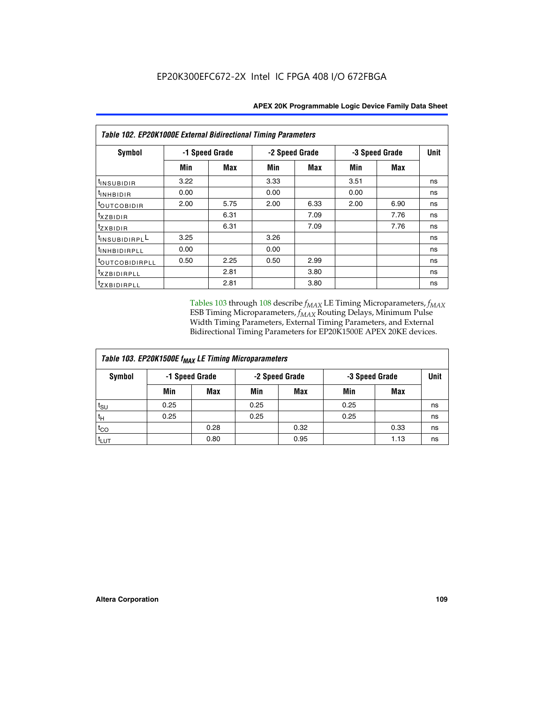| Table 102. EP20K1000E External Bidirectional Timing Parameters |                |      |      |                |                |             |    |  |  |  |
|----------------------------------------------------------------|----------------|------|------|----------------|----------------|-------------|----|--|--|--|
| Symbol                                                         | -1 Speed Grade |      |      | -2 Speed Grade | -3 Speed Grade | <b>Unit</b> |    |  |  |  |
|                                                                | Min            | Max  | Min  | Max            | Min            | <b>Max</b>  |    |  |  |  |
| t <sub>INSUBIDIR</sub>                                         | 3.22           |      | 3.33 |                | 3.51           |             | ns |  |  |  |
| $t_{INHBIDIR}$                                                 | 0.00           |      | 0.00 |                | 0.00           |             | ns |  |  |  |
| <sup>t</sup> outcobidir                                        | 2.00           | 5.75 | 2.00 | 6.33           | 2.00           | 6.90        | ns |  |  |  |
| <i>txzbidir</i>                                                |                | 6.31 |      | 7.09           |                | 7.76        | ns |  |  |  |
| tzxbidir                                                       |                | 6.31 |      | 7.09           |                | 7.76        | ns |  |  |  |
| t <sub>INSUBIDIRPL</sub> L                                     | 3.25           |      | 3.26 |                |                |             | ns |  |  |  |
| tINHBIDIRPLL                                                   | 0.00           |      | 0.00 |                |                |             | ns |  |  |  |
| toutcobidirpll                                                 | 0.50           | 2.25 | 0.50 | 2.99           |                |             | ns |  |  |  |
| <i>txzBIDIRPLL</i>                                             |                | 2.81 |      | 3.80           |                |             | ns |  |  |  |
| tzxBIDIRPLL                                                    |                | 2.81 |      | 3.80           |                |             | ns |  |  |  |

Tables 103 through 108 describe  $f_{MAX}$  LE Timing Microparameters,  $f_{MAX}$ ESB Timing Microparameters, *f<sub>MAX</sub>* Routing Delays, Minimum Pulse Width Timing Parameters, External Timing Parameters, and External Bidirectional Timing Parameters for EP20K1500E APEX 20KE devices.

| Table 103. EP20K1500E f <sub>MAX</sub> LE Timing Microparameters |                                                    |      |      |            |      |      |    |  |  |  |  |
|------------------------------------------------------------------|----------------------------------------------------|------|------|------------|------|------|----|--|--|--|--|
| Symbol                                                           | -2 Speed Grade<br>-1 Speed Grade<br>-3 Speed Grade |      |      |            |      | Unit |    |  |  |  |  |
|                                                                  | Min                                                | Max  | Min  | <b>Max</b> | Min  | Max  |    |  |  |  |  |
| $t_{\text{SU}}$                                                  | 0.25                                               |      | 0.25 |            | 0.25 |      | ns |  |  |  |  |
| $t_H$                                                            | 0.25                                               |      | 0.25 |            | 0.25 |      | ns |  |  |  |  |
| $t_{CO}$                                                         |                                                    | 0.28 |      | 0.32       |      | 0.33 | ns |  |  |  |  |
| t <sub>LUT</sub>                                                 |                                                    | 0.80 |      | 0.95       |      | 1.13 | ns |  |  |  |  |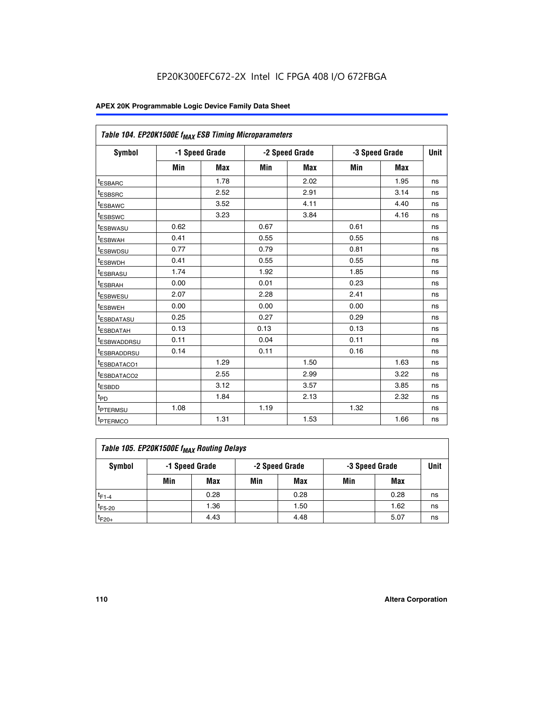| Table 104. EP20K1500E f <sub>MAX</sub> ESB Timing Microparameters |      |                |            |                |      |                |             |
|-------------------------------------------------------------------|------|----------------|------------|----------------|------|----------------|-------------|
| <b>Symbol</b>                                                     |      | -1 Speed Grade |            | -2 Speed Grade |      | -3 Speed Grade | <b>Unit</b> |
|                                                                   | Min  | <b>Max</b>     | <b>Min</b> | Max            | Min  | Max            |             |
| <sup>t</sup> ESBARC                                               |      | 1.78           |            | 2.02           |      | 1.95           | ns          |
| t <sub>ESBSRC</sub>                                               |      | 2.52           |            | 2.91           |      | 3.14           | ns          |
| <sup>t</sup> ESBAWC                                               |      | 3.52           |            | 4.11           |      | 4.40           | ns          |
| t <sub>ESBSWC</sub>                                               |      | 3.23           |            | 3.84           |      | 4.16           | ns          |
| t <sub>ESBWASU</sub>                                              | 0.62 |                | 0.67       |                | 0.61 |                | ns          |
| t <sub>ESBWAH</sub>                                               | 0.41 |                | 0.55       |                | 0.55 |                | ns          |
| <sup>t</sup> ESBWDSU                                              | 0.77 |                | 0.79       |                | 0.81 |                | ns          |
| t <sub>ESBWDH</sub>                                               | 0.41 |                | 0.55       |                | 0.55 |                | ns          |
| <sup>t</sup> ESBRASU                                              | 1.74 |                | 1.92       |                | 1.85 |                | ns          |
| <sup>t</sup> ESBRAH                                               | 0.00 |                | 0.01       |                | 0.23 |                | ns          |
| <sup>t</sup> ESBWESU                                              | 2.07 |                | 2.28       |                | 2.41 |                | ns          |
| <sup>t</sup> ESBWEH                                               | 0.00 |                | 0.00       |                | 0.00 |                | ns          |
| <sup>t</sup> ESBDATASU                                            | 0.25 |                | 0.27       |                | 0.29 |                | ns          |
| <sup>t</sup> ESBDATAH                                             | 0.13 |                | 0.13       |                | 0.13 |                | ns          |
| <sup>t</sup> ESBWADDRSU                                           | 0.11 |                | 0.04       |                | 0.11 |                | ns          |
| t <sub>ESBRADDRSU</sub>                                           | 0.14 |                | 0.11       |                | 0.16 |                | ns          |
| <sup>I</sup> ESBDATACO1                                           |      | 1.29           |            | 1.50           |      | 1.63           | ns          |
| <sup>t</sup> ESBDATACO2                                           |      | 2.55           |            | 2.99           |      | 3.22           | ns          |
| <sup>t</sup> ESBDD                                                |      | 3.12           |            | 3.57           |      | 3.85           | ns          |
| t <sub>PD</sub>                                                   |      | 1.84           |            | 2.13           |      | 2.32           | ns          |
| t <sub>PTERMSU</sub>                                              | 1.08 |                | 1.19       |                | 1.32 |                | ns          |
| t <sub>PTERMCO</sub>                                              |      | 1.31           |            | 1.53           |      | 1.66           | ns          |

| Table 105. EP20K1500E f <sub>MAX</sub> Routing Delays |     |                |     |                |     |                |    |  |  |  |
|-------------------------------------------------------|-----|----------------|-----|----------------|-----|----------------|----|--|--|--|
| Symbol                                                |     | -1 Speed Grade |     | -2 Speed Grade |     | -3 Speed Grade |    |  |  |  |
|                                                       | Min | Max            | Min | Max            | Min | Max            |    |  |  |  |
| $t_{F1-4}$                                            |     | 0.28           |     | 0.28           |     | 0.28           | ns |  |  |  |
| $t_{F5-20}$                                           |     | 1.36           |     | 1.50           |     | 1.62           | ns |  |  |  |
| $t_{F20+}$                                            |     | 4.43           |     | 4.48           |     | 5.07           | ns |  |  |  |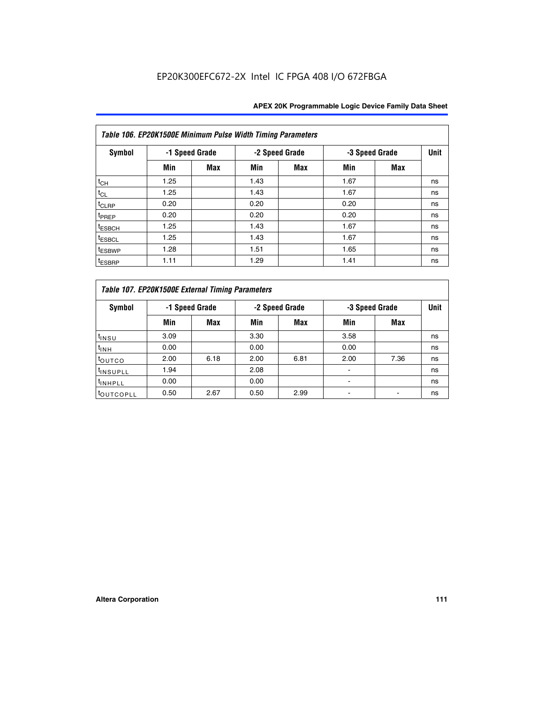|                    | Table 106. EP20K1500E Minimum Pulse Width Timing Parameters |                |      |                |                |            |             |  |  |  |  |  |
|--------------------|-------------------------------------------------------------|----------------|------|----------------|----------------|------------|-------------|--|--|--|--|--|
| Symbol             |                                                             | -1 Speed Grade |      | -2 Speed Grade | -3 Speed Grade |            | <b>Unit</b> |  |  |  |  |  |
|                    | Min                                                         | <b>Max</b>     | Min  | Max            | Min            | <b>Max</b> |             |  |  |  |  |  |
| $t_{CH}$           | 1.25                                                        |                | 1.43 |                | 1.67           |            | ns          |  |  |  |  |  |
| $t_{CL}$           | 1.25                                                        |                | 1.43 |                | 1.67           |            | ns          |  |  |  |  |  |
| t <sub>CLRP</sub>  | 0.20                                                        |                | 0.20 |                | 0.20           |            | ns          |  |  |  |  |  |
| <sup>t</sup> PREP  | 0.20                                                        |                | 0.20 |                | 0.20           |            | ns          |  |  |  |  |  |
| <sup>t</sup> ESBCH | 1.25                                                        |                | 1.43 |                | 1.67           |            | ns          |  |  |  |  |  |
| <sup>t</sup> ESBCL | 1.25                                                        |                | 1.43 |                | 1.67           |            | ns          |  |  |  |  |  |
| <sup>t</sup> ESBWP | 1.28                                                        |                | 1.51 |                | 1.65           |            | ns          |  |  |  |  |  |
| <sup>t</sup> ESBRP | 1.11                                                        |                | 1.29 |                | 1.41           |            | ns          |  |  |  |  |  |

|                       | Table 107. EP20K1500E External Timing Parameters |            |      |                |      |                |             |  |  |  |  |  |
|-----------------------|--------------------------------------------------|------------|------|----------------|------|----------------|-------------|--|--|--|--|--|
| Symbol                | -1 Speed Grade                                   |            |      | -2 Speed Grade |      | -3 Speed Grade | <b>Unit</b> |  |  |  |  |  |
|                       | Min                                              | <b>Max</b> | Min  | <b>Max</b>     | Min  | Max            |             |  |  |  |  |  |
| t <sub>insu</sub>     | 3.09                                             |            | 3.30 |                | 3.58 |                | ns          |  |  |  |  |  |
| $t_{INH}$             | 0.00                                             |            | 0.00 |                | 0.00 |                | ns          |  |  |  |  |  |
| toutco                | 2.00                                             | 6.18       | 2.00 | 6.81           | 2.00 | 7.36           | ns          |  |  |  |  |  |
| <sup>t</sup> INSUPLL  | 1.94                                             |            | 2.08 |                |      |                | ns          |  |  |  |  |  |
| <sup>t</sup> INHPLL   | 0.00                                             |            | 0.00 |                |      |                | ns          |  |  |  |  |  |
| <sup>t</sup> OUTCOPLL | 0.50                                             | 2.67       | 0.50 | 2.99           |      |                | ns          |  |  |  |  |  |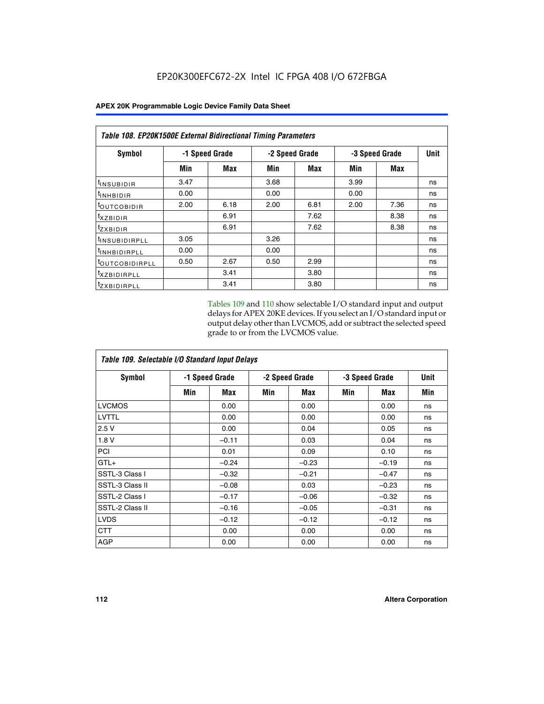|                              | Table 108. EP20K1500E External Bidirectional Timing Parameters |      |                |      |                |      |    |  |  |  |  |
|------------------------------|----------------------------------------------------------------|------|----------------|------|----------------|------|----|--|--|--|--|
| Symbol                       | -1 Speed Grade                                                 |      | -2 Speed Grade |      | -3 Speed Grade | Unit |    |  |  |  |  |
|                              | Min                                                            | Max  | Min            | Max  | Min            | Max  |    |  |  |  |  |
| <sup>t</sup> INSUBIDIR       | 3.47                                                           |      | 3.68           |      | 3.99           |      | ns |  |  |  |  |
| <b>TINHBIDIR</b>             | 0.00                                                           |      | 0.00           |      | 0.00           |      | ns |  |  |  |  |
| <sup>t</sup> OUTCOBIDIR      | 2.00                                                           | 6.18 | 2.00           | 6.81 | 2.00           | 7.36 | ns |  |  |  |  |
| $txz$ BIDIR                  |                                                                | 6.91 |                | 7.62 |                | 8.38 | ns |  |  |  |  |
| <sup>t</sup> zxbidir         |                                                                | 6.91 |                | 7.62 |                | 8.38 | ns |  |  |  |  |
| <sup>t</sup> INSUBIDIRPLL    | 3.05                                                           |      | 3.26           |      |                |      | ns |  |  |  |  |
| <sup>t</sup> INHBIDIRPLL     | 0.00                                                           |      | 0.00           |      |                |      | ns |  |  |  |  |
| <b><i>LOUTCOBIDIRPLL</i></b> | 0.50                                                           | 2.67 | 0.50           | 2.99 |                |      | ns |  |  |  |  |
| <sup>T</sup> XZBIDIRPLL      |                                                                | 3.41 |                | 3.80 |                |      | ns |  |  |  |  |
| <sup>t</sup> zxbidirpll      |                                                                | 3.41 |                | 3.80 |                |      | ns |  |  |  |  |

Tables 109 and 110 show selectable I/O standard input and output delays for APEX 20KE devices. If you select an I/O standard input or output delay other than LVCMOS, add or subtract the selected speed grade to or from the LVCMOS value.

| Table 109. Selectable I/O Standard Input Delays |     |                |     |                |     |                |     |  |  |  |
|-------------------------------------------------|-----|----------------|-----|----------------|-----|----------------|-----|--|--|--|
| <b>Symbol</b>                                   |     | -1 Speed Grade |     | -2 Speed Grade |     | -3 Speed Grade |     |  |  |  |
|                                                 | Min | Max            | Min | Max            | Min | Max            | Min |  |  |  |
| <b>LVCMOS</b>                                   |     | 0.00           |     | 0.00           |     | 0.00           | ns  |  |  |  |
| <b>LVTTL</b>                                    |     | 0.00           |     | 0.00           |     | 0.00           | ns  |  |  |  |
| 2.5V                                            |     | 0.00           |     | 0.04           |     | 0.05           | ns  |  |  |  |
| 1.8V                                            |     | $-0.11$        |     | 0.03           |     | 0.04           | ns  |  |  |  |
| PCI                                             |     | 0.01           |     | 0.09           |     | 0.10           | ns  |  |  |  |
| $GTL+$                                          |     | $-0.24$        |     | $-0.23$        |     | $-0.19$        | ns  |  |  |  |
| SSTL-3 Class I                                  |     | $-0.32$        |     | $-0.21$        |     | $-0.47$        | ns  |  |  |  |
| SSTL-3 Class II                                 |     | $-0.08$        |     | 0.03           |     | $-0.23$        | ns  |  |  |  |
| SSTL-2 Class I                                  |     | $-0.17$        |     | $-0.06$        |     | $-0.32$        | ns  |  |  |  |
| SSTL-2 Class II                                 |     | $-0.16$        |     | $-0.05$        |     | $-0.31$        | ns  |  |  |  |
| <b>LVDS</b>                                     |     | $-0.12$        |     | $-0.12$        |     | $-0.12$        | ns  |  |  |  |
| <b>CTT</b>                                      |     | 0.00           |     | 0.00           |     | 0.00           | ns  |  |  |  |
| <b>AGP</b>                                      |     | 0.00           |     | 0.00           |     | 0.00           | ns  |  |  |  |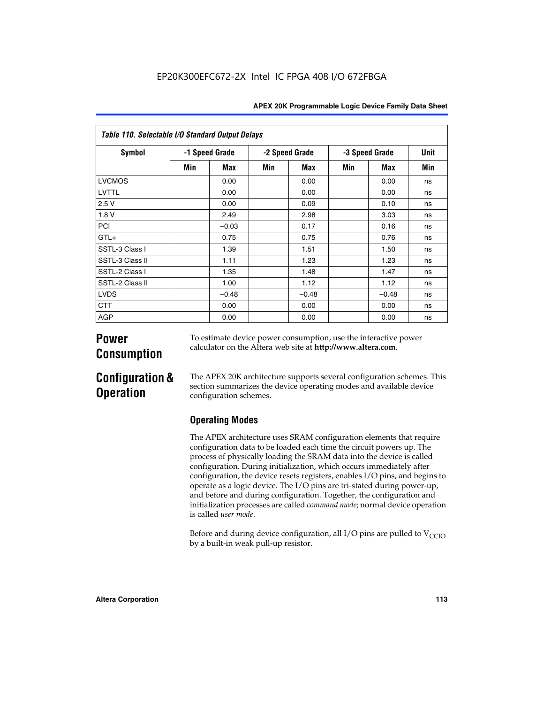| Table 110. Selectable I/O Standard Output Delays |     |                |                |         |                |         |      |  |  |  |  |
|--------------------------------------------------|-----|----------------|----------------|---------|----------------|---------|------|--|--|--|--|
| <b>Symbol</b>                                    |     | -1 Speed Grade | -2 Speed Grade |         | -3 Speed Grade |         | Unit |  |  |  |  |
|                                                  | Min | Max            | Min            | Max     | Min            | Max     | Min  |  |  |  |  |
| <b>LVCMOS</b>                                    |     | 0.00           |                | 0.00    |                | 0.00    | ns   |  |  |  |  |
| LVTTL                                            |     | 0.00           |                | 0.00    |                | 0.00    | ns   |  |  |  |  |
| 2.5V                                             |     | 0.00           |                | 0.09    |                | 0.10    | ns   |  |  |  |  |
| 1.8 V                                            |     | 2.49           |                | 2.98    |                | 3.03    | ns   |  |  |  |  |
| PCI                                              |     | $-0.03$        |                | 0.17    |                | 0.16    | ns   |  |  |  |  |
| $GTL+$                                           |     | 0.75           |                | 0.75    |                | 0.76    | ns   |  |  |  |  |
| SSTL-3 Class I                                   |     | 1.39           |                | 1.51    |                | 1.50    | ns   |  |  |  |  |
| SSTL-3 Class II                                  |     | 1.11           |                | 1.23    |                | 1.23    | ns   |  |  |  |  |
| SSTL-2 Class I                                   |     | 1.35           |                | 1.48    |                | 1.47    | ns   |  |  |  |  |
| SSTL-2 Class II                                  |     | 1.00           |                | 1.12    |                | 1.12    | ns   |  |  |  |  |
| <b>LVDS</b>                                      |     | $-0.48$        |                | $-0.48$ |                | $-0.48$ | ns   |  |  |  |  |
| <b>CTT</b>                                       |     | 0.00           |                | 0.00    |                | 0.00    | ns   |  |  |  |  |
| <b>AGP</b>                                       |     | 0.00           |                | 0.00    |                | 0.00    | ns   |  |  |  |  |

# **Power Consumption**

To estimate device power consumption, use the interactive power calculator on the Altera web site at **http://www.altera.com**.

# **Configuration & Operation**

The APEX 20K architecture supports several configuration schemes. This section summarizes the device operating modes and available device configuration schemes.

## **Operating Modes**

The APEX architecture uses SRAM configuration elements that require configuration data to be loaded each time the circuit powers up. The process of physically loading the SRAM data into the device is called configuration. During initialization, which occurs immediately after configuration, the device resets registers, enables I/O pins, and begins to operate as a logic device. The I/O pins are tri-stated during power-up, and before and during configuration. Together, the configuration and initialization processes are called *command mode*; normal device operation is called *user mode*.

Before and during device configuration, all I/O pins are pulled to  $V_{\text{CCTO}}$ by a built-in weak pull-up resistor.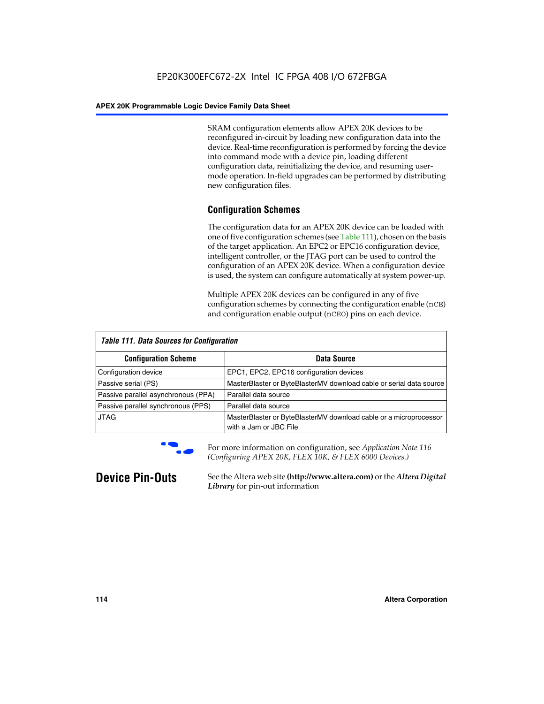SRAM configuration elements allow APEX 20K devices to be reconfigured in-circuit by loading new configuration data into the device. Real-time reconfiguration is performed by forcing the device into command mode with a device pin, loading different configuration data, reinitializing the device, and resuming usermode operation. In-field upgrades can be performed by distributing new configuration files.

## **Configuration Schemes**

The configuration data for an APEX 20K device can be loaded with one of five configuration schemes (see Table 111), chosen on the basis of the target application. An EPC2 or EPC16 configuration device, intelligent controller, or the JTAG port can be used to control the configuration of an APEX 20K device. When a configuration device is used, the system can configure automatically at system power-up.

Multiple APEX 20K devices can be configured in any of five configuration schemes by connecting the configuration enable (nCE) and configuration enable output (nCEO) pins on each device.

| <b>Table 111. Data Sources for Configuration</b> |                                                                                             |
|--------------------------------------------------|---------------------------------------------------------------------------------------------|
| <b>Configuration Scheme</b>                      | Data Source                                                                                 |
| Configuration device                             | EPC1, EPC2, EPC16 configuration devices                                                     |
| Passive serial (PS)                              | MasterBlaster or ByteBlasterMV download cable or serial data source                         |
| Passive parallel asynchronous (PPA)              | Parallel data source                                                                        |
| Passive parallel synchronous (PPS)               | Parallel data source                                                                        |
| <b>JTAG</b>                                      | MasterBlaster or ByteBlasterMV download cable or a microprocessor<br>with a Jam or JBC File |



**For more information on configuration, see Application Note 116** *(Configuring APEX 20K, FLEX 10K, & FLEX 6000 Devices.)*

**Device Pin-Outs** See the Altera web site **(http://www.altera.com)** or the *Altera Digital Library* for pin-out information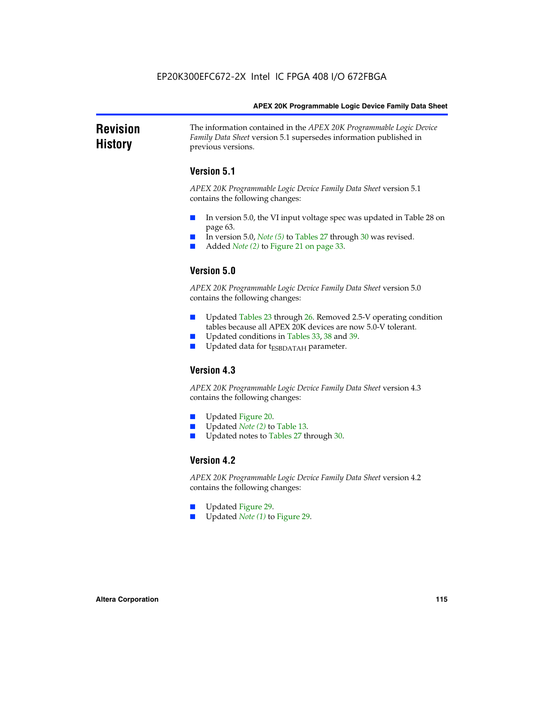### **Revision History** The information contained in the *APEX 20K Programmable Logic Device Family Data Sheet* version 5.1 supersedes information published in previous versions.

## **Version 5.1**

*APEX 20K Programmable Logic Device Family Data Sheet* version 5.1 contains the following changes:

- In version 5.0, the VI input voltage spec was updated in Table 28 on page 63.
- In version 5.0, *Note* (5) to Tables 27 through 30 was revised.
- Added *Note* (2) to Figure 21 on page 33.

## **Version 5.0**

*APEX 20K Programmable Logic Device Family Data Sheet* version 5.0 contains the following changes:

- Updated Tables 23 through 26. Removed 2.5-V operating condition tables because all APEX 20K devices are now 5.0-V tolerant.
- Updated conditions in Tables 33, 38 and 39.
- Updated data for t<sub>ESBDATAH</sub> parameter.

## **Version 4.3**

*APEX 20K Programmable Logic Device Family Data Sheet* version 4.3 contains the following changes:

- Updated Figure 20.
- Updated *Note (2)* to Table 13.
- Updated notes to Tables 27 through 30.

## **Version 4.2**

*APEX 20K Programmable Logic Device Family Data Sheet* version 4.2 contains the following changes:

- Updated Figure 29.
- Updated *Note (1)* to Figure 29.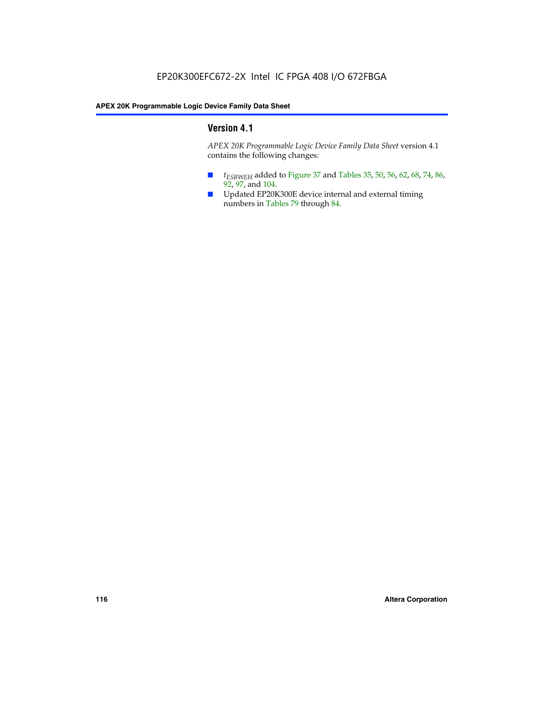## **Version 4.1**

*APEX 20K Programmable Logic Device Family Data Sheet* version 4.1 contains the following changes:

- *t<sub>ESBWEH</sub>* added to Figure 37 and Tables 35, 50, 56, 62, 68, 74, 86, 92, 97, and 104.
- Updated EP20K300E device internal and external timing numbers in Tables 79 through 84.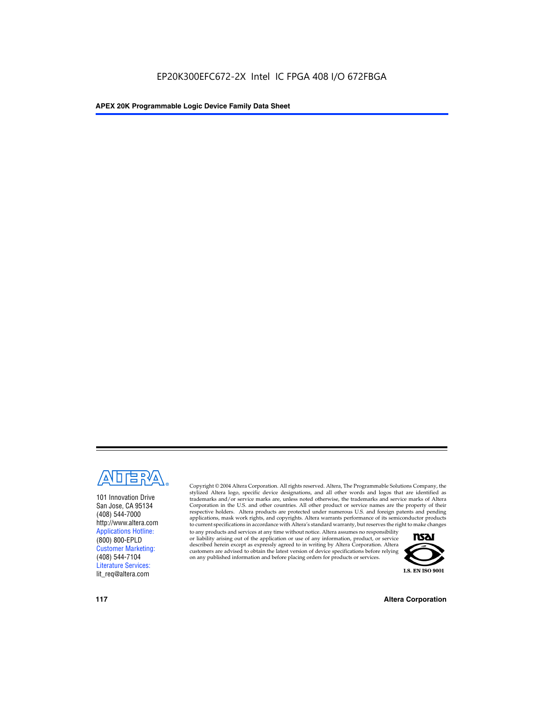

101 Innovation Drive San Jose, CA 95134 (408) 544-7000 http://www.altera.com Applications Hotline: (800) 800-EPLD Customer Marketing: (408) 544-7104 Literature Services: lit\_req@altera.com

Copyright © 2004 Altera Corporation. All rights reserved. Altera, The Programmable Solutions Company, the stylized Altera logo, specific device designations, and all other words and logos that are identified as trademarks and/or service marks are, unless noted otherwise, the trademarks and service marks of Altera Corporation in the U.S. and other countries. All other product or service names are the property of their respective holders. Altera products are protected under numerous U.S. and foreign patents and pending applications, mask work rights, and copyrights. Altera warrants performance of its semiconductor products to current specifications in accordance with Altera's standard warranty, but reserves the right to make changes

to any products and services at any time without notice. Altera assumes no responsibility or liability arising out of the application or use of any information, product, or service described herein except as expressly agreed to in writing by Altera Corporation. Altera customers are advised to obtain the latest version of device specifications before relying on any published information and before placing orders for products or services.



**117 Altera Corporation**